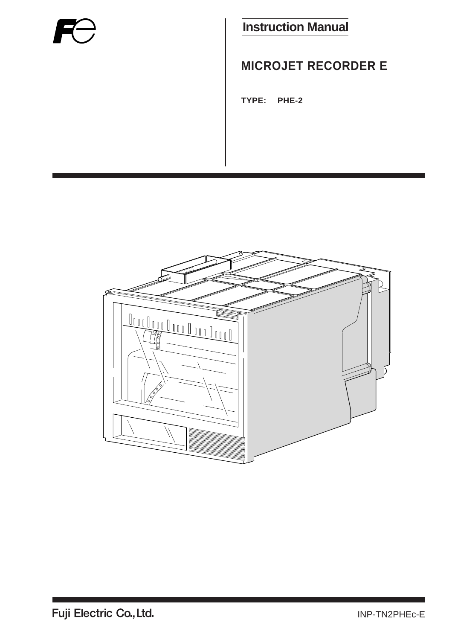

### **Instruction Manual**

### **MICROJET RECORDER E**

**TYPE: PHE-2**

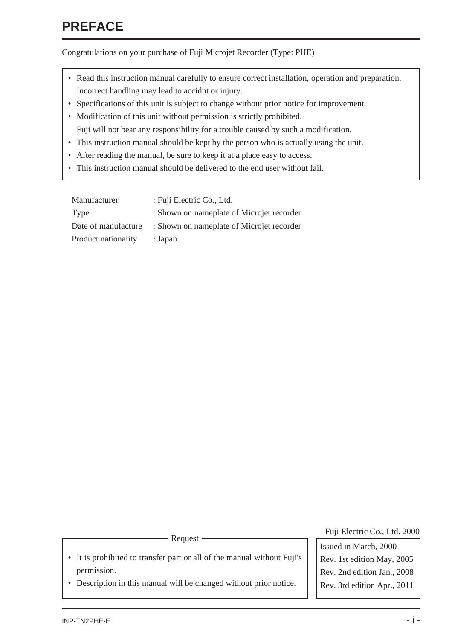### <span id="page-1-0"></span>**PREFACE**

Congratulations on your purchase of Fuji Microjet Recorder (Type: PHE)

- Read this instruction manual carefully to ensure correct installation, operation and preparation. Incorrect handling may lead to accidnt or injury.
- Specifications of this unit is subject to change without prior notice for improvement.
- Modification of this unit without permission is strictly prohibited. Fuji will not bear any responsibility for a trouble caused by such a modification.
- This instruction manual should be kept by the person who is actually using the unit.
- After reading the manual, be sure to keep it at a place easy to access.
- This instruction manual should be delivered to the end user without fail.

| Manufacturer        | : Fuji Electric Co., Ltd.                 |
|---------------------|-------------------------------------------|
| Type                | : Shown on nameplate of Microjet recorder |
| Date of manufacture | : Shown on nameplate of Microjet recorder |
| Product nationality | : Japan                                   |

- It is prohibited to transfer part or all of the manual without Fuji's permission.
- Description in this manual will be changed without prior notice.

Request **Fuji Electric Co., Ltd. 2000** Request

Issued in March, 2000 Rev. 1st edition May, 2005 Rev. 2nd edition Jan., 2008 Rev. 3rd edition Apr., 2011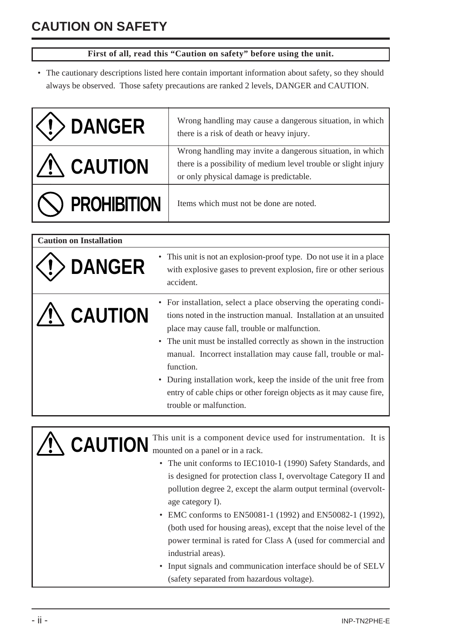### <span id="page-2-0"></span>**CAUTION ON SAFETY**

#### **First of all, read this "Caution on safety" before using the unit.**

• The cautionary descriptions listed here contain important information about safety, so they should always be observed. Those safety precautions are ranked 2 levels, DANGER and CAUTION.

| <b>DANGER</b>                  | Wrong handling may cause a dangerous situation, in which<br>there is a risk of death or heavy injury.                                                                                                                                                                                                                                                                                                                                                                                                                         |  |  |  |  |  |
|--------------------------------|-------------------------------------------------------------------------------------------------------------------------------------------------------------------------------------------------------------------------------------------------------------------------------------------------------------------------------------------------------------------------------------------------------------------------------------------------------------------------------------------------------------------------------|--|--|--|--|--|
| <b>CAUTION</b>                 | Wrong handling may invite a dangerous situation, in which<br>there is a possibility of medium level trouble or slight injury<br>or only physical damage is predictable.                                                                                                                                                                                                                                                                                                                                                       |  |  |  |  |  |
| <b>PROHIBITION</b>             | Items which must not be done are noted.                                                                                                                                                                                                                                                                                                                                                                                                                                                                                       |  |  |  |  |  |
|                                |                                                                                                                                                                                                                                                                                                                                                                                                                                                                                                                               |  |  |  |  |  |
| <b>Caution on Installation</b> |                                                                                                                                                                                                                                                                                                                                                                                                                                                                                                                               |  |  |  |  |  |
| <b>DANGER</b>                  | This unit is not an explosion-proof type. Do not use it in a place<br>with explosive gases to prevent explosion, fire or other serious<br>accident.                                                                                                                                                                                                                                                                                                                                                                           |  |  |  |  |  |
| <b>CAUTION</b><br>$\bullet$    | • For installation, select a place observing the operating condi-<br>tions noted in the instruction manual. Installation at an unsuited<br>place may cause fall, trouble or malfunction.<br>The unit must be installed correctly as shown in the instruction<br>manual. Incorrect installation may cause fall, trouble or mal-<br>function.<br>• During installation work, keep the inside of the unit free from<br>entry of cable chips or other foreign objects as it may cause fire,<br>trouble or malfunction.            |  |  |  |  |  |
|                                |                                                                                                                                                                                                                                                                                                                                                                                                                                                                                                                               |  |  |  |  |  |
| $\bullet$ $\lambda$            | This unit is a component device used for instrumentation. It is<br>mounted on a panel or in a rack.<br>• The unit conforms to IEC1010-1 (1990) Safety Standards, and<br>is designed for protection class I, overvoltage Category II and<br>pollution degree 2, except the alarm output terminal (overvolt-<br>age category I).<br>EMC conforms to EN50081-1 (1992) and EN50082-1 (1992),<br>(both used for housing areas), except that the noise level of the<br>power terminal is rated for Class A (used for commercial and |  |  |  |  |  |
|                                | industrial areas).<br>Input signals and communication interface should be of SELV<br>(safety separated from hazardous voltage).                                                                                                                                                                                                                                                                                                                                                                                               |  |  |  |  |  |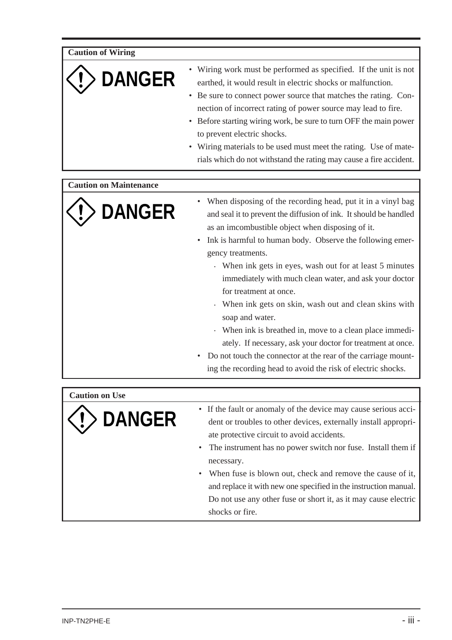**Caution of Wiring**

# **DANGER**

- Wiring work must be performed as specified. If the unit is not earthed, it would result in electric shocks or malfunction.
- Be sure to connect power source that matches the rating. Connection of incorrect rating of power source may lead to fire.
- Before starting wiring work, be sure to turn OFF the main power to prevent electric shocks.
- Wiring materials to be used must meet the rating. Use of materials which do not withstand the rating may cause a fire accident.

#### **Caution on Maintenance**



- When disposing of the recording head, put it in a vinyl bag and seal it to prevent the diffusion of ink. It should be handled as an imcombustible object when disposing of it.
- Ink is harmful to human body. Observe the following emergency treatments.
	- . When ink gets in eyes, wash out for at least 5 minutes immediately with much clean water, and ask your doctor for treatment at once.
	- . When ink gets on skin, wash out and clean skins with soap and water.
	- . When ink is breathed in, move to a clean place immediately. If necessary, ask your doctor for treatment at once.
- Do not touch the connector at the rear of the carriage mounting the recording head to avoid the risk of electric shocks.

**Caution on Use**



- If the fault or anomaly of the device may cause serious accident or troubles to other devices, externally install appropriate protective circuit to avoid accidents.
- The instrument has no power switch nor fuse. Install them if necessary.
- When fuse is blown out, check and remove the cause of it, and replace it with new one specified in the instruction manual. Do not use any other fuse or short it, as it may cause electric shocks or fire.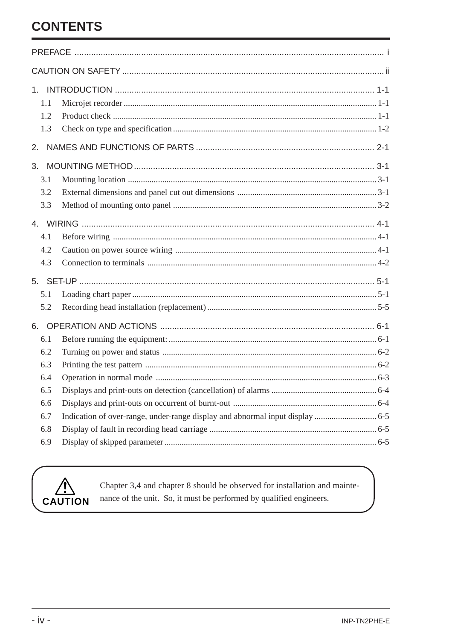### **CONTENTS**

| 1.1<br>1.2<br>1.3       |  |  |  |  |  |  |  |  |
|-------------------------|--|--|--|--|--|--|--|--|
| 2.                      |  |  |  |  |  |  |  |  |
| 3.<br>3.1<br>3.2<br>3.3 |  |  |  |  |  |  |  |  |
|                         |  |  |  |  |  |  |  |  |
| 4.1<br>4.2<br>4.3       |  |  |  |  |  |  |  |  |
|                         |  |  |  |  |  |  |  |  |
| 5.1<br>5.2              |  |  |  |  |  |  |  |  |
| 6.<br>6.1               |  |  |  |  |  |  |  |  |
| 6.2<br>6.3              |  |  |  |  |  |  |  |  |
| 6.4                     |  |  |  |  |  |  |  |  |
| 6.5<br>6.6              |  |  |  |  |  |  |  |  |
| 6.7                     |  |  |  |  |  |  |  |  |
| 6.8                     |  |  |  |  |  |  |  |  |
| 6.9                     |  |  |  |  |  |  |  |  |



Chapter 3,4 and chapter 8 should be observed for installation and maintenance of the unit. So, it must be performed by qualified engineers.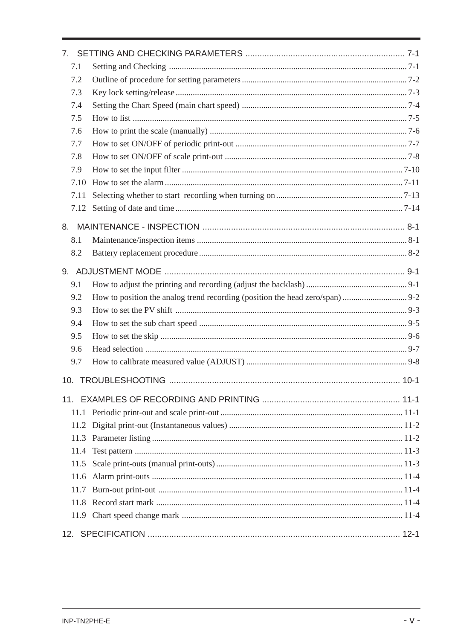| 7 <sub>1</sub> |  |
|----------------|--|
| 7.1            |  |
| 7.2            |  |
| 7.3            |  |
| 7.4            |  |
| 7.5            |  |
| 7.6            |  |
| 7.7            |  |
| 7.8            |  |
| 7.9            |  |
| 7.10           |  |
| 7.11           |  |
| 7.12           |  |
| 8.             |  |
| 8.1            |  |
| 8.2            |  |
|                |  |
|                |  |
| 9.1            |  |
| 9.2            |  |
| 9.3            |  |
| 9.4            |  |
| 9.5            |  |
| 9.6            |  |
| 9.7            |  |
|                |  |
|                |  |
| 11.1           |  |
| 11.2           |  |
| 11.3           |  |
| 11.4           |  |
| 11.5           |  |
| 11.6           |  |
| 11.7           |  |
| 11.8           |  |
|                |  |
|                |  |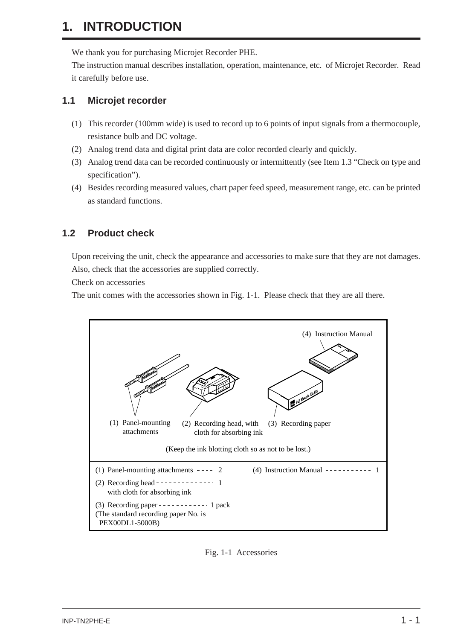### <span id="page-6-0"></span>**1. INTRODUCTION**

We thank you for purchasing Microjet Recorder PHE.

The instruction manual describes installation, operation, maintenance, etc. of Microjet Recorder. Read it carefully before use.

#### **1.1 Microjet recorder**

- (1) This recorder (100mm wide) is used to record up to 6 points of input signals from a thermocouple, resistance bulb and DC voltage.
- (2) Analog trend data and digital print data are color recorded clearly and quickly.
- (3) Analog trend data can be recorded continuously or intermittently (see Item 1.3 "Check on type and specification").
- (4) Besides recording measured values, chart paper feed speed, measurement range, etc. can be printed as standard functions.

#### **1.2 Product check**

Upon receiving the unit, check the appearance and accessories to make sure that they are not damages. Also, check that the accessories are supplied correctly.

Check on accessories

The unit comes with the accessories shown in Fig. 1-1. Please check that they are all there.



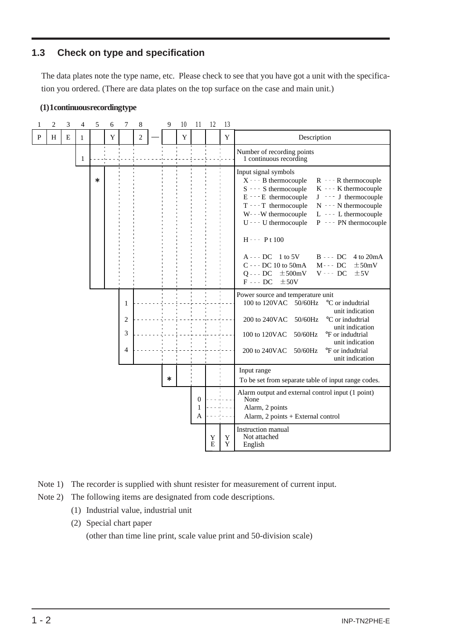#### <span id="page-7-0"></span>**1.3 Check on type and specification**

The data plates note the type name, etc. Please check to see that you have got a unit with the specification you ordered. (There are data plates on the top surface on the case and main unit.)



| $\mathbf{1}$ | $\overline{c}$ | 3         | 4            | 5      | 6           | 7                   | $\,8\,$    | 9      | 10 | 11                         | 12     | 13     |                                                                                                                                                                                                                                                                                                                                                                                                                                                                                                                                              |
|--------------|----------------|-----------|--------------|--------|-------------|---------------------|------------|--------|----|----------------------------|--------|--------|----------------------------------------------------------------------------------------------------------------------------------------------------------------------------------------------------------------------------------------------------------------------------------------------------------------------------------------------------------------------------------------------------------------------------------------------------------------------------------------------------------------------------------------------|
| ${\bf P}$    | H              | ${\bf E}$ | $\mathbf{1}$ |        | $\mathbf Y$ |                     | $\sqrt{2}$ |        | Y  |                            |        | Y      | Description                                                                                                                                                                                                                                                                                                                                                                                                                                                                                                                                  |
|              |                |           | $\mathbf{1}$ |        |             |                     |            |        |    |                            |        |        | Number of recording points<br>1 continuous recording                                                                                                                                                                                                                                                                                                                                                                                                                                                                                         |
|              |                |           |              | $\ast$ |             |                     |            |        |    |                            |        |        | Input signal symbols<br>X - - - B thermocouple<br>R - - - R thermocouple<br>$S - - S$ thermocouple<br>$K - K$ thermocouple<br>$E - E$ thermocouple<br>$J \sim J$ thermocouple<br>$T - T$ thermocouple<br>$N - - N$ thermocouple<br>W---W thermocouple<br>$L - - L$ thermocouple<br>$U - -$ U thermocouple<br>$P - - P$ N thermocouple<br>$H - - P t 100$<br>$B \leftarrow$ DC 4 to 20mA<br>$A - - DC \ 1$ to 5V<br>C - - - DC 10 to 50mA<br>$M - - DC$<br>$\pm$ 50mV<br>$Q - D C \pm 500$ mV<br>$V - - DC$<br>±5V<br>$F - - DC$<br>$\pm 50V$ |
|              |                |           |              |        |             | 1                   |            |        |    |                            |        |        | Power source and temperature unit<br>100 to 120VAC 50/60Hz<br>°C or indudtrial<br>unit indication                                                                                                                                                                                                                                                                                                                                                                                                                                            |
|              |                |           |              |        |             | $\overline{2}$<br>3 |            |        |    |                            |        |        | 200 to 240VAC<br>50/60Hz<br>°C or indudtrial<br>unit indication                                                                                                                                                                                                                                                                                                                                                                                                                                                                              |
|              |                |           |              |        |             | 4                   |            |        |    |                            |        |        | 50/60Hz<br>100 to 120VAC<br><sup>o</sup> F or indudtrial<br>unit indication<br>200 to 240VAC<br>50/60Hz<br>°F or indudtrial<br>unit indication                                                                                                                                                                                                                                                                                                                                                                                               |
|              |                |           |              |        |             |                     |            | $\ast$ |    |                            |        |        | Input range<br>To be set from separate table of input range codes.                                                                                                                                                                                                                                                                                                                                                                                                                                                                           |
|              |                |           |              |        |             |                     |            |        |    | $\boldsymbol{0}$<br>1<br>A |        |        | Alarm output and external control input (1 point)<br>None<br>Alarm, 2 points<br>Alarm, 2 points + External control                                                                                                                                                                                                                                                                                                                                                                                                                           |
|              |                |           |              |        |             |                     |            |        |    |                            | Y<br>E | Y<br>Y | Instruction manual<br>Not attached<br>English                                                                                                                                                                                                                                                                                                                                                                                                                                                                                                |

- Note 1) The recorder is supplied with shunt resister for measurement of current input.
- Note 2) The following items are designated from code descriptions.
	- (1) Industrial value, industrial unit
	- (2) Special chart paper

(other than time line print, scale value print and 50-division scale)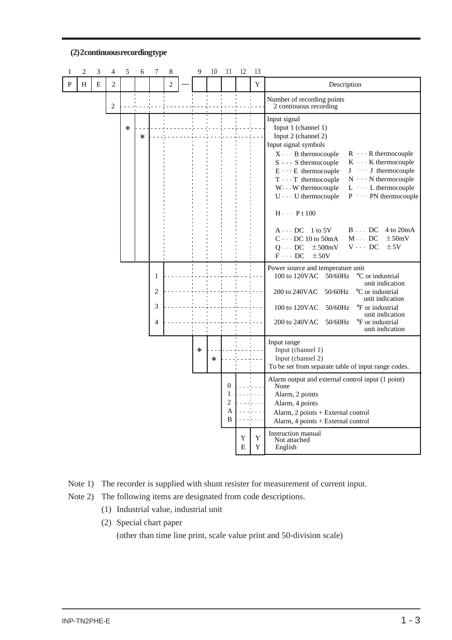

#### **(2) 2 continuous recording type**

Note 1) The recorder is supplied with shunt resister for measurement of current input.

Note 2) The following items are designated from code descriptions.

- (1) Industrial value, industrial unit
- (2) Special chart paper

(other than time line print, scale value print and 50-division scale)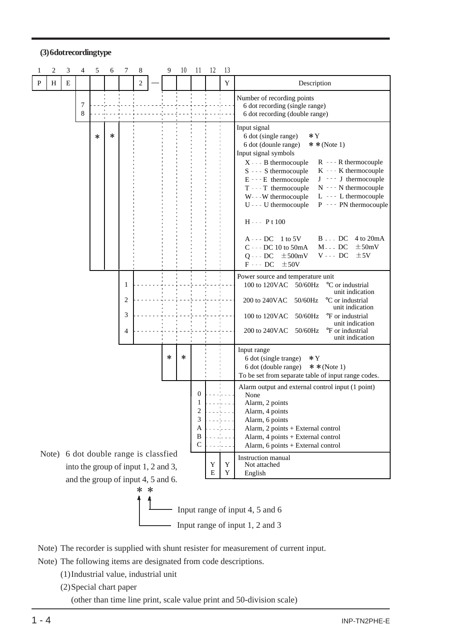#### **(3) 6 dot recording type**

|                  | 2                                                                                                                                                                                                                                                                                                                                                                 | 3 | 4      | 5 | 6                                   | 7 | 8              |  | 9      | 10 | 11 | 12     | 13                                                                                                                                                                                                                                                                                                                                    |                                                                                                                                                                                                                                                                                                                                                                                                                                                                                                                                                                                                                                                             |  |  |  |  |
|------------------|-------------------------------------------------------------------------------------------------------------------------------------------------------------------------------------------------------------------------------------------------------------------------------------------------------------------------------------------------------------------|---|--------|---|-------------------------------------|---|----------------|--|--------|----|----|--------|---------------------------------------------------------------------------------------------------------------------------------------------------------------------------------------------------------------------------------------------------------------------------------------------------------------------------------------|-------------------------------------------------------------------------------------------------------------------------------------------------------------------------------------------------------------------------------------------------------------------------------------------------------------------------------------------------------------------------------------------------------------------------------------------------------------------------------------------------------------------------------------------------------------------------------------------------------------------------------------------------------------|--|--|--|--|
| P                | H                                                                                                                                                                                                                                                                                                                                                                 | E |        |   |                                     |   | $\overline{c}$ |  |        |    |    |        | Y                                                                                                                                                                                                                                                                                                                                     | Description                                                                                                                                                                                                                                                                                                                                                                                                                                                                                                                                                                                                                                                 |  |  |  |  |
|                  |                                                                                                                                                                                                                                                                                                                                                                   |   | 7<br>8 |   |                                     |   |                |  |        |    |    |        |                                                                                                                                                                                                                                                                                                                                       | Number of recording points<br>6 dot recording (single range)<br>6 dot recording (double range)                                                                                                                                                                                                                                                                                                                                                                                                                                                                                                                                                              |  |  |  |  |
|                  |                                                                                                                                                                                                                                                                                                                                                                   |   |        | * | *                                   |   |                |  |        |    |    |        |                                                                                                                                                                                                                                                                                                                                       | Input signal<br>6 dot (single range)<br>*Y<br>6 dot (dounle range)<br>* * (Note 1)<br>Input signal symbols<br>$X - - B$ thermocouple<br>$R - - R$ thermocouple<br>$S - - S$ thermocouple<br>$K - - K$ thermocouple<br>$J - -$ J thermocouple<br>E - - - E thermocouple<br>$N - - N$ thermocouple<br>T - - - T thermocouple<br>L --- L thermocouple<br>W---W thermocouple<br>U - - - U thermocouple<br>$P - P$ PN thermocouple<br>$H - - P t 100$<br>$B - - DC$<br>4 to 20mA<br>$A - - DC$ 1 to 5V<br>C - - - DC 10 to 50mA<br>$\pm$ 50mV<br>$M$ --DC<br>$\mathbf{V}$ - - - $\mathbf{D}\mathbf{C}$<br>$Q - - DC$<br>$\pm$ 500mV<br>±5V<br>$F - - DC$<br>±50V |  |  |  |  |
| 1<br>2<br>3<br>4 |                                                                                                                                                                                                                                                                                                                                                                   |   |        |   |                                     |   |                |  |        |    |    |        | Power source and temperature unit<br>100 to 120VAC<br>50/60Hz<br>°C or industrial<br>unit indication<br>200 to 240VAC<br>50/60Hz<br>°C or industrial<br>unit indication<br>50/60Hz<br>100 to 120VAC<br><sup>o</sup> F or industrial<br>unit indication<br>200 to 240VAC<br>50/60Hz<br><sup>o</sup> F or industrial<br>unit indication |                                                                                                                                                                                                                                                                                                                                                                                                                                                                                                                                                                                                                                                             |  |  |  |  |
|                  |                                                                                                                                                                                                                                                                                                                                                                   |   |        |   |                                     |   |                |  | $\ast$ | *  |    |        |                                                                                                                                                                                                                                                                                                                                       | Input range<br>6 dot (single trange)<br>$*Y$<br>6 dot (double range)<br>$**(Note 1)$<br>To be set from separate table of input range codes.                                                                                                                                                                                                                                                                                                                                                                                                                                                                                                                 |  |  |  |  |
|                  | Alarm output and external control input (1 point)<br>0<br>None<br>Alarm, 2 points<br>$\overline{\mathbf{c}}$<br>Alarm, 4 points<br>3<br>Alarm, 6 points<br>A<br>Alarm, 2 points + External control<br>B<br>Alarm, 4 points + External control<br>C<br>Alarm, 6 points + External control<br>6 dot double range is classfied<br>Note)<br><b>Instruction</b> manual |   |        |   |                                     |   |                |  |        |    |    |        |                                                                                                                                                                                                                                                                                                                                       |                                                                                                                                                                                                                                                                                                                                                                                                                                                                                                                                                                                                                                                             |  |  |  |  |
|                  |                                                                                                                                                                                                                                                                                                                                                                   |   |        |   | into the group of input 1, 2 and 3, |   |                |  |        |    |    | Y<br>E | Y<br>Y                                                                                                                                                                                                                                                                                                                                | Not attached<br>English                                                                                                                                                                                                                                                                                                                                                                                                                                                                                                                                                                                                                                     |  |  |  |  |
|                  | and the group of input 4, 5 and 6.<br>∗<br>∗<br>Input range of input 4, 5 and 6<br>Input range of input 1, 2 and 3                                                                                                                                                                                                                                                |   |        |   |                                     |   |                |  |        |    |    |        |                                                                                                                                                                                                                                                                                                                                       |                                                                                                                                                                                                                                                                                                                                                                                                                                                                                                                                                                                                                                                             |  |  |  |  |

#### Note) The recorder is supplied with shunt resister for measurement of current input.

Note) The following items are designated from code descriptions.

- (1)Industrial value, industrial unit
- (2)Special chart paper

(other than time line print, scale value print and 50-division scale)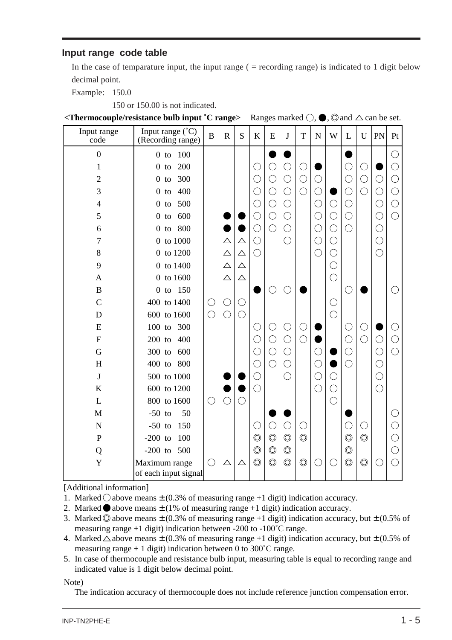#### **Input range code table**

In the case of temparature input, the input range  $($  = recording range) is indicated to 1 digit below decimal point.

Example: 150.0

150 or 150.00 is not indicated.

**<Thermocouple/resistance bulb input <sup>•</sup>C range>** Ranges marked  $\bigcirc$ ,  $\bigcirc$ ,  $\bigcirc$  and  $\bigtriangleup$  can be set.

| Input range<br>code | Input range $(^{\circ}C)$<br>(Recording range) | $\bf{B}$   | $\mathbb{R}$ | S           | K              | ${\bf E}$      | J              | T              | ${\bf N}$  | W          | L              | U              | PN         | Pt                                          |
|---------------------|------------------------------------------------|------------|--------------|-------------|----------------|----------------|----------------|----------------|------------|------------|----------------|----------------|------------|---------------------------------------------|
| $\overline{0}$      | 100<br>$0$ to                                  |            |              |             |                |                |                |                |            |            |                |                |            |                                             |
| $\mathbf{1}$        | 200<br>$\overline{0}$<br>to                    |            |              |             |                | $\bigcirc$     | C              | ( )            |            |            |                | C              |            |                                             |
| $\overline{c}$      | 300<br>$\overline{0}$<br>to                    |            |              |             | С.             | $\bigcirc$     | O              | O              | О          |            | ( )            | $\bigcirc$     | $\bigcirc$ | $\left(\begin{array}{c}1\end{array}\right)$ |
| 3                   | 400<br>$0$ to                                  |            |              |             | C              | $\bigcirc$     | $\bigcirc$     | $\bigcirc$     | ○          |            | С              | $\bigcirc$     | $\bigcirc$ | O                                           |
| $\overline{4}$      | 500<br>$0$ to                                  |            |              |             |                | $\bigcirc$     | ◯              |                | $\bigcirc$ | C          | С              |                | $\bigcirc$ |                                             |
| 5                   | 600<br>$\overline{0}$<br>to                    |            |              |             |                | $\bigcirc$     | $\bigcirc$     |                | $\bigcirc$ | $\bigcirc$ | $\bigcirc$     |                | $\bigcirc$ | ○                                           |
| 6                   | 800<br>$\mathbf{0}$<br>to                      |            |              |             | O              | $\bigcirc$     | $\bigcirc$     |                | $\bigcirc$ | $\bigcirc$ | Ō              |                | $\bigcirc$ |                                             |
| $\overline{7}$      | 0 to 1000                                      |            | $\triangle$  | $\triangle$ | O              |                | $\bigcirc$     |                | $\bigcirc$ | $\bigcirc$ |                |                | $\bigcirc$ |                                             |
| 8                   | $0\,$ to $1200\,$                              |            | $\triangle$  | $\triangle$ | ◯              |                |                |                | $\bigcirc$ | ◯          |                |                | $\bigcirc$ |                                             |
| 9                   | $0\,$ to $1400\,$                              |            | $\triangle$  | $\triangle$ |                |                |                |                |            | C          |                |                |            |                                             |
| $\mathbf{A}$        | 0 to 1600                                      |            | $\triangle$  | $\triangle$ |                |                |                |                |            | $\bigcirc$ |                |                |            |                                             |
| $\bf{B}$            | 150<br>$0$ to                                  |            |              |             |                | C              | ŋ              |                |            |            | ◯              |                |            |                                             |
| $\mathcal{C}$       | 400 to 1400                                    | $\bigcirc$ | $\bigcirc$   | O           |                |                |                |                |            | $\bigcirc$ |                |                |            |                                             |
| D                   | 600 to 1600                                    | $\bigcirc$ | $\bigcirc$   | $\bigcirc$  |                |                |                |                |            | $\bigcirc$ |                |                |            |                                             |
| E                   | $100$ to<br>300                                |            |              |             | O              | O              | C              | O              |            |            | C              | U              |            |                                             |
| $\overline{F}$      | $200$ to<br>400                                |            |              |             |                | $\bigcirc$     | $\bigcirc$     | $\bigcirc$     |            |            | O              | $\bigcirc$     | $\bigcirc$ |                                             |
| G                   | 600<br>300 to                                  |            |              |             |                | $\bigcirc$     | ◯              |                |            |            |                |                | $\bigcirc$ |                                             |
| H                   | 400 to<br>800                                  |            |              |             |                | $\bigcirc$     | ◯              |                | ○          |            | O              |                | $\bigcirc$ |                                             |
| $\mathbf{J}$        | 500 to 1000                                    |            |              |             |                |                | ◯              |                | $\bigcirc$ | $\bigcirc$ |                |                | $\bigcirc$ |                                             |
| K                   | 600 to 1200                                    |            |              |             | ( )            |                |                |                | O          | $\bigcirc$ |                |                | $\bigcirc$ |                                             |
| L                   | 800 to 1600                                    | $\bigcirc$ | $\bigcirc$   | $\bigcirc$  |                |                |                |                |            | $\bigcirc$ |                |                |            |                                             |
| M                   | $-50$ to<br>50                                 |            |              |             |                |                |                |                |            |            |                |                |            |                                             |
| N                   | $-50$ to<br>150                                |            |              |             |                | $\bigcirc$     | $\bigcirc$     | ◯              |            |            | C              | O              |            |                                             |
| $\mathbf P$         | $-200$ to<br>100                               |            |              |             | $\circledcirc$ | $\circledcirc$ | $\circledcirc$ | $\circledcirc$ |            |            | $\circledcirc$ | $\circledcirc$ |            |                                             |
| Q                   | $-200$ to<br>500                               |            |              |             | $\circledcirc$ | $\circledcirc$ | $\circledcirc$ |                |            |            | $\circledcirc$ |                |            |                                             |
| Y                   | Maximum range<br>of each input signal          | O          | $\triangle$  | $\triangle$ | $\circledcirc$ | $\circledcirc$ | $\circledcirc$ | $\circledcirc$ | )          | O          | $\circledcirc$ | $\circledcirc$ | C          |                                             |

[Additional information]

- 1. Marked  $\bigcirc$  above means  $\pm$  (0.3% of measuring range +1 digit) indication accuracy.
- 2. Marked  $\bullet$  above means  $\pm$  (1% of measuring range +1 digit) indication accuracy.
- 3. Marked  $\odot$  above means  $\pm$  (0.3% of measuring range +1 digit) indication accuracy, but  $\pm$  (0.5% of measuring range +1 digit) indication between -200 to -100 $^{\circ}$ C range.
- 4. Marked  $\triangle$  above means  $\pm$  (0.3% of measuring range +1 digit) indication accuracy, but  $\pm$  (0.5% of measuring range  $+1$  digit) indication between 0 to 300 $^{\circ}$ C range.
- 5. In case of thermocouple and resistance bulb input, measuring table is equal to recording range and indicated value is 1 digit below decimal point.

Note)

The indication accuracy of thermocouple does not include reference junction compensation error.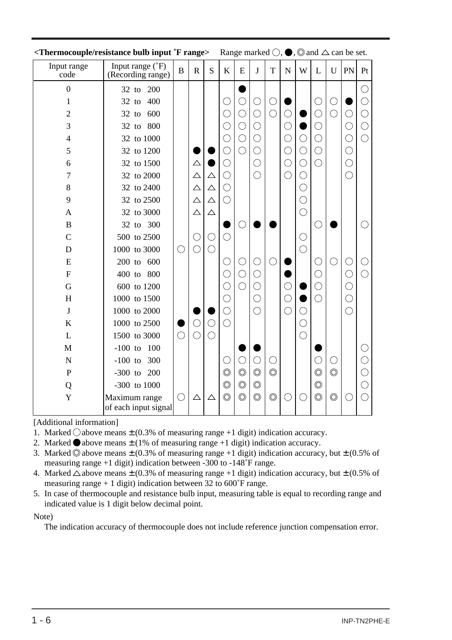|                     | <b>Thermocouple/resistance bulb input 'F range&gt;</b> Range marked $\bigcirc$ , $\bigcirc$ , $\bigcirc$ and $\bigtriangleup$ can be set. |              |             |             |                       |                       |                |                |             |            |                         |                       |            |            |
|---------------------|-------------------------------------------------------------------------------------------------------------------------------------------|--------------|-------------|-------------|-----------------------|-----------------------|----------------|----------------|-------------|------------|-------------------------|-----------------------|------------|------------|
| Input range<br>code | Input range (°F)<br>(Recording range)                                                                                                     | $\, {\bf B}$ | $\mathbf R$ | S           | $\bf K$               | ${\bf E}$             | J              | T              | $\mathbf N$ | W          | L                       | U                     | PN         | Pt         |
| $\overline{0}$      | 32 to 200                                                                                                                                 |              |             |             |                       |                       |                |                |             |            |                         |                       |            |            |
| 1                   | 400<br>$32$ to                                                                                                                            |              |             |             |                       |                       | $\bigcirc$     | $\bigcirc$     |             |            | $( \ )$                 | С                     |            |            |
| $\overline{2}$      | 600<br>$32$ to                                                                                                                            |              |             |             | O                     | $\bigcirc$            | $\bigcirc$     | $\bigcirc$     | $\bigcirc$  |            | C                       | $\overline{\bigcirc}$ | $\bigcirc$ | C          |
| 3                   | 32 to 800                                                                                                                                 |              |             |             | $\bigcirc$            | $\bigcirc$            | $\bigcirc$     |                | $\bigcirc$  |            | $\bigcirc$              |                       | $\bigcirc$ | O          |
| 4                   | 32 to 1000                                                                                                                                |              |             |             | C                     | $\overline{\bigcirc}$ | $\bigcirc$     |                | $\bigcirc$  | $\bigcirc$ | $\bigcirc$              |                       | $\bigcirc$ | $\bigcirc$ |
| 5                   | 32 to 1200                                                                                                                                |              |             |             | С                     | $\bigcirc$            | $\bigcirc$     |                | $\bigcirc$  | $\bigcirc$ | $\bigcirc$              |                       | $\bigcirc$ |            |
| 6                   | 32 to 1500                                                                                                                                |              | △           |             | $\bigcirc$            |                       | $\bigcirc$     |                | $\bigcirc$  | $\bigcirc$ | $\bigcirc$              |                       | $\bigcirc$ |            |
| 7                   | 32 to 2000                                                                                                                                |              | $\triangle$ | $\triangle$ | $\bigcirc$            |                       | $\bigcirc$     |                | $\bigcirc$  | $\bigcirc$ |                         |                       | $\bigcirc$ |            |
| 8                   | 32 to 2400                                                                                                                                |              | $\triangle$ | $\triangle$ | $\bigcirc$            |                       |                |                |             | $\bigcirc$ |                         |                       |            |            |
| 9                   | 32 to 2500                                                                                                                                |              | $\triangle$ | $\triangle$ | $\bigcirc$            |                       |                |                |             | $\bigcirc$ |                         |                       |            |            |
| A                   | 32 to 3000                                                                                                                                |              | $\triangle$ | $\triangle$ |                       |                       |                |                |             | $\bigcirc$ |                         |                       |            |            |
| $\mathbf B$         | 32 to 300                                                                                                                                 |              |             |             |                       | О                     |                |                |             |            | $( \ )$                 |                       |            |            |
| $\overline{C}$      | 500 to 2500                                                                                                                               |              | ( )         | $\bigcirc$  | $^{-}$                |                       |                |                |             | $\bigcirc$ |                         |                       |            |            |
| D                   | 1000 to 3000                                                                                                                              | $\bigcirc$   | $\bigcirc$  | $\bigcirc$  |                       |                       |                |                |             | $\bigcirc$ |                         |                       |            |            |
| E                   | 200 to 600                                                                                                                                |              |             |             | O                     | $\bigcirc$            | $\bigcirc$     | $\bigcirc$     |             |            | O                       | O                     | $\bigcirc$ |            |
| $\overline{F}$      | 400 to 800                                                                                                                                |              |             |             | $\overline{\bigcirc}$ | $\bigcirc$            | $\bigcirc$     |                |             |            | $\bigcirc$              |                       | $\bigcirc$ |            |
| G                   | 600 to 1200                                                                                                                               |              |             |             | $\bigcirc$            | $\bigcirc$            | $\bigcirc$     |                | $\bigcirc$  |            | $\bigcirc$              |                       | $\bigcirc$ |            |
| H                   | 1000 to 1500                                                                                                                              |              |             |             | $\bigcirc$            |                       | $\bigcirc$     |                | $\bigcirc$  |            | $\bigcirc$              |                       | $\bigcirc$ |            |
| $\bf J$             | 1000 to 2000                                                                                                                              |              |             |             | $\bigcirc$            |                       | $\bigcirc$     |                | $\bigcirc$  | $\bigcirc$ |                         |                       | $\bigcirc$ |            |
| K                   | 1000 to 2500                                                                                                                              |              | $\bigcirc$  | $\bigcirc$  | $\bigcirc$            |                       |                |                |             | $\bigcirc$ |                         |                       |            |            |
| L                   | 1500 to 3000                                                                                                                              | $\bigcirc$   | $\bigcirc$  | $\bigcirc$  |                       |                       |                |                |             | $\bigcirc$ |                         |                       |            |            |
| M                   | $-100$ to<br>100                                                                                                                          |              |             |             |                       |                       |                |                |             |            |                         |                       |            |            |
| $\mathbf N$         | $-100$ to<br>300                                                                                                                          |              |             |             | C                     | $\bigcirc$            | $\bigcirc$     | $\bigcirc$     |             |            | $\overline{\mathbb{C}}$ | $\bigcirc$            |            |            |
| $\mathbf{P}$        | 200<br>$-300$ to                                                                                                                          |              |             |             | $\circledcirc$        | $\circledcirc$        | $\circledcirc$ | $\circledcirc$ |             |            | $\circledcirc$          | $\circledcirc$        |            |            |
| Q                   | $-300$ to $1000$                                                                                                                          |              |             |             | $\circledcirc$        | $\circledcirc$        | $\circledcirc$ |                |             |            | $\circledcirc$          |                       |            |            |
| Y                   | Maximum range<br>of each input signal                                                                                                     | $\bigcirc$   | $\triangle$ | $\triangle$ | $\circledcirc$        | $\circledcirc$        | $\circledcirc$ | $\circledcirc$ | O           | $(\ \ )$   | $\circledcirc$          | $\circledcirc$        | $(\ )$     |            |
|                     |                                                                                                                                           |              |             |             |                       |                       |                |                |             |            |                         |                       |            |            |

#### [Additional information]

- 1. Marked  $\bigcirc$  above means  $\pm$  (0.3% of measuring range +1 digit) indication accuracy.
- 2. Marked  $\bullet$  above means  $\pm$  (1% of measuring range +1 digit) indication accuracy.
- 3. Marked  $\odot$  above means  $\pm$  (0.3% of measuring range +1 digit) indication accuracy, but  $\pm$  (0.5% of measuring range +1 digit) indication between -300 to -148˚F range.
- 4. Marked  $\triangle$  above means  $\pm$  (0.3% of measuring range +1 digit) indication accuracy, but  $\pm$  (0.5% of measuring range + 1 digit) indication between 32 to  $600^{\circ}$ F range.
- 5. In case of thermocouple and resistance bulb input, measuring table is equal to recording range and indicated value is 1 digit below decimal point.

#### Note)

The indication accuracy of thermocouple does not include reference junction compensation error.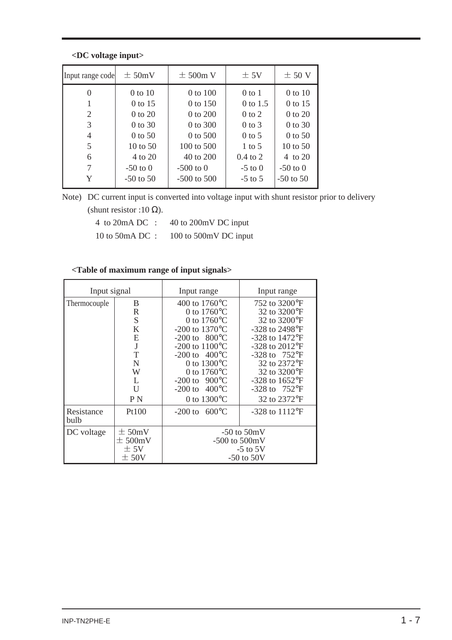#### **<DC voltage input>**

| Input range code | $\pm$ 50mV    | $\pm$ 500m V    | $\pm$ 5V          | $\pm$ 50 V    |
|------------------|---------------|-----------------|-------------------|---------------|
| 0                | $0$ to $10$   | $0$ to $100$    | $0$ to 1          | $0$ to $10$   |
| 1                | 0 to 15       | 0 to 150        | 0 to 1.5          | 0 to 15       |
| 2                | 0 to 20       | 0 to 200        | $0$ to $2$        | 0 to 20       |
| 3                | $0$ to 30     | 0 to 300        | $0$ to $3$        | 0 to 30       |
| 4                | $0$ to 50     | 0 to 500        | $0$ to 5          | $0$ to 50     |
| 5                | 10 to $50$    | 100 to 500      | $1 \text{ to } 5$ | 10 to $50$    |
| 6                | 4 to 20       | 40 to 200       | $0.4$ to 2        | 4 to 20       |
| 7                | $-50$ to 0    | $-500$ to $0$   | $-5$ to 0         | $-50$ to 0    |
| Y                | $-50$ to $50$ | $-500$ to $500$ | $-5$ to 5         | $-50$ to $50$ |

Note) DC current input is converted into voltage input with shunt resistor prior to delivery (shunt resistor :10  $\Omega$ ).

| 4 to $20mA$ DC : | 40 to 200mV DC input  |
|------------------|-----------------------|
| 10 to 50 mA DC : | 100 to 500mV DC input |

#### **<Table of maximum range of input signals>**

| Input signal       |                                                                           | Input range                                                                                                                                                                                                                                                                                                       | Input range                                                                                                                                                                                                                                                      |  |  |  |  |
|--------------------|---------------------------------------------------------------------------|-------------------------------------------------------------------------------------------------------------------------------------------------------------------------------------------------------------------------------------------------------------------------------------------------------------------|------------------------------------------------------------------------------------------------------------------------------------------------------------------------------------------------------------------------------------------------------------------|--|--|--|--|
| Thermocouple       | B<br>$\mathbb{R}$<br>S<br>K<br>E<br>J<br>T<br>N<br>W<br>L<br>$\mathbf{U}$ | 400 to $1760^{\circ}$ C<br>0 to $1760^{\circ}$ C<br>0 to $1760^{\circ}$ C<br>-200 to $1370^{\circ}$ C<br>-200 to $800^{\circ}$ C<br>$-200$ to $1100^{\circ}$ C<br>-200 to $400^{\circ}$ C<br>0 to $1300^{\circ}$ C<br>0 to $1760^{\circ}$ C<br>$-200 \text{ to } 900^{\circ} \text{C}$<br>-200 to $400^{\circ}$ C | 752 to 3200°F<br>32 to 3200°F<br>32 to 3200°F<br>-328 to 2498°F<br>$-328$ to $1472$ <sup>o</sup> F<br>$-328$ to $2012$ <sup>o</sup> F<br>$-328$ to $752^{\circ}F$<br>32 to 2372°F<br>32 to 3200°F<br>$-328$ to $1652$ <sup>o</sup> F<br>$-328$ to $752^{\circ}F$ |  |  |  |  |
|                    | P N                                                                       | 0 to $1300^{\circ}$ C                                                                                                                                                                                                                                                                                             | 32 to 2372°F                                                                                                                                                                                                                                                     |  |  |  |  |
| Resistance<br>bulb | Pt100                                                                     | $600^{\circ}$ C<br>$-200$ to                                                                                                                                                                                                                                                                                      | $-328$ to $1112^{\circ}F$                                                                                                                                                                                                                                        |  |  |  |  |
| DC voltage         | $\pm$ 50mV<br>$\pm$ 500mV<br>± 5V<br>± 50V                                | $-500$ to $500mV$                                                                                                                                                                                                                                                                                                 | $-50$ to $50mV$<br>$-5$ to 5V<br>$-50$ to $50V$                                                                                                                                                                                                                  |  |  |  |  |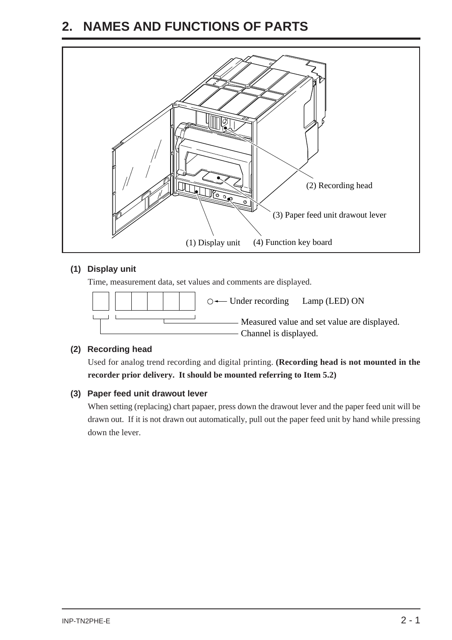### <span id="page-13-0"></span>**2. NAMES AND FUNCTIONS OF PARTS**



#### **(1) Display unit**

Time, measurement data, set values and comments are displayed.



#### **(2) Recording head**

Used for analog trend recording and digital printing. **(Recording head is not mounted in the recorder prior delivery. It should be mounted referring to Item 5.2)**

#### **(3) Paper feed unit drawout lever**

When setting (replacing) chart papaer, press down the drawout lever and the paper feed unit will be drawn out. If it is not drawn out automatically, pull out the paper feed unit by hand while pressing down the lever.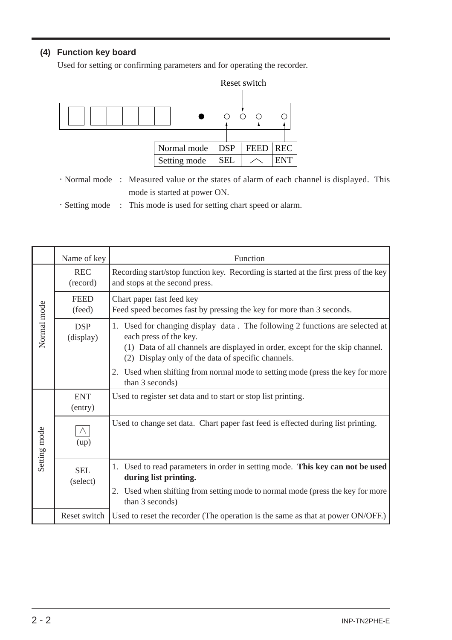#### **(4) Function key board**

Used for setting or confirming parameters and for operating the recorder.



- ・Normal mode : Measured value or the states of alarm of each channel is displayed. This mode is started at power ON.
- ・Setting mode : This mode is used for setting chart speed or alarm.

|              | Name of key             | Function                                                                                                                                                                                                                                         |  |  |  |  |  |  |
|--------------|-------------------------|--------------------------------------------------------------------------------------------------------------------------------------------------------------------------------------------------------------------------------------------------|--|--|--|--|--|--|
|              | <b>REC</b><br>(record)  | Recording start/stop function key. Recording is started at the first press of the key<br>and stops at the second press.                                                                                                                          |  |  |  |  |  |  |
|              | <b>FEED</b><br>(feed)   | Chart paper fast feed key<br>Feed speed becomes fast by pressing the key for more than 3 seconds.                                                                                                                                                |  |  |  |  |  |  |
| Normal mode  | <b>DSP</b><br>(display) | 1. Used for changing display data. The following 2 functions are selected at<br>each press of the key.<br>(1) Data of all channels are displayed in order, except for the skip channel.<br>Display only of the data of specific channels.<br>(2) |  |  |  |  |  |  |
|              |                         | 2. Used when shifting from normal mode to setting mode (press the key for more<br>than 3 seconds)                                                                                                                                                |  |  |  |  |  |  |
|              | <b>ENT</b><br>(entry)   | Used to register set data and to start or stop list printing.                                                                                                                                                                                    |  |  |  |  |  |  |
| Setting mode | (up)                    | Used to change set data. Chart paper fast feed is effected during list printing.                                                                                                                                                                 |  |  |  |  |  |  |
|              | <b>SEL</b><br>(select)  | 1. Used to read parameters in order in setting mode. This key can not be used<br>during list printing.                                                                                                                                           |  |  |  |  |  |  |
|              |                         | 2. Used when shifting from setting mode to normal mode (press the key for more<br>than 3 seconds)                                                                                                                                                |  |  |  |  |  |  |
|              | Reset switch            | Used to reset the recorder (The operation is the same as that at power ON/OFF.)                                                                                                                                                                  |  |  |  |  |  |  |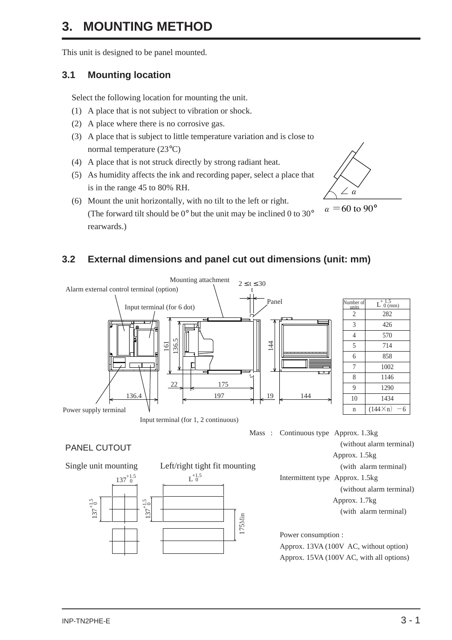### <span id="page-15-0"></span>**3. MOUNTING METHOD**

This unit is designed to be panel mounted.

#### **3.1 Mounting location**

Select the following location for mounting the unit.

- (1) A place that is not subject to vibration or shock.
- (2) A place where there is no corrosive gas.
- (3) A place that is subject to little temperature variation and is close to normal temperature (23°C)
- (4) A place that is not struck directly by strong radiant heat.
- (5) As humidity affects the ink and recording paper, select a place that is in the range 45 to 80% RH.



(6) Mount the unit horizontally, with no tilt to the left or right. (The forward tilt should be 0° but the unit may be inclined 0 to 30° rearwards.)

#### **3.2 External dimensions and panel cut out dimensions (unit: mm)**



PANEL CUTOUT

Single unit mounting Left/right tight fit mounting



(without alarm terminal) Approx. 1.5kg (with alarm terminal) Intermittent type Approx. 1.5kg (without alarm terminal) Approx. 1.7kg

(with alarm terminal)

Power consumption : Approx. 13VA (100V AC, without option) Approx. 15VA (100V AC, with all options)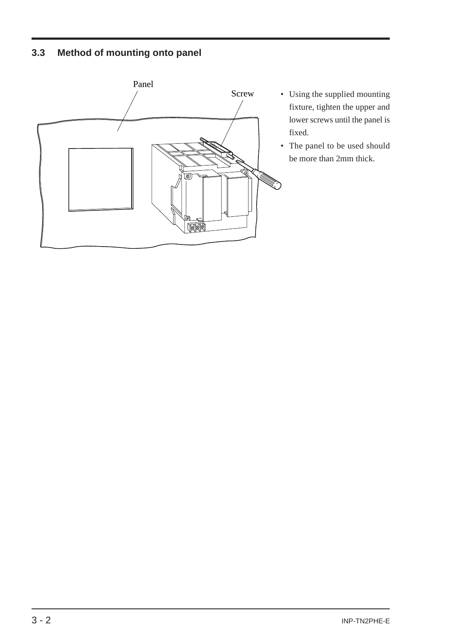#### <span id="page-16-0"></span>**3.3 Method of mounting onto panel**



- Using the supplied mounting fixture, tighten the upper and lower screws until the panel is fixed.
- The panel to be used should be more than 2mm thick.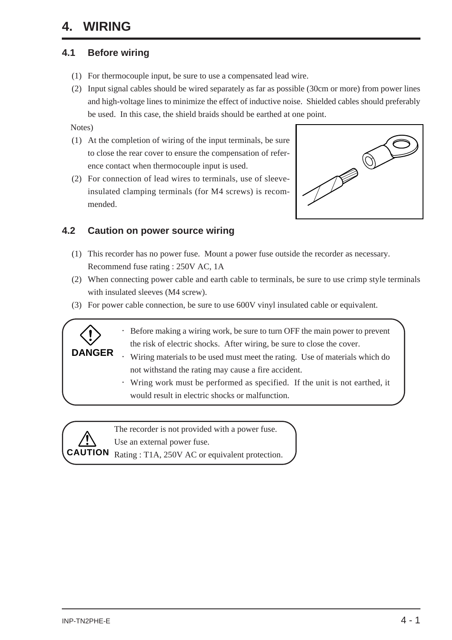### <span id="page-17-0"></span>**4. WIRING**

#### **4.1 Before wiring**

- (1) For thermocouple input, be sure to use a compensated lead wire.
- (2) Input signal cables should be wired separately as far as possible (30cm or more) from power lines and high-voltage lines to minimize the effect of inductive noise. Shielded cables should preferably be used. In this case, the shield braids should be earthed at one point.

Notes)

- (1) At the completion of wiring of the input terminals, be sure to close the rear cover to ensure the compensation of reference contact when thermocouple input is used.
- (2) For connection of lead wires to terminals, use of sleeveinsulated clamping terminals (for M4 screws) is recommended.



#### **4.2 Caution on power source wiring**

- (1) This recorder has no power fuse. Mount a power fuse outside the recorder as necessary. Recommend fuse rating : 250V AC, 1A
- (2) When connecting power cable and earth cable to terminals, be sure to use crimp style terminals with insulated sleeves (M4 screw).
- (3) For power cable connection, be sure to use 600V vinyl insulated cable or equivalent.
	- ・ Before making a wiring work, be sure to turn OFF the main power to prevent the risk of electric shocks. After wiring, be sure to close the cover.
	- ・ Wiring materials to be used must meet the rating. Use of materials which do not withstand the rating may cause a fire accident.
	- ・ Wring work must be performed as specified. If the unit is not earthed, it would result in electric shocks or malfunction.



**DANGER**

The recorder is not provided with a power fuse. Use an external power fuse.

**TION** Rating : T1A, 250V AC or equivalent protection.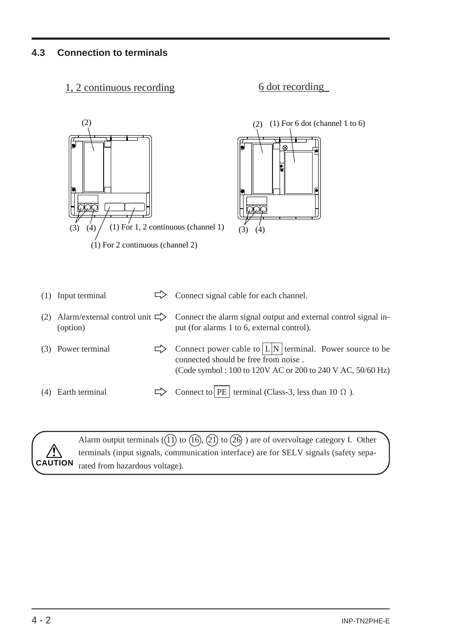#### <span id="page-18-0"></span>**4.3 Connection to terminals**

#### 1, 2 continuous recording 6 dot recording





|     | (1) Input terminal | Connect signal cable for each channel.                                                                                                                                          |
|-----|--------------------|---------------------------------------------------------------------------------------------------------------------------------------------------------------------------------|
|     | (option)           | Alarm/external control unit $\Rightarrow$ Connect the alarm signal output and external control signal in-<br>put (for alarms 1 to 6, external control).                         |
|     | (3) Power terminal | Connect power cable to $\lfloor L \rfloor N$ terminal. Power source to be<br>connected should be free from noise.<br>(Code symbol: 100 to 120V AC or 200 to 240 V AC, 50/60 Hz) |
| (4) | Earth terminal     | Connect to   PE   terminal (Class-3, less than 10 $\Omega$ ).                                                                                                                   |



Alarm output terminals  $(1)$  to  $(1)$ ,  $(2)$  to  $(26)$  ) are of overvoltage category I. Other terminals (input signals, communication interface) are for SELV signals (safety separated from hazardous voltage). **CAUTION**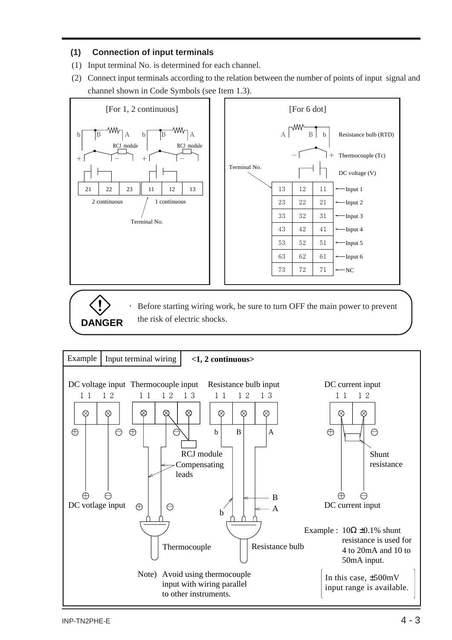#### **(1) Connection of input terminals**

- (1) Input terminal No. is determined for each channel.
- (2) Connect input terminals according to the relation between the number of points of input signal and channel shown in Code Symbols (see Item 1.3).



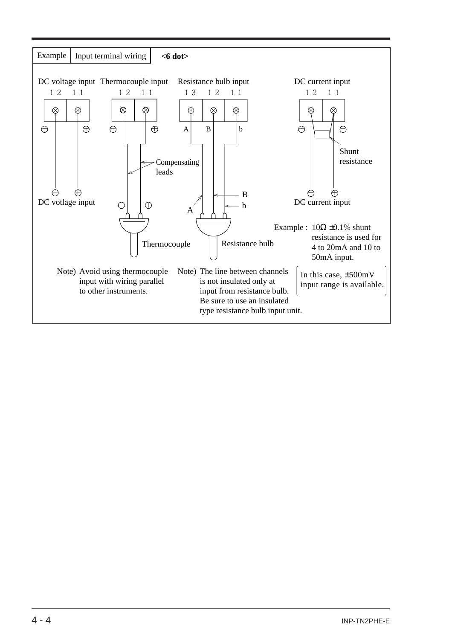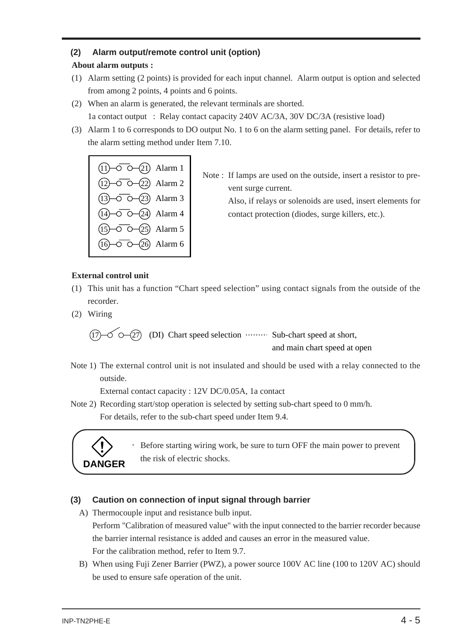#### **(2) Alarm output/remote control unit (option)**

#### **About alarm outputs :**

- (1) Alarm setting (2 points) is provided for each input channel. Alarm output is option and selected from among 2 points, 4 points and 6 points.
- (2) When an alarm is generated, the relevant terminals are shorted. 1a contact output : Relay contact capacity 240V AC/3A, 30V DC/3A (resistive load)
- (3) Alarm 1 to 6 corresponds to DO output No. 1 to 6 on the alarm setting panel. For details, refer to the alarm setting method under Item 7.10.

| $(1) - 0$ $(-2)$ Alarm 1                     |  |
|----------------------------------------------|--|
| $(12) - 6 - (22)$ Alarm 2                    |  |
| $(13) - 0 - (23)$ Alarm 3                    |  |
| $\overline{(14)-0-O}$ $\overline{O}$ Alarm 4 |  |
| $(15) - 0 - (25)$ Alarm 5                    |  |
| $(16) - 0 - (26)$ Alarm 6                    |  |

Note : If lamps are used on the outside, insert a resistor to prevent surge current.

> Also, if relays or solenoids are used, insert elements for contact protection (diodes, surge killers, etc.).

#### **External control unit**

- (1) This unit has a function "Chart speed selection" using contact signals from the outside of the recorder.
- (2) Wiring

 $(17)$   $\sim$   $\sim$   $(27)$  (DI) Chart speed selection  $\cdots$  Sub-chart speed at short, and main chart speed at open

Note 1) The external control unit is not insulated and should be used with a relay connected to the outside.

External contact capacity : 12V DC/0.05A, 1a contact

Note 2) Recording start/stop operation is selected by setting sub-chart speed to 0 mm/h.

For details, refer to the sub-chart speed under Item 9.4.



Before starting wiring work, be sure to turn OFF the main power to prevent the risk of electric shocks. **DANGER**

#### **(3) Caution on connection of input signal through barrier**

A) Thermocouple input and resistance bulb input.

Perform "Calibration of measured value" with the input connected to the barrier recorder because the barrier internal resistance is added and causes an error in the measured value. For the calibration method, refer to Item 9.7.

B) When using Fuji Zener Barrier (PWZ), a power source 100V AC line (100 to 120V AC) should be used to ensure safe operation of the unit.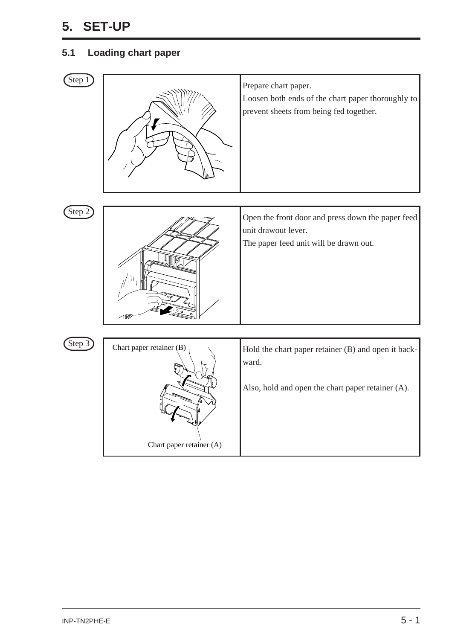### <span id="page-22-0"></span>**5. SET-UP**

#### **5.1 Loading chart paper**

| Step 1   |                                                      | Prepare chart paper.<br>Loosen both ends of the chart paper thoroughly to<br>prevent sheets from being fed together. |
|----------|------------------------------------------------------|----------------------------------------------------------------------------------------------------------------------|
| (Step 2) |                                                      | Open the front door and press down the paper feed<br>unit drawout lever.<br>The paper feed unit will be drawn out.   |
| Step 3   | Chart paper retainer (B)<br>Chart paper retainer (A) | Hold the chart paper retainer (B) and open it back-<br>ward.<br>Also, hold and open the chart paper retainer (A).    |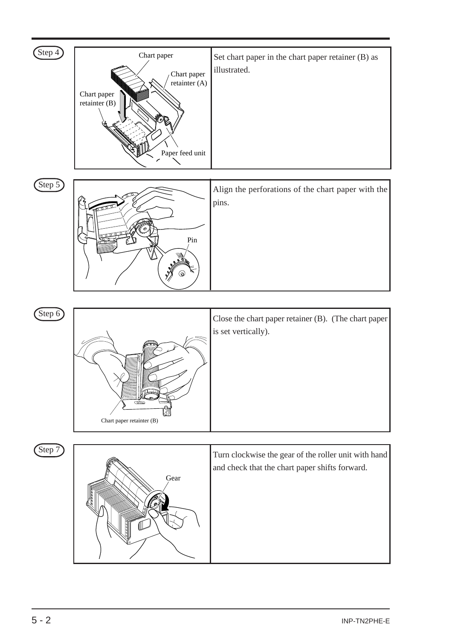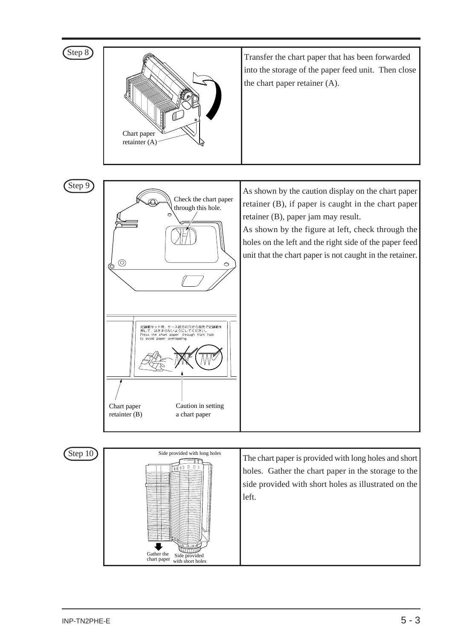

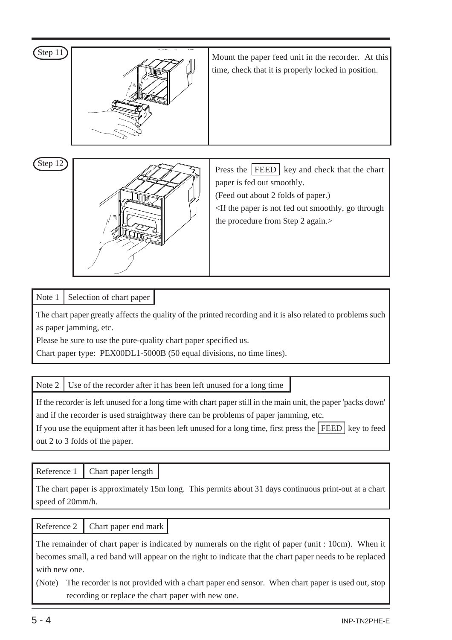| Step 11 | Mount the paper feed unit in the recorder. At this<br>time, check that it is properly locked in position.                                                                                                                                           |
|---------|-----------------------------------------------------------------------------------------------------------------------------------------------------------------------------------------------------------------------------------------------------|
| Step 12 | Press the   FEED  <br>key and check that the chart<br>paper is fed out smoothly.<br>(Feed out about 2 folds of paper.)<br><if fed="" go="" is="" not="" out="" paper="" smoothly,="" the="" through<br="">the procedure from Step 2 again.&gt;</if> |

#### Note 1 | Selection of chart paper |

The chart paper greatly affects the quality of the printed recording and it is also related to problems such as paper jamming, etc.

Please be sure to use the pure-quality chart paper specified us.

Chart paper type: PEX00DL1-5000B (50 equal divisions, no time lines).

Note  $2 \mid$  Use of the recorder after it has been left unused for a long time

If the recorder is left unused for a long time with chart paper still in the main unit, the paper 'packs down' and if the recorder is used straightway there can be problems of paper jamming, etc.

If you use the equipment after it has been left unused for a long time, first press the  $\vert$  FEED  $\rvert$  key to feed out 2 to 3 folds of the paper.

Reference 1 Chart paper length

The chart paper is approximately 15m long. This permits about 31 days continuous print-out at a chart speed of 20mm/h.

#### Reference 2 Chart paper end mark

The remainder of chart paper is indicated by numerals on the right of paper (unit : 10cm). When it becomes small, a red band will appear on the right to indicate that the chart paper needs to be replaced with new one.

(Note) The recorder is not provided with a chart paper end sensor. When chart paper is used out, stop recording or replace the chart paper with new one.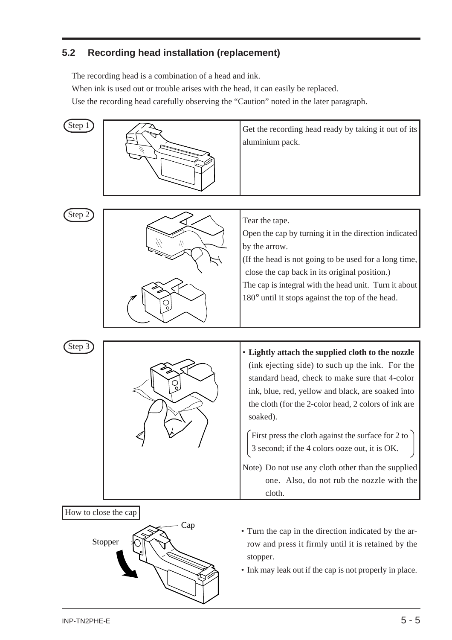#### <span id="page-26-0"></span>**5.2 Recording head installation (replacement)**

The recording head is a combination of a head and ink.

When ink is used out or trouble arises with the head, it can easily be replaced.

Use the recording head carefully observing the "Caution" noted in the later paragraph.





• Ink may leak out if the cap is not properly in place.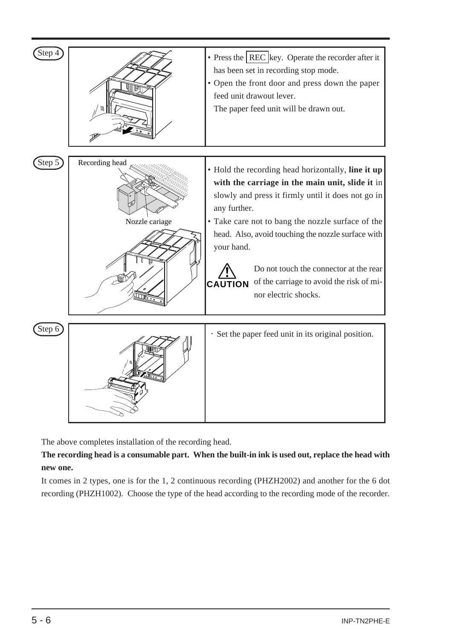| Step 4 |                                  | • Press the $ REC $ key. Operate the recorder after it<br>has been set in recording stop mode.<br>• Open the front door and press down the paper<br>feed unit drawout lever.<br>The paper feed unit will be drawn out.                                                                                                                                                                                                               |
|--------|----------------------------------|--------------------------------------------------------------------------------------------------------------------------------------------------------------------------------------------------------------------------------------------------------------------------------------------------------------------------------------------------------------------------------------------------------------------------------------|
|        |                                  |                                                                                                                                                                                                                                                                                                                                                                                                                                      |
| Step 5 | Recording head<br>Nozzle cariage | • Hold the recording head horizontally, line it up<br>with the carriage in the main unit, slide it in<br>slowly and press it firmly until it does not go in<br>any further.<br>• Take care not to bang the nozzle surface of the<br>head. Also, avoid touching the nozzle surface with<br>your hand.<br>Do not touch the connector at the rear<br>of the carriage to avoid the risk of mi-<br><b>CAUTION</b><br>nor electric shocks. |
|        |                                  |                                                                                                                                                                                                                                                                                                                                                                                                                                      |
| Step 6 |                                  | · Set the paper feed unit in its original position.                                                                                                                                                                                                                                                                                                                                                                                  |

The above completes installation of the recording head.

**The recording head is a consumable part. When the built-in ink is used out, replace the head with new one.**

It comes in 2 types, one is for the 1, 2 continuous recording (PHZH2002) and another for the 6 dot recording (PHZH1002). Choose the type of the head according to the recording mode of the recorder.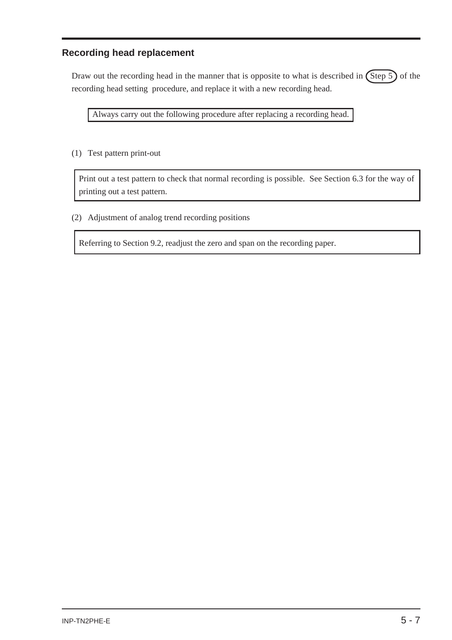#### **Recording head replacement**

Draw out the recording head in the manner that is opposite to what is described in  $\left(\text{Step 5}\right)$  of the recording head setting procedure, and replace it with a new recording head.

Always carry out the following procedure after replacing a recording head.

(1) Test pattern print-out

Print out a test pattern to check that normal recording is possible. See Section 6.3 for the way of printing out a test pattern.

(2) Adjustment of analog trend recording positions

Referring to Section 9.2, readjust the zero and span on the recording paper.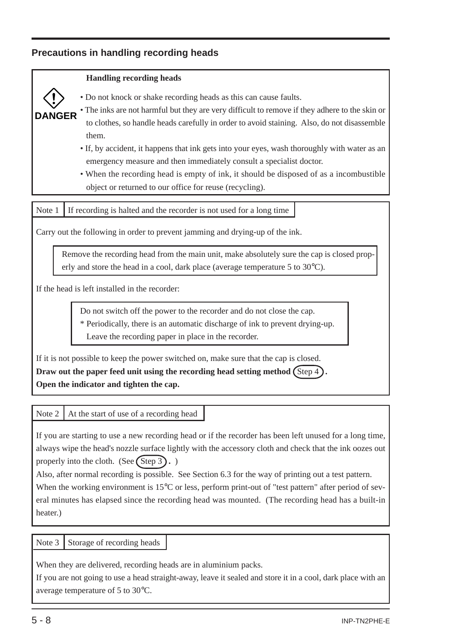#### **Precautions in handling recording heads**

#### **Handling recording heads**



- Do not knock or shake recording heads as this can cause faults.
- The inks are not harmful but they are very difficult to remove if they adhere to the skin or to clothes, so handle heads carefully in order to avoid staining. Also, do not disassemble them.
- If, by accident, it happens that ink gets into your eyes, wash thoroughly with water as an emergency measure and then immediately consult a specialist doctor.
- When the recording head is empty of ink, it should be disposed of as a incombustible object or returned to our office for reuse (recycling).

Note 1 If recording is halted and the recorder is not used for a long time

Carry out the following in order to prevent jamming and drying-up of the ink.

Remove the recording head from the main unit, make absolutely sure the cap is closed properly and store the head in a cool, dark place (average temperature 5 to 30°C).

If the head is left installed in the recorder:

Do not switch off the power to the recorder and do not close the cap.

\* Periodically, there is an automatic discharge of ink to prevent drying-up.

Leave the recording paper in place in the recorder.

If it is not possible to keep the power switched on, make sure that the cap is closed. **Draw out the paper feed unit using the recording head setting method**  $\text{Step 4}$ **. Open the indicator and tighten the cap.**

Note 2  $\vert$  At the start of use of a recording head

If you are starting to use a new recording head or if the recorder has been left unused for a long time, always wipe the head's nozzle surface lightly with the accessory cloth and check that the ink oozes out properly into the cloth. (See  $\left($  Step 3 $\right)$ .) Also, after normal recording is possible. See Section 6.3 for the way of printing out a test pattern. When the working environment is 15<sup>o</sup>C or less, perform print-out of "test pattern" after period of several minutes has elapsed since the recording head was mounted. (The recording head has a built-in heater.)

Note  $3$  Storage of recording heads

When they are delivered, recording heads are in aluminium packs.

If you are not going to use a head straight-away, leave it sealed and store it in a cool, dark place with an average temperature of 5 to 30°C.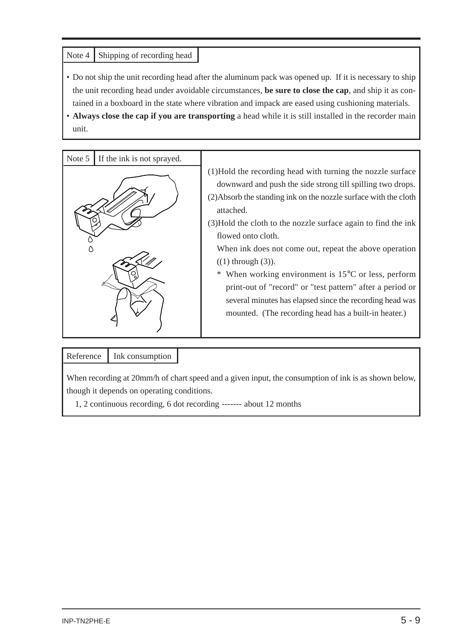#### Note 4 | Shipping of recording head

- Do not ship the unit recording head after the aluminum pack was opened up. If it is necessary to ship the unit recording head under avoidable circumstances, **be sure to close the cap**, and ship it as contained in a boxboard in the state where vibration and impack are eased using cushioning materials.
- **Always close the cap if you are transporting** a head while it is still installed in the recorder main unit.

| Note 5 | If the ink is not sprayed. |                                                                                                                                                                                                                                                                                                                                                                                                                                                                                                                                                                                                                                         |
|--------|----------------------------|-----------------------------------------------------------------------------------------------------------------------------------------------------------------------------------------------------------------------------------------------------------------------------------------------------------------------------------------------------------------------------------------------------------------------------------------------------------------------------------------------------------------------------------------------------------------------------------------------------------------------------------------|
|        |                            | (1) Hold the recording head with turning the nozzle surface<br>downward and push the side strong till spilling two drops.<br>(2) Absorb the standing ink on the nozzle surface with the cloth<br>attached.<br>(3) Hold the cloth to the nozzle surface again to find the ink<br>flowed onto cloth.<br>When ink does not come out, repeat the above operation<br>$((1)$ through $(3)$ ).<br>When working environment is $15^{\circ}$ C or less, perform<br>print-out of "record" or "test pattern" after a period or<br>several minutes has elapsed since the recording head was<br>mounted. (The recording head has a built-in heater.) |

#### Reference | Ink consumption

When recording at 20mm/h of chart speed and a given input, the consumption of ink is as shown below, though it depends on operating conditions.

1, 2 continuous recording, 6 dot recording ------- about 12 months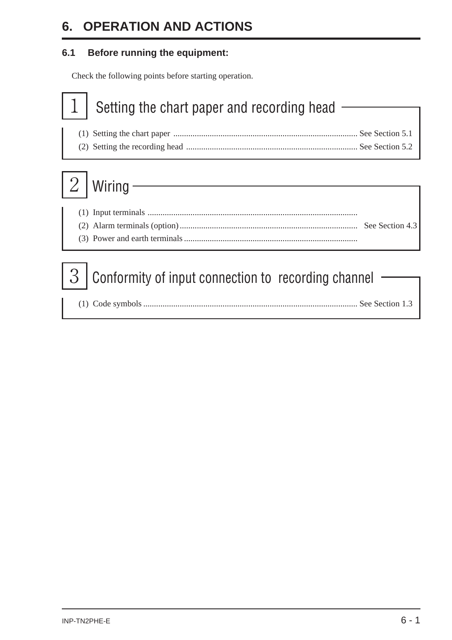### <span id="page-31-0"></span>**6. OPERATION AND ACTIONS**

#### **6.1 Before running the equipment:**

Check the following points before starting operation.

## Setting the chart paper and recording head

(1) Setting the chart paper ...................................................................................... See Section 5.1 (2) Setting the recording head ................................................................................ See Section 5.2

# $2$  | Wiring  $\cdot$

## $3$  Conformity of input connection to recording channel

|--|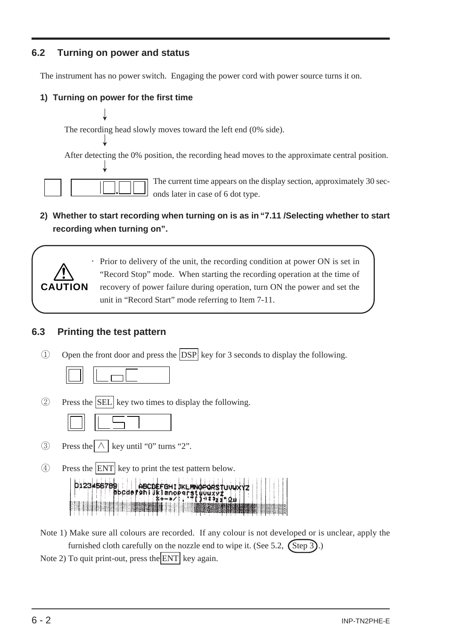#### <span id="page-32-0"></span>**6.2 Turning on power and status**

The instrument has no power switch. Engaging the power cord with power source turns it on.

#### **1) Turning on power for the first time**

↓

↓

The recording head slowly moves toward the left end (0% side).

After detecting the 0% position, the recording head moves to the approximate central position. ↓

The current time appears on the display section, approximately 30 seconds later in case of 6 dot type.

#### **2) Whether to start recording when turning on is as in "7.11 /Selecting whether to start recording when turning on".**



・ Prior to delivery of the unit, the recording condition at power ON is set in "Record Stop" mode. When starting the recording operation at the time of recovery of power failure during operation, turn ON the power and set the unit in "Record Start" mode referring to Item 7-11.

#### **6.3 Printing the test pattern**

① Open the front door and press the DSP key for 3 seconds to display the following.

|--|--|

② Press the SEL key two times to display the following.



- $\textcircled{3}$  Press the  $\wedge$  key until "0" turns "2".
- ④ Press the ENT key to print the test pattern below.

| 0123456789 | A BODEFOHI IKLINKOPORSTUUUXYZ |  |  |
|------------|-------------------------------|--|--|
|            |                               |  |  |

Note 1) Make sure all colours are recorded. If any colour is not developed or is unclear, apply the furnished cloth carefully on the nozzle end to wipe it. (See 5.2,  $\binom{\text{Step 3}}{2}$ .) Note 2) To quit print-out, press the ENT key again.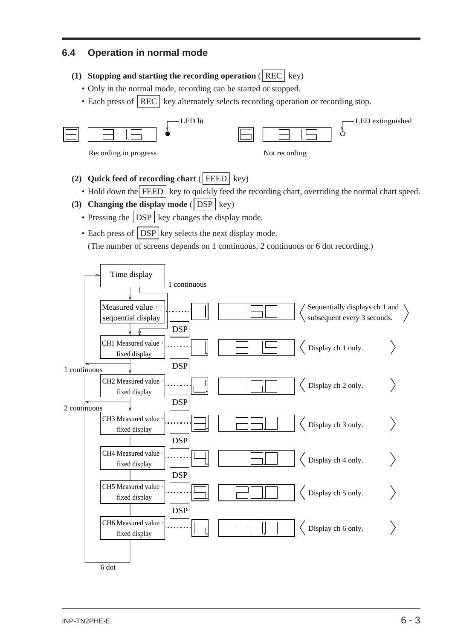#### <span id="page-33-0"></span>**6.4 Operation in normal mode**

- **(1) Stopping and starting the recording operation** ( $|REC| key$ )
	- Only in the normal mode, recording can be started or stopped.
	- Each press of  $|REC|$  key alternately selects recording operation or recording stop.



- **(2) Quick feed of recording chart** (  $FEED$  key)
	- Hold down the FEED key to quickly feed the recording chart, overriding the normal chart speed.
- **(3) Changing the display mode** ( $\vert$  DSP  $\vert$  key)
	- Pressing the  $\vert$  DSP key changes the display mode.
	- Each press of  $\vert$  DSP key selects the next display mode.

(The number of screens depends on 1 continuous, 2 continuous or 6 dot recording.)

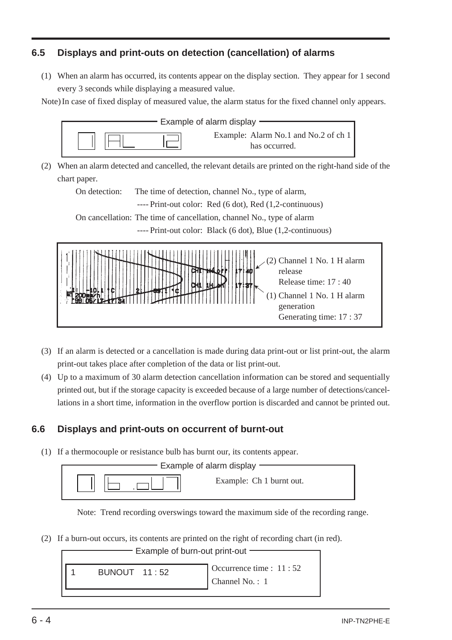#### <span id="page-34-0"></span>**6.5 Displays and print-outs on detection (cancellation) of alarms**

(1) When an alarm has occurred, its contents appear on the display section. They appear for 1 second every 3 seconds while displaying a measured value.

Note) In case of fixed display of measured value, the alarm status for the fixed channel only appears.



(2) When an alarm detected and cancelled, the relevant details are printed on the right-hand side of the chart paper.

On detection: The time of detection, channel No., type of alarm,

---- Print-out color: Red (6 dot), Red (1,2-continuous)

On cancellation: The time of cancellation, channel No., type of alarm

---- Print-out color: Black (6 dot), Blue (1,2-continuous)



- (3) If an alarm is detected or a cancellation is made during data print-out or list print-out, the alarm print-out takes place after completion of the data or list print-out.
- (4) Up to a maximum of 30 alarm detection cancellation information can be stored and sequentially printed out, but if the storage capacity is exceeded because of a large number of detections/cancellations in a short time, information in the overflow portion is discarded and cannot be printed out.

#### **6.6 Displays and print-outs on occurrent of burnt-out**

(1) If a thermocouple or resistance bulb has burnt our, its contents appear.

| Example of alarm display |                          |  |
|--------------------------|--------------------------|--|
|                          | Example: Ch 1 burnt out. |  |

Note: Trend recording overswings toward the maximum side of the recording range.

(2) If a burn-out occurs, its contents are printed on the right of recording chart (in red).

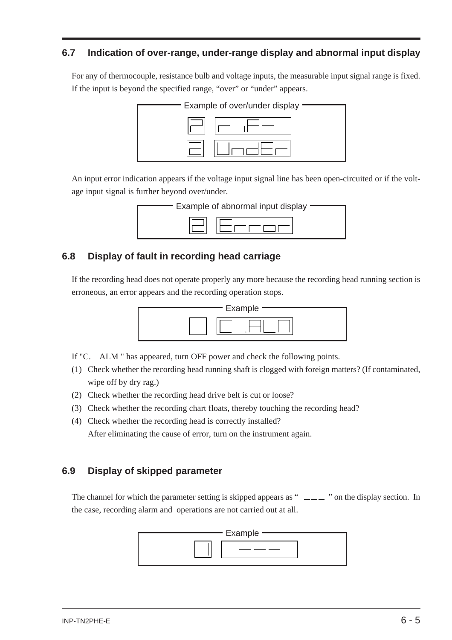#### <span id="page-35-0"></span>**6.7 Indication of over-range, under-range display and abnormal input display**

For any of thermocouple, resistance bulb and voltage inputs, the measurable input signal range is fixed. If the input is beyond the specified range, "over" or "under" appears.



An input error indication appears if the voltage input signal line has been open-circuited or if the voltage input signal is further beyond over/under.



#### **6.8 Display of fault in recording head carriage**

If the recording head does not operate properly any more because the recording head running section is erroneous, an error appears and the recording operation stops.



If "C. ALM " has appeared, turn OFF power and check the following points.

- (1) Check whether the recording head running shaft is clogged with foreign matters? (If contaminated, wipe off by dry rag.)
- (2) Check whether the recording head drive belt is cut or loose?
- (3) Check whether the recording chart floats, thereby touching the recording head?
- (4) Check whether the recording head is correctly installed? After eliminating the cause of error, turn on the instrument again.

#### **6.9 Display of skipped parameter**

The channel for which the parameter setting is skipped appears as " $\sim$   $\sim$   $\sim$  " on the display section. In the case, recording alarm and operations are not carried out at all.

| - Example |  |
|-----------|--|
|           |  |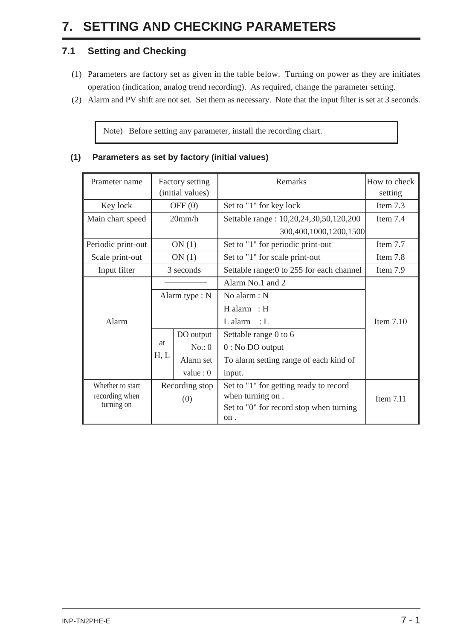# **7. SETTING AND CHECKING PARAMETERS**

## **7.1 Setting and Checking**

- (1) Parameters are factory set as given in the table below. Turning on power as they are initiates operation (indication, analog trend recording). As required, change the parameter setting.
- (2) Alarm and PV shift are not set. Set them as necessary. Note that the input filter is set at 3 seconds.

Note) Before setting any parameter, install the recording chart.

#### **(1) Parameters as set by factory (initial values)**

| Prameter name      |                | Factory setting  | Remarks                                  | How to check |  |
|--------------------|----------------|------------------|------------------------------------------|--------------|--|
|                    |                | (initial values) | setting                                  |              |  |
| Key lock           |                | OFF $(0)$        | Set to "1" for key lock                  | Item 7.3     |  |
| Main chart speed   |                | 20mm/h           | Settable range : 10,20,24,30,50,120,200  | Item 7.4     |  |
|                    |                |                  | 300,400,1000,1200,1500                   |              |  |
| Periodic print-out |                | ON(1)            | Set to "1" for periodic print-out        | Item 7.7     |  |
| Scale print-out    |                | ON(1)            | Set to "1" for scale print-out           | Item 7.8     |  |
| Input filter       |                | 3 seconds        | Settable range:0 to 255 for each channel | Item 7.9     |  |
|                    | Alarm type : N |                  | Alarm No.1 and 2                         |              |  |
|                    |                |                  | No alarm: N                              |              |  |
|                    |                |                  | $H$ alarm : $H$                          |              |  |
| Alarm              |                |                  | $L$ alarm : $L$                          | Item $7.10$  |  |
|                    |                | DO output        | Settable range 0 to 6                    |              |  |
|                    | at             | No.: 0           | $0:$ No DO output                        |              |  |
|                    | H, L           | Alarm set        | To alarm setting range of each kind of   |              |  |
|                    |                | value : $0$      | input.                                   |              |  |
| Whether to start   | Recording stop |                  | Set to "1" for getting ready to record   |              |  |
| recording when     |                | (0)              | when turning on.                         | Item $7.11$  |  |
| turning on         |                |                  | Set to "0" for record stop when turning  |              |  |
|                    |                |                  | on.                                      |              |  |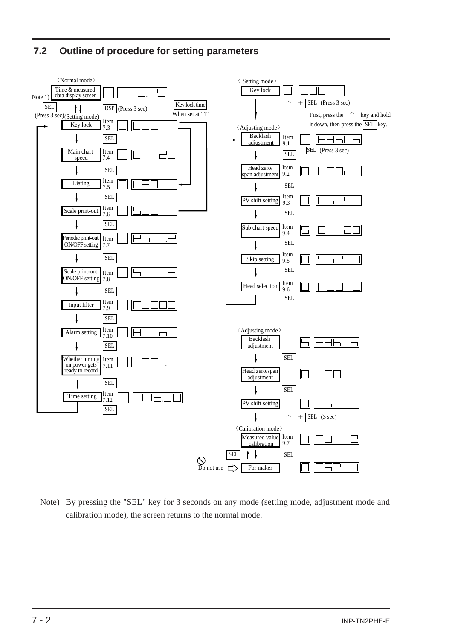## **7.2 Outline of procedure for setting parameters**



Note) By pressing the "SEL" key for 3 seconds on any mode (setting mode, adjustment mode and calibration mode), the screen returns to the normal mode.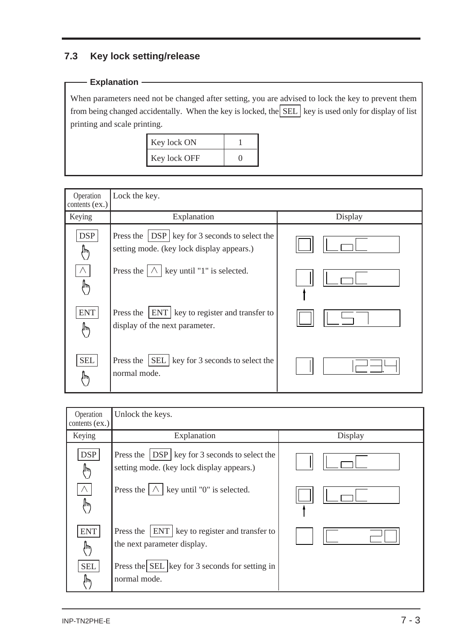## **7.3 Key lock setting/release**

## **Explanation**

When parameters need not be changed after setting, you are advised to lock the key to prevent them from being changed accidentally. When the key is locked, the  $\boxed{\text{SEL}}$  key is used only for display of list printing and scale printing.

| Key lock ON  |  |
|--------------|--|
| Key lock OFF |  |

| Operation<br>contents $(ex.)$ | Lock the key.                                                                                  |         |
|-------------------------------|------------------------------------------------------------------------------------------------|---------|
| Keying                        | Explanation                                                                                    | Display |
| <b>DSP</b><br>∤ր)             | Press the   DSP   key for 3 seconds to select the<br>setting mode. (key lock display appears.) |         |
| سل                            | Press the $ \wedge $ key until "1" is selected.                                                |         |
| <b>ENT</b><br>لربرا           | <b>ENT</b> key to register and transfer to<br>Press the<br>display of the next parameter.      |         |
| <b>SEL</b><br>ΊW              | Press the $\vert$ SEL $\vert$ key for 3 seconds to select the<br>normal mode.                  |         |

| Operation<br>contents (ex.) | Unlock the keys.                                                                                                                                      |         |
|-----------------------------|-------------------------------------------------------------------------------------------------------------------------------------------------------|---------|
| Keying                      | Explanation                                                                                                                                           | Display |
| <b>DSP</b><br>⊮<br>Λ        | Press the $ $ DSP $ $ key for 3 seconds to select the<br>setting mode. (key lock display appears.)<br>Press the $ \wedge $ key until "0" is selected. |         |
| ,                           |                                                                                                                                                       |         |
| <b>ENT</b><br>ᡀ             | <b>ENT</b> key to register and transfer to<br>Press the<br>the next parameter display.                                                                |         |
| <b>SEL</b><br>⊮∖            | Press the SEL key for 3 seconds for setting in<br>normal mode.                                                                                        |         |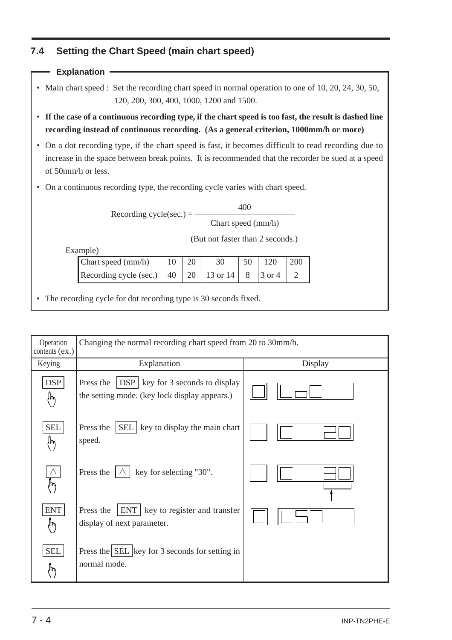## **7.4 Setting the Chart Speed (main chart speed)**

### **Explanation**

- Main chart speed : Set the recording chart speed in normal operation to one of 10, 20, 24, 30, 50, 120, 200, 300, 400, 1000, 1200 and 1500.
- **If the case of a continuous recording type, if the chart speed is too fast, the result is dashed line recording instead of continuous recording. (As a general criterion, 1000mm/h or more)**
- On a dot recording type, if the chart speed is fast, it becomes difficult to read recording due to increase in the space between break points. It is recommended that the recorder be sued at a speed of 50mm/h or less.
- On a continuous recording type, the recording cycle varies with chart speed.

Recording cycle(sec.)  $=$   $-$ 

400

Chart speed (mm/h)

(But not faster than 2 seconds.)

Example)

| $\mathsf{Char}$ speed $\mathsf{(mm/h)}$                  |  |  | 120 | $\frac{1200}{200}$ |
|----------------------------------------------------------|--|--|-----|--------------------|
| Recording cycle (sec.) $ 40 $ 20   13 or 14   8   3 or 4 |  |  |     |                    |

• The recording cycle for dot recording type is 30 seconds fixed.

| Operation<br>contents (ex.) | Changing the normal recording chart speed from 20 to 30mm/h.                                          |         |  |  |  |
|-----------------------------|-------------------------------------------------------------------------------------------------------|---------|--|--|--|
| Keying                      | Explanation                                                                                           | Display |  |  |  |
| <b>DSP</b><br>∤Խ            | <b>DSP</b> key for 3 seconds to display<br>Press the<br>the setting mode. (key lock display appears.) |         |  |  |  |
| <b>SEL</b><br>Ίμ            | SEL<br>key to display the main chart<br>Press the<br>speed.                                           |         |  |  |  |
| $\wedge$<br>$(\mu)$         | key for selecting "30".<br>Press the                                                                  |         |  |  |  |
| <b>ENT</b><br>∤ր/           | Press the<br>ENT<br>key to register and transfer<br>display of next parameter.                        |         |  |  |  |
| <b>SEL</b><br>١ψ            | Press the SEL key for 3 seconds for setting in<br>normal mode.                                        |         |  |  |  |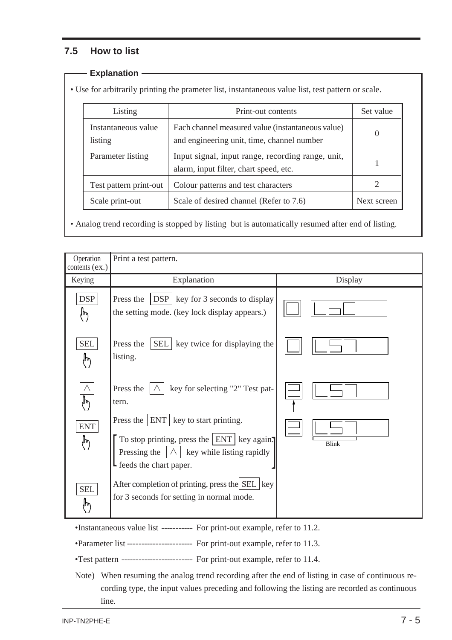### **7.5 How to list**

#### **Explanation**

• Use for arbitrarily printing the prameter list, instantaneous value list, test pattern or scale.

| Listing                        | Print-out contents                                                                              | Set value   |
|--------------------------------|-------------------------------------------------------------------------------------------------|-------------|
| Instantaneous value<br>listing | Each channel measured value (instantaneous value)<br>and engineering unit, time, channel number |             |
| Parameter listing              | Input signal, input range, recording range, unit,<br>alarm, input filter, chart speed, etc.     |             |
| Test pattern print-out         | Colour patterns and test characters                                                             |             |
| Scale print-out                | Scale of desired channel (Refer to 7.6)                                                         | Next screen |

• Analog trend recording is stopped by listing but is automatically resumed after end of listing.

| Operation<br>contents $(ex.)$ | Print a test pattern.                                                                                                                |              |
|-------------------------------|--------------------------------------------------------------------------------------------------------------------------------------|--------------|
| Keying                        | Explanation                                                                                                                          | Display      |
| <b>DSP</b><br>ſ۳              | <b>DSP</b> key for 3 seconds to display<br>Press the<br>the setting mode. (key lock display appears.)                                |              |
| <b>SEL</b><br>$\sqrt{\mu\nu}$ | Press the<br>SEL   key twice for displaying the<br>listing.                                                                          |              |
| Λ<br>,                        | Press the<br>key for selecting "2" Test pat-<br>tern.<br>Press the $ ENT $ key to start printing.                                    |              |
| <b>ENT</b><br>♪               | To stop printing, press the $ ENT $ key again.<br>key while listing rapidly<br>$\Lambda$<br>Pressing the<br>L feeds the chart paper. | <b>Blink</b> |
| <b>SEL</b><br>ſΨ              | After completion of printing, press the SEL   key<br>for 3 seconds for setting in normal mode.                                       |              |

•Instantaneous value list ----------- For print-out example, refer to 11.2.

•Parameter list ----------------------- For print-out example, refer to 11.3.

•Test pattern ------------------------- For print-out example, refer to 11.4.

Note) When resuming the analog trend recording after the end of listing in case of continuous recording type, the input values preceding and following the listing are recorded as continuous line.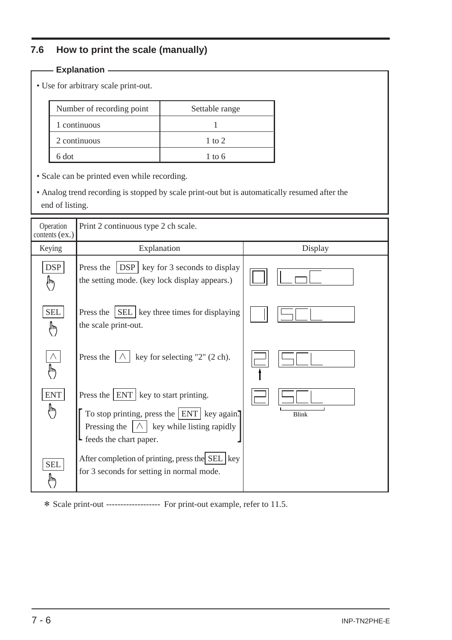## **7.6 How to print the scale (manually)**

|                             | <b>Explanation</b> -                                                                                             |                                                                                                                                                 |  |              |  |
|-----------------------------|------------------------------------------------------------------------------------------------------------------|-------------------------------------------------------------------------------------------------------------------------------------------------|--|--------------|--|
|                             | • Use for arbitrary scale print-out.                                                                             |                                                                                                                                                 |  |              |  |
|                             | Number of recording point                                                                                        | Settable range                                                                                                                                  |  |              |  |
|                             | 1 continuous                                                                                                     | 1                                                                                                                                               |  |              |  |
|                             | 2 continuous                                                                                                     | $1$ to $2$                                                                                                                                      |  |              |  |
|                             | 6 dot                                                                                                            | $1$ to 6                                                                                                                                        |  |              |  |
|                             | • Scale can be printed even while recording.                                                                     |                                                                                                                                                 |  |              |  |
|                             | • Analog trend recording is stopped by scale print-out but is automatically resumed after the<br>end of listing. |                                                                                                                                                 |  |              |  |
| Operation<br>contents (ex.) | Print 2 continuous type 2 ch scale.                                                                              |                                                                                                                                                 |  |              |  |
| Keying                      | Explanation                                                                                                      |                                                                                                                                                 |  | Display      |  |
| <b>DSP</b><br>$\downarrow$  | Press the                                                                                                        | $DSP$ key for 3 seconds to display<br>the setting mode. (key lock display appears.)                                                             |  |              |  |
| <b>SEL</b><br>$\psi$        | Press the $ SEL $ key three times for displaying<br>the scale print-out.                                         |                                                                                                                                                 |  |              |  |
| IW                          | Press the                                                                                                        | key for selecting "2" (2 ch).                                                                                                                   |  |              |  |
| <b>ENT</b><br>(™            | L feeds the chart paper.                                                                                         | Press the   ENT   key to start printing.<br>To stop printing, press the $ ENT $ key again.<br>Pressing the $ \wedge $ key while listing rapidly |  | <b>Blink</b> |  |
| <b>SEL</b><br>,             |                                                                                                                  | After completion of printing, press the SEL key<br>for 3 seconds for setting in normal mode.                                                    |  |              |  |

\* Scale print-out ------------------- For print-out example, refer to 11.5.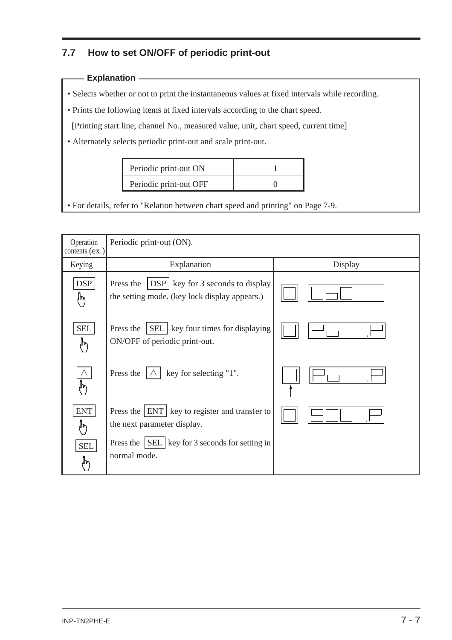## **7.7 How to set ON/OFF of periodic print-out**

#### **Explanation**

- Selects whether or not to print the instantaneous values at fixed intervals while recording.
- Prints the following items at fixed intervals according to the chart speed.

[Printing start line, channel No., measured value, unit, chart speed, current time]

• Alternately selects periodic print-out and scale print-out.

| Periodic print-out ON  |  |
|------------------------|--|
| Periodic print-out OFF |  |

• For details, refer to "Relation between chart speed and printing" on Page 7-9.

| Operation<br>contents $(ex.)$ | Periodic print-out (ON).                                                                              |         |  |
|-------------------------------|-------------------------------------------------------------------------------------------------------|---------|--|
| Keying                        | Explanation                                                                                           | Display |  |
| <b>DSP</b><br>$\psi$          | <b>DSP</b> key for 3 seconds to display<br>Press the<br>the setting mode. (key lock display appears.) |         |  |
| <b>SEL</b><br>Ψ               | <b>SEL</b>   key four times for displaying<br>Press the<br>ON/OFF of periodic print-out.              |         |  |
| ١٣                            | key for selecting "1".<br>Press the                                                                   |         |  |
| <b>ENT</b><br>⊮″              | Press the $ ENT $ key to register and transfer to<br>the next parameter display.                      |         |  |
| <b>SEL</b><br>١m              | Press the $\vert$ SEL $\vert$ key for 3 seconds for setting in<br>normal mode.                        |         |  |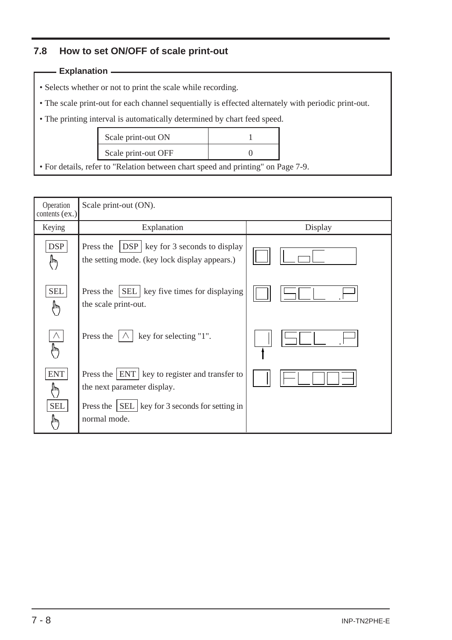## **7.8 How to set ON/OFF of scale print-out**

#### **Explanation**

- Selects whether or not to print the scale while recording.
- The scale print-out for each channel sequentially is effected alternately with periodic print-out.
- The printing interval is automatically determined by chart feed speed.

| Scale print-out ON  |  |
|---------------------|--|
| Scale print-out OFF |  |

• For details, refer to "Relation between chart speed and printing" on Page 7-9.

| Operation<br>contents $(ex.)$ | Scale print-out (ON).                                                                                 |         |
|-------------------------------|-------------------------------------------------------------------------------------------------------|---------|
| Keying                        | Explanation                                                                                           | Display |
| <b>DSP</b><br>$\psi$          | <b>DSP</b> key for 3 seconds to display<br>Press the<br>the setting mode. (key lock display appears.) |         |
| <b>SEL</b><br>⊮               | <b>SEL</b>   key five times for displaying<br>Press the<br>the scale print-out.                       |         |
| $\wedge$<br>╟                 | Press the<br>key for selecting "1".                                                                   |         |
| <b>ENT</b><br>١m              | Press the $ ENT $ key to register and transfer to<br>the next parameter display.                      |         |
| <b>SEL</b><br>١m              | Press the $ SEL $ key for 3 seconds for setting in<br>normal mode.                                    |         |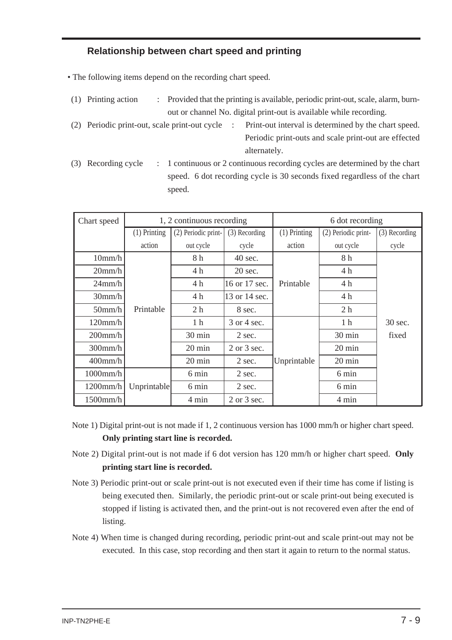## **Relationship between chart speed and printing**

• The following items depend on the recording chart speed.

- (1) Printing action : Provided that the printing is available, periodic print-out, scale, alarm, burnout or channel No. digital print-out is available while recording.
- (2) Periodic print-out, scale print-out cycle : Print-out interval is determined by the chart speed. Periodic print-outs and scale print-out are effected alternately.
- (3) Recording cycle : 1 continuous or 2 continuous recording cycles are determined by the chart speed. 6 dot recording cycle is 30 seconds fixed regardless of the chart speed.

| Chart speed | 1, 2 continuous recording |                     | 6 dot recording   |                |                     |               |
|-------------|---------------------------|---------------------|-------------------|----------------|---------------------|---------------|
|             | $(1)$ Printing            | (2) Periodic print- | $(3)$ Recording   | $(1)$ Printing | (2) Periodic print- | (3) Recording |
|             | action                    | out cycle           | cycle             | action         | out cycle           | cycle         |
| 10mm/h      |                           | 8h                  | $40 \text{ sec.}$ |                | 8h                  |               |
| 20mm/h      |                           | 4h                  | $20$ sec.         |                | 4h                  |               |
| $24$ mm/h   |                           | 4 h                 | 16 or 17 sec.     | Printable      | 4 h                 |               |
| 30mm/h      |                           | 4 h                 | 13 or 14 sec.     |                | 4 h                 |               |
| $50$ mm/h   | Printable                 | 2 <sub>h</sub>      | 8 sec.            |                | 2 <sub>h</sub>      |               |
| 120mm/h     |                           | 1 <sub>h</sub>      | 3 or 4 sec.       |                | 1 <sub>h</sub>      | 30 sec.       |
| $200$ mm/h  |                           | 30 min              | 2 sec.            |                | 30 min              | fixed         |
| $300$ mm/h  |                           | 20 min              | 2 or 3 sec.       |                | 20 min              |               |
| $400$ mm/h  |                           | $20 \text{ min}$    | 2 sec.            | Unprintable    | 20 min              |               |
| $1000$ mm/h |                           | 6 min               | 2 sec.            |                | 6 min               |               |
| $1200$ mm/h | Unprintable               | 6 min               | 2 sec.            |                | 6 min               |               |
| $1500$ mm/h |                           | 4 min               | $2$ or $3$ sec.   |                | 4 min               |               |

- Note 1) Digital print-out is not made if 1, 2 continuous version has 1000 mm/h or higher chart speed. **Only printing start line is recorded.**
- Note 2) Digital print-out is not made if 6 dot version has 120 mm/h or higher chart speed. **Only printing start line is recorded.**
- Note 3) Periodic print-out or scale print-out is not executed even if their time has come if listing is being executed then. Similarly, the periodic print-out or scale print-out being executed is stopped if listing is activated then, and the print-out is not recovered even after the end of listing.
- Note 4) When time is changed during recording, periodic print-out and scale print-out may not be executed. In this case, stop recording and then start it again to return to the normal status.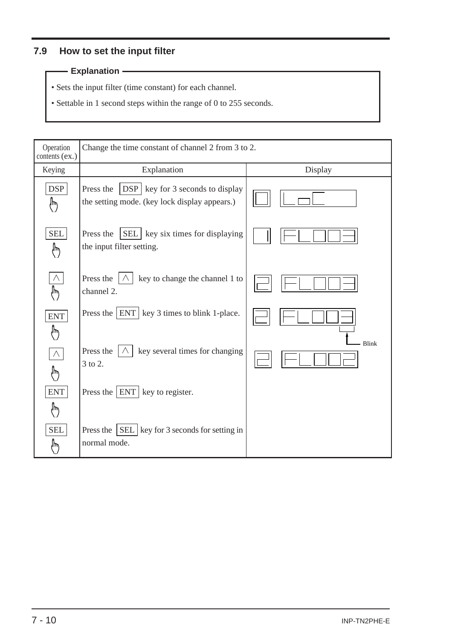## **7.9 How to set the input filter**

#### **Explanation**

- Sets the input filter (time constant) for each channel.
- Settable in 1 second steps within the range of 0 to 255 seconds.

| Operation<br>contents (ex.) | Change the time constant of channel 2 from 3 to 2.                                               |              |
|-----------------------------|--------------------------------------------------------------------------------------------------|--------------|
| Keying                      | Explanation                                                                                      | Display      |
| <b>DSP</b><br>,             | Press the<br>$DSP$ key for 3 seconds to display<br>the setting mode. (key lock display appears.) |              |
| <b>SEL</b><br>١٣            | SEL   key six times for displaying<br>Press the<br>the input filter setting.                     |              |
| ᡀ                           | Press the<br>key to change the channel 1 to<br>channel 2.                                        |              |
| <b>ENT</b><br>╟             | Press the $ ENT $ key 3 times to blink 1-place.                                                  |              |
| $\wedge$<br>١W              | Press the<br>key several times for changing<br>3 to 2.                                           | <b>Blink</b> |
| <b>ENT</b><br>╟╖            | Press the $ ENT $ key to register.                                                               |              |
| <b>SEL</b><br>⊮             | Press the $\vert$ SEL $\vert$ key for 3 seconds for setting in<br>normal mode.                   |              |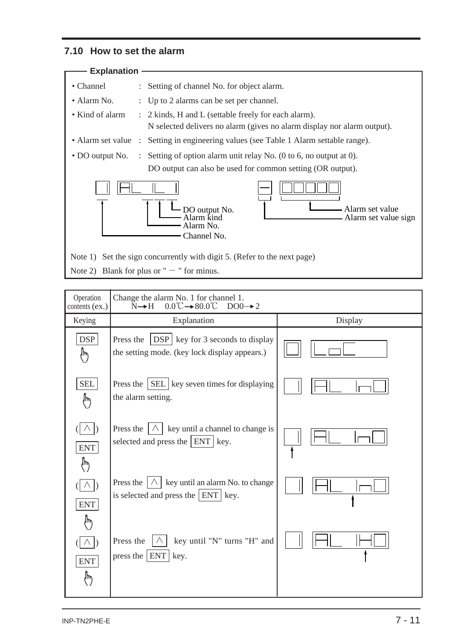## **7.10 How to set the alarm**

| <b>Explanation</b>                |                                                                                                                                                  |
|-----------------------------------|--------------------------------------------------------------------------------------------------------------------------------------------------|
| • Channel                         | : Setting of channel No. for object alarm.                                                                                                       |
| • Alarm No.                       | : Up to 2 alarms can be set per channel.                                                                                                         |
| • Kind of alarm                   | : 2 kinds, H and L (settable freely for each alarm).<br>N selected delivers no alarm (gives no alarm display nor alarm output).                  |
| • Alarm set value<br>$\therefore$ | Setting in engineering values (see Table 1 Alarm settable range).                                                                                |
|                                   | • DO output No. : Setting of option alarm unit relay No. (0 to 6, no output at 0).<br>DO output can also be used for common setting (OR output). |
|                                   | - Alarm set value<br>DO output No.<br>Alarm ƙind<br>- Alarm set value sign<br>Alarm No.<br>Channel No.                                           |
|                                   | Note 1) Set the sign concurrently with digit 5. (Refer to the next page)                                                                         |
|                                   | Note 2) Blank for plus or " $-$ " for minus.                                                                                                     |

| Operation<br>contents (ex.) | Change the alarm No. 1 for channel 1.<br>$0.0^{\circ}\text{C} \rightarrow 80.0^{\circ}\text{C}$ DO0 $\rightarrow 2$<br>$N \rightarrow H$ |         |
|-----------------------------|------------------------------------------------------------------------------------------------------------------------------------------|---------|
| Keying                      | Explanation                                                                                                                              | Display |
| <b>DSP</b><br>$\psi$        | $\text{DSP}$ key for 3 seconds to display<br>Press the<br>the setting mode. (key lock display appears.)                                  |         |
| <b>SEL</b><br>∕խ            | Press the $\vert$ SEL $\vert$ key seven times for displaying<br>the alarm setting.                                                       |         |
| <b>ENT</b><br>ή۳            | key until a channel to change is<br>Press the<br>$ \wedge $<br>selected and press the $ ENT $ key.                                       |         |
| <b>ENT</b>                  | Press the $ \wedge $ key until an alarm No. to change<br>is selected and press the $ ENT $ key.                                          |         |
| Ί۳<br><b>ENT</b><br>١W      | Press the<br>key until "N" turns "H" and<br>press the $ ENT $<br>key.                                                                    |         |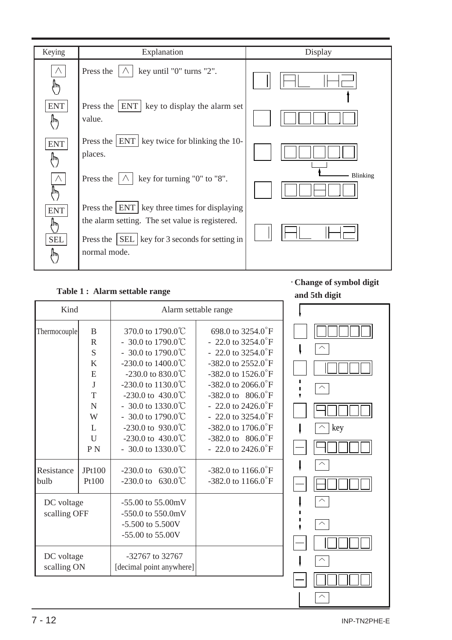| Keying                              | Explanation                                                                                                                                                             | Display  |
|-------------------------------------|-------------------------------------------------------------------------------------------------------------------------------------------------------------------------|----------|
| $\wedge$<br>١W                      | key until "0" turns "2".<br>Press the                                                                                                                                   |          |
| <b>ENT</b><br>ᡀ                     | <b>ENT</b><br>Press the $\parallel$<br>key to display the alarm set<br>value.                                                                                           |          |
| <b>ENT</b><br>⊮                     | Press the $ ENT $ key twice for blinking the 10-<br>places.                                                                                                             |          |
| ١m                                  | key for turning "0" to "8".<br>Press the                                                                                                                                | Blinking |
| <b>ENT</b><br>ᡀ<br><b>SEL</b><br>ᢔᡃ | Press the $ ENT $ key three times for displaying<br>the alarm setting. The set value is registered.<br>Press the SEL   key for 3 seconds for setting in<br>normal mode. |          |

#### **Table 1 : Alarm settable range**

・**Change of symbol digit**

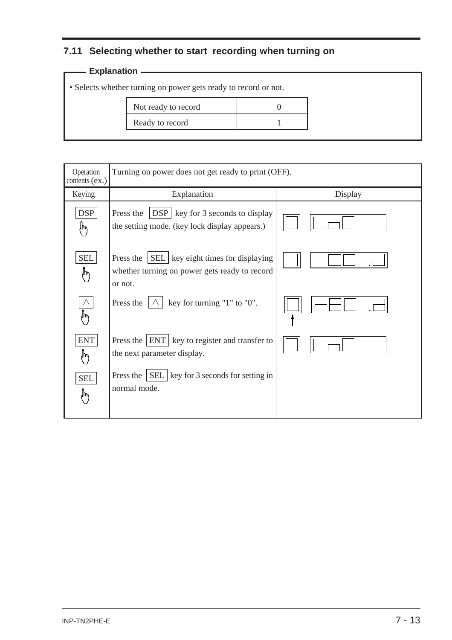## **7.11 Selecting whether to start recording when turning on**

## **Explanation** 2008 2014 2022 2023

• Selects whether turning on power gets ready to record or not.

| Not ready to record |  |
|---------------------|--|
| Ready to record     |  |

| Operation<br>contents (ex.) | Turning on power does not get ready to print (OFF).                                                          |         |
|-----------------------------|--------------------------------------------------------------------------------------------------------------|---------|
| Keying                      | Explanation                                                                                                  | Display |
| <b>DSP</b><br>س∥            | Press the<br>$DSP$ key for 3 seconds to display<br>the setting mode. (key lock display appears.)             |         |
| <b>SEL</b><br>'nψ           | Press the $ SEL $ key eight times for displaying<br>whether turning on power gets ready to record<br>or not. |         |
| ١m                          | key for turning "1" to "0".<br>Press the                                                                     |         |
| <b>ENT</b><br>١m            | Press the ENT key to register and transfer to<br>the next parameter display.                                 |         |
| <b>SEL</b><br>١m            | Press the $\vert$ SEL $\vert$ key for 3 seconds for setting in<br>normal mode.                               |         |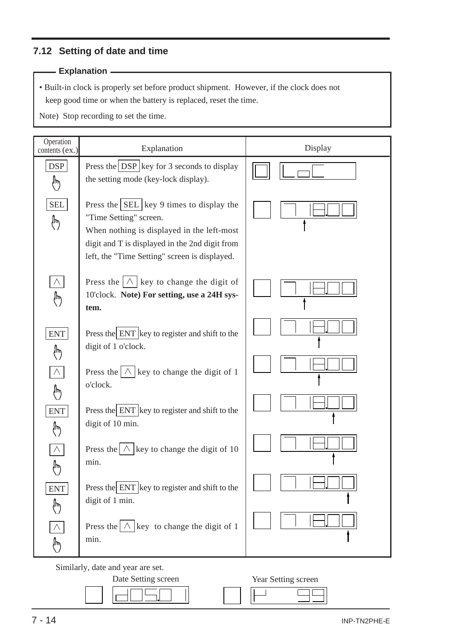## **7.12 Setting of date and time**

#### **Explanation**

• Built-in clock is properly set before product shipment. However, if the clock does not keep good time or when the battery is replaced, reset the time.

Note) Stop recording to set the time.

| Operation<br>contents (ex.) | Explanation                                                                                                                                                                                                                            | Display |
|-----------------------------|----------------------------------------------------------------------------------------------------------------------------------------------------------------------------------------------------------------------------------------|---------|
| DSP<br>⊮                    | Press the $DSP$ key for 3 seconds to display<br>the setting mode (key-lock display).                                                                                                                                                   |         |
| SEL<br>♪                    | Press the $\left $ SEL $\right $ key 9 times to display the<br>"Time Setting" screen.<br>When nothing is displayed in the left-most<br>digit and T is displayed in the 2nd digit from<br>left, the "Time Setting" screen is displayed. |         |
| $\wedge$<br>੍⊮              | Press the $ \wedge $ key to change the digit of<br>10'clock. Note) For setting, use a 24H sys-<br>tem.                                                                                                                                 |         |
| <b>ENT</b><br>∰             | Press the ENT key to register and shift to the<br>digit of 1 o'clock.                                                                                                                                                                  |         |
| $\bigwedge$<br>∤խ           | Press the $ \wedge $ key to change the digit of 1<br>o'clock.                                                                                                                                                                          |         |
| <b>ENT</b><br>∕⊮            | Press the ENT key to register and shift to the<br>digit of 10 min.                                                                                                                                                                     |         |
| Λ<br>ΊΨ                     | Press the $ \wedge $ key to change the digit of 10<br>min.                                                                                                                                                                             |         |
| <b>ENT</b><br>$\psi$        | Press the ENT key to register and shift to the<br>digit of 1 min.                                                                                                                                                                      |         |
| $\psi$                      | Press the $\bigwedge$ key to change the digit of 1<br>min.                                                                                                                                                                             |         |

Similarly, date and year are set.



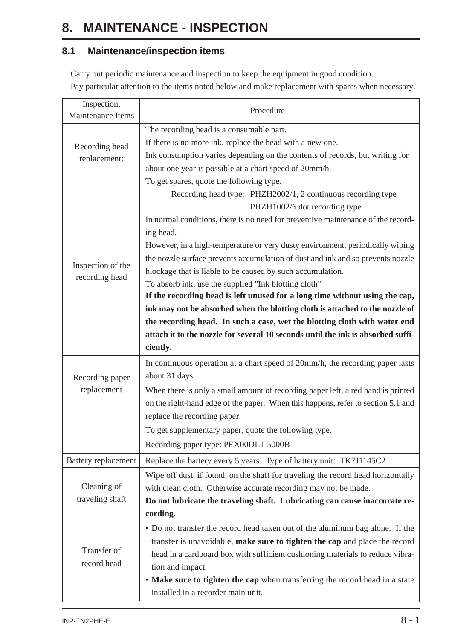# **8. MAINTENANCE - INSPECTION**

## **8.1 Maintenance/inspection items**

Carry out periodic maintenance and inspection to keep the equipment in good condition. Pay particular attention to the items noted below and make replacement with spares when necessary.

| Inspection,<br>Maintenance Items | Procedure                                                                        |
|----------------------------------|----------------------------------------------------------------------------------|
|                                  | The recording head is a consumable part.                                         |
|                                  | If there is no more ink, replace the head with a new one.                        |
| Recording head                   | Ink consumption varies depending on the contents of records, but writing for     |
| replacement:                     | about one year is possible at a chart speed of 20mm/h.                           |
|                                  | To get spares, quote the following type.                                         |
|                                  | Recording head type: PHZH2002/1, 2 continuous recording type                     |
|                                  | PHZH1002/6 dot recording type                                                    |
|                                  | In normal conditions, there is no need for preventive maintenance of the record- |
|                                  | ing head.                                                                        |
|                                  | However, in a high-temperature or very dusty environment, periodically wiping    |
|                                  | the nozzle surface prevents accumulation of dust and ink and so prevents nozzle  |
| Inspection of the                | blockage that is liable to be caused by such accumulation.                       |
| recording head                   | To absorb ink, use the supplied "Ink blotting cloth"                             |
|                                  | If the recording head is left unused for a long time without using the cap,      |
|                                  | ink may not be absorbed when the blotting cloth is attached to the nozzle of     |
|                                  | the recording head. In such a case, wet the blotting cloth with water end        |
|                                  | attach it to the nozzle for several 10 seconds until the ink is absorbed suffi-  |
|                                  | ciently.                                                                         |
|                                  | In continuous operation at a chart speed of 20mm/h, the recording paper lasts    |
| Recording paper                  | about 31 days.                                                                   |
| replacement                      | When there is only a small amount of recording paper left, a red band is printed |
|                                  | on the right-hand edge of the paper. When this happens, refer to section 5.1 and |
|                                  | replace the recording paper.                                                     |
|                                  | To get supplementary paper, quote the following type.                            |
|                                  | Recording paper type: PEX00DL1-5000B                                             |
| <b>Battery</b> replacement       | Replace the battery every 5 years. Type of battery unit: TK7J1145C2              |
|                                  | Wipe off dust, if found, on the shaft for traveling the record head horizontally |
| Cleaning of                      | with clean cloth. Otherwise accurate recording may not be made.                  |
| traveling shaft                  | Do not lubricate the traveling shaft. Lubricating can cause inaccurate re-       |
|                                  | cording.                                                                         |
|                                  | • Do not transfer the record head taken out of the aluminum bag alone. If the    |
|                                  | transfer is unavoidable, make sure to tighten the cap and place the record       |
| Transfer of                      | head in a cardboard box with sufficient cushioning materials to reduce vibra-    |
| record head                      | tion and impact.                                                                 |
|                                  | • Make sure to tighten the cap when transferring the record head in a state      |
|                                  | installed in a recorder main unit.                                               |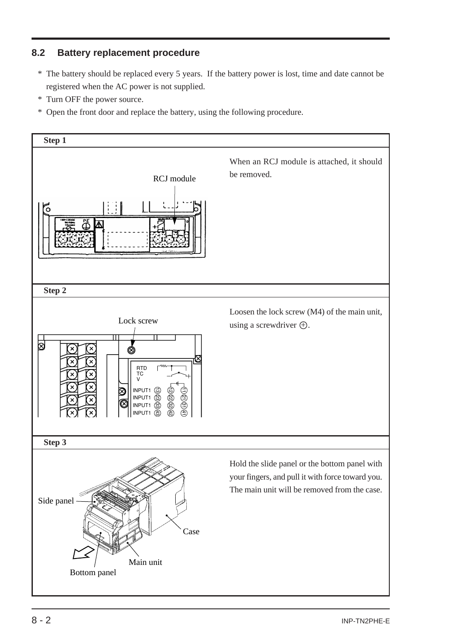## **8.2 Battery replacement procedure**

- \* The battery should be replaced every 5 years. If the battery power is lost, time and date cannot be registered when the AC power is not supplied.
- \* Turn OFF the power source.
- \* Open the front door and replace the battery, using the following procedure.

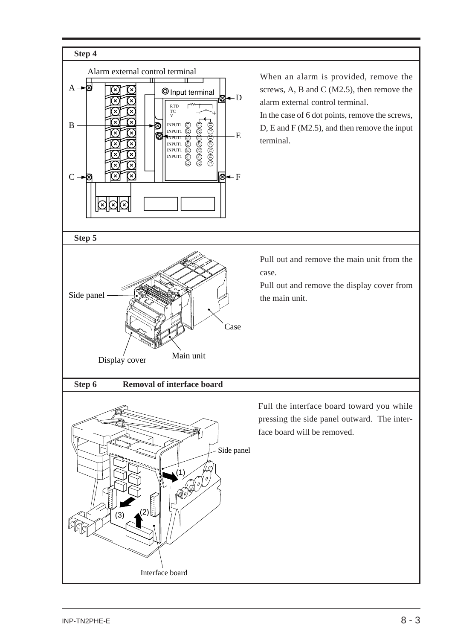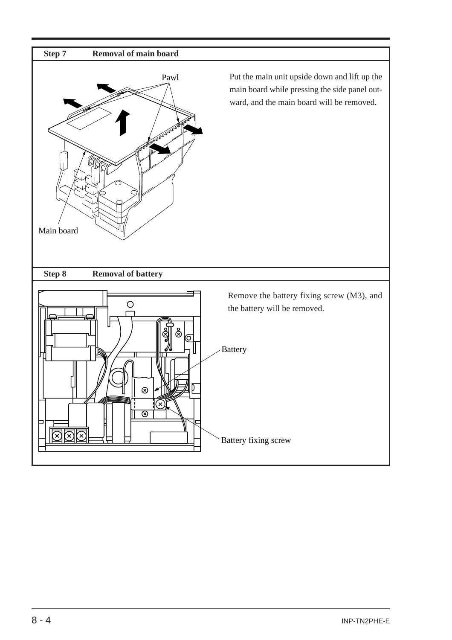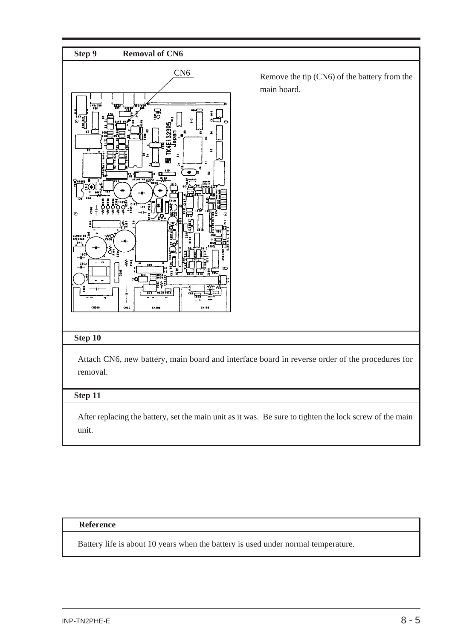

#### **Reference**

Battery life is about 10 years when the battery is used under normal temperature.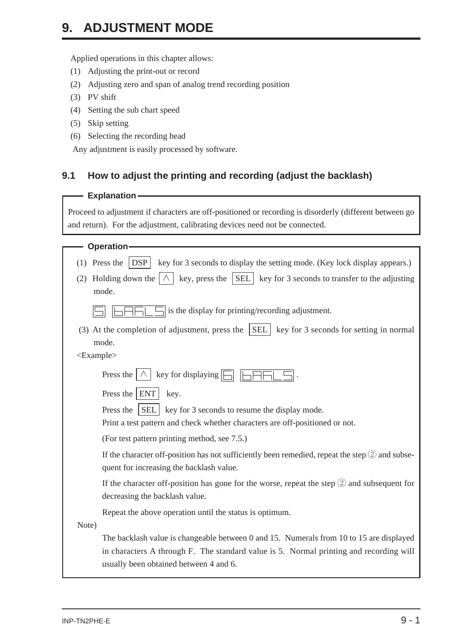# **9. ADJUSTMENT MODE**

Applied operations in this chapter allows:

- (1) Adjusting the print-out or record
- (2) Adjusting zero and span of analog trend recording position
- (3) PV shift
- (4) Setting the sub chart speed
- (5) Skip setting
- (6) Selecting the recording head

Any adjustment is easily processed by software.

## **9.1 How to adjust the printing and recording (adjust the backlash)**

#### **Explanation**

Proceed to adjustment if characters are off-positioned or recording is disorderly (different between go and return). For the adjustment, calibrating devices need not be connected.

|                 | <b>Operation</b>                                                                                                                               |
|-----------------|------------------------------------------------------------------------------------------------------------------------------------------------|
| (1)             | Press the<br>DSP<br>key for 3 seconds to display the setting mode. (Key lock display appears.)                                                 |
| (2)             | key, press the $ SEL $ key for 3 seconds to transfer to the adjusting<br>Holding down the                                                      |
|                 | mode.                                                                                                                                          |
|                 | is the display for printing/recording adjustment.                                                                                              |
|                 | (3) At the completion of adjustment, press the $ SEL $<br>key for 3 seconds for setting in normal                                              |
|                 | mode.                                                                                                                                          |
| $<$ Example $>$ |                                                                                                                                                |
|                 | key for displaying  <br>Press the                                                                                                              |
|                 | Press the ENT<br>key.                                                                                                                          |
|                 | key for 3 seconds to resume the display mode.<br>Press the<br><b>SEL</b>                                                                       |
|                 | Print a test pattern and check whether characters are off-positioned or not.                                                                   |
|                 | (For test pattern printing method, see 7.5.)                                                                                                   |
|                 | If the character off-position has not sufficiently been remedied, repeat the step $(2)$ and subse-<br>quent for increasing the backlash value. |
|                 | If the character off-position has gone for the worse, repeat the step $\mathcal{D}$ and subsequent for<br>decreasing the backlash value.       |
|                 | Repeat the above operation until the status is optimum.                                                                                        |
| Note)           |                                                                                                                                                |
|                 | The backlash value is changeable between 0 and 15. Numerals from 10 to 15 are displayed                                                        |
|                 | in characters A through F. The standard value is 5. Normal printing and recording will                                                         |
|                 | usually been obtained between 4 and 6.                                                                                                         |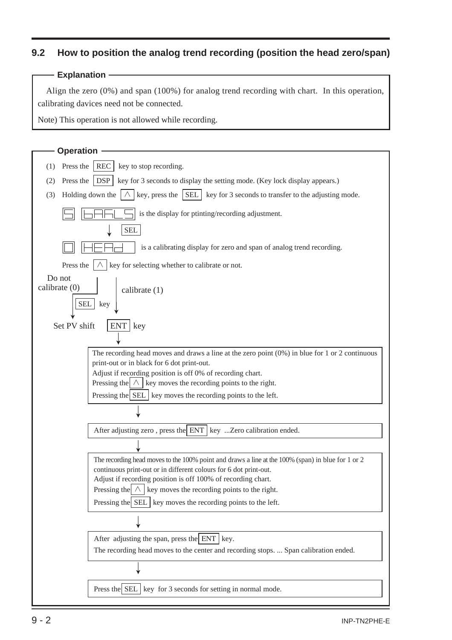## **9.2 How to position the analog trend recording (position the head zero/span)**

#### **Explanation**

Align the zero (0%) and span (100%) for analog trend recording with chart. In this operation, calibrating davices need not be connected.

Note) This operation is not allowed while recording.

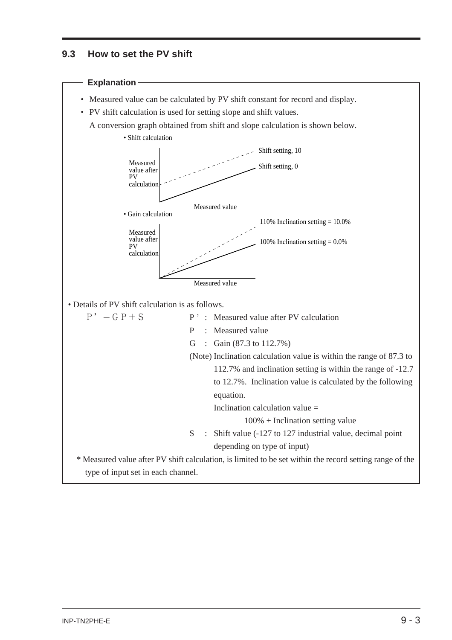### **9.3 How to set the PV shift**

#### **Explanation**

- Measured value can be calculated by PV shift constant for record and display.
- PV shift calculation is used for setting slope and shift values.
	- A conversion graph obtained from shift and slope calculation is shown below.



• Details of PV shift calculation is as follows.

| • Details of PV shift calculation is as follows. |                                                                                                          |
|--------------------------------------------------|----------------------------------------------------------------------------------------------------------|
| $P' = G P + S$                                   | P : Measured value after PV calculation                                                                  |
|                                                  | : Measured value<br>P                                                                                    |
|                                                  | : Gain $(87.3 \text{ to } 112.7\%)$<br>G                                                                 |
|                                                  | (Note) Inclination calculation value is within the range of 87.3 to                                      |
|                                                  | 112.7% and inclination setting is within the range of -12.7                                              |
|                                                  | to 12.7%. Inclination value is calculated by the following                                               |
|                                                  | equation.                                                                                                |
|                                                  | Inclination calculation value $=$                                                                        |
|                                                  | $100\%$ + Inclination setting value                                                                      |
|                                                  | : Shift value $(-127 \text{ to } 127 \text{ industrial value},$ decimal point<br>S.                      |
|                                                  | depending on type of input)                                                                              |
|                                                  | * Measured value after PV shift calculation, is limited to be set within the record setting range of the |
| type of input set in each channel.               |                                                                                                          |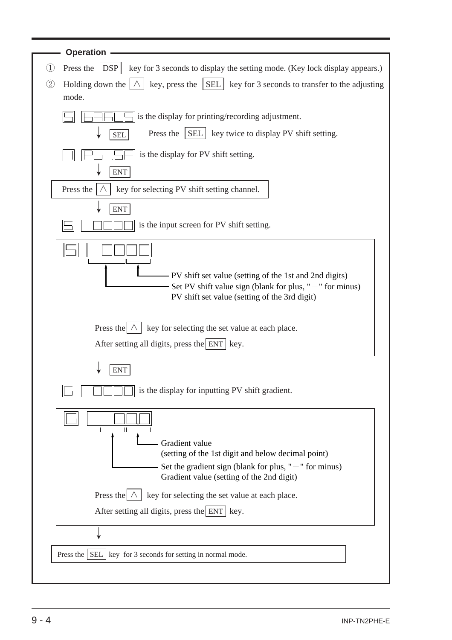| <b>Operation</b>                                                                                                                  |
|-----------------------------------------------------------------------------------------------------------------------------------|
| $\textcircled{\scriptsize{1}}$<br>Press the $ $ DSP<br>key for 3 seconds to display the setting mode. (Key lock display appears.) |
| (2)<br>key, press the $ SEL $ key for 3 seconds to transfer to the adjusting<br>Holding down the                                  |
| mode.                                                                                                                             |
| is the display for printing/recording adjustment.                                                                                 |
| SEL   key twice to display PV shift setting.<br>Press the<br><b>SEL</b>                                                           |
| is the display for PV shift setting.                                                                                              |
| <b>ENT</b>                                                                                                                        |
| Press the<br>key for selecting PV shift setting channel.                                                                          |
| ${\rm ENT}$                                                                                                                       |
| is the input screen for PV shift setting.                                                                                         |
|                                                                                                                                   |
| - PV shift set value (setting of the 1st and 2nd digits)                                                                          |
| Set PV shift value sign (blank for plus, " $-$ " for minus)                                                                       |
| PV shift set value (setting of the 3rd digit)                                                                                     |
| Press the $ \wedge $ key for selecting the set value at each place.                                                               |
| After setting all digits, press the ENT   key.                                                                                    |
|                                                                                                                                   |
| ENT                                                                                                                               |
| is the display for inputting PV shift gradient.                                                                                   |
|                                                                                                                                   |
|                                                                                                                                   |
| Gradient value<br>(setting of the 1st digit and below decimal point)                                                              |
| Set the gradient sign (blank for plus, $"$ – " for minus)                                                                         |
| Gradient value (setting of the 2nd digit)                                                                                         |
| key for selecting the set value at each place.<br>Press the $ \wedge $                                                            |
| After setting all digits, press the $ ENT $ key.                                                                                  |
|                                                                                                                                   |
| Press the $\vert$ SEL $\vert$ key for 3 seconds for setting in normal mode.                                                       |
|                                                                                                                                   |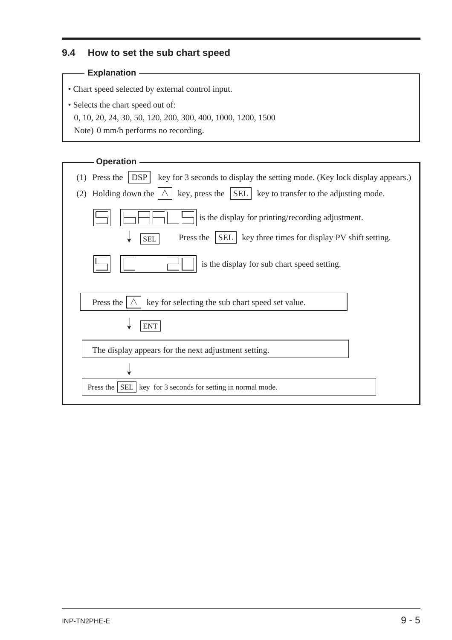### **9.4 How to set the sub chart speed**

#### **Explanation**

• Chart speed selected by external control input.

- Selects the chart speed out of:
	- 0, 10, 20, 24, 30, 50, 120, 200, 300, 400, 1000, 1200, 1500
	- Note) 0 mm/h performs no recording.

| <b>Operation</b>                                                                                              |
|---------------------------------------------------------------------------------------------------------------|
| $\vert$ DSP<br>Press the<br>key for 3 seconds to display the setting mode. (Key lock display appears.)<br>(1) |
| Holding down the $ \wedge$<br>key, press the SEL   key to transfer to the adjusting mode.<br>(2)              |
| is the display for printing/recording adjustment.                                                             |
| Press the<br>SEL   key three times for display PV shift setting.<br><b>SEL</b>                                |
| is the display for sub chart speed setting.                                                                   |
|                                                                                                               |
| Press the<br>key for selecting the sub chart speed set value.                                                 |
| <b>ENT</b>                                                                                                    |
| The display appears for the next adjustment setting.                                                          |
|                                                                                                               |
| Press the $ $ SEL $ $<br>key for 3 seconds for setting in normal mode.                                        |
|                                                                                                               |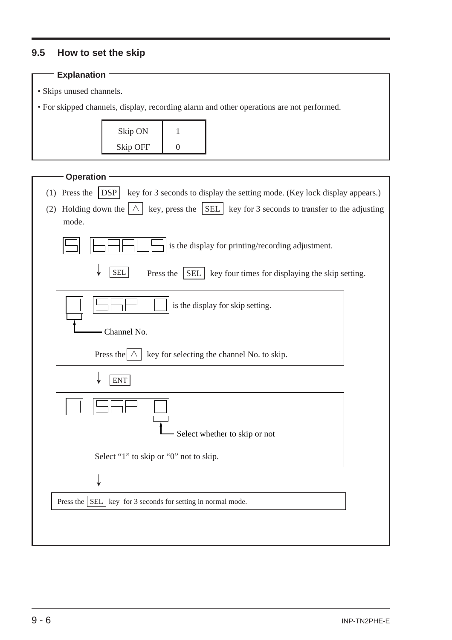## **9.5 How to set the skip**

| <b>Explanation</b>                          |                                                                             |                         |                                                                                          |  |
|---------------------------------------------|-----------------------------------------------------------------------------|-------------------------|------------------------------------------------------------------------------------------|--|
| · Skips unused channels.                    |                                                                             |                         |                                                                                          |  |
|                                             |                                                                             |                         | • For skipped channels, display, recording alarm and other operations are not performed. |  |
|                                             |                                                                             |                         |                                                                                          |  |
|                                             | Skip ON                                                                     | 1                       |                                                                                          |  |
|                                             | <b>Skip OFF</b>                                                             | $\boldsymbol{0}$        |                                                                                          |  |
|                                             |                                                                             |                         |                                                                                          |  |
| <b>Operation</b>                            |                                                                             |                         |                                                                                          |  |
| Press the<br>(1)                            | $\vert$ DSP                                                                 |                         | key for 3 seconds to display the setting mode. (Key lock display appears.)               |  |
| Holding down the $ \wedge $<br>(2)<br>mode. |                                                                             | key, press the $ SEL $  | key for 3 seconds to transfer to the adjusting                                           |  |
|                                             |                                                                             |                         |                                                                                          |  |
|                                             |                                                                             |                         | is the display for printing/recording adjustment.                                        |  |
|                                             |                                                                             |                         |                                                                                          |  |
|                                             | <b>SEL</b>                                                                  | Press the<br><b>SEL</b> | key four times for displaying the skip setting.                                          |  |
|                                             |                                                                             |                         |                                                                                          |  |
|                                             |                                                                             |                         | is the display for skip setting.                                                         |  |
|                                             | Channel No.                                                                 |                         |                                                                                          |  |
|                                             |                                                                             |                         |                                                                                          |  |
|                                             | Press the $\land$                                                           |                         | key for selecting the channel No. to skip.                                               |  |
|                                             | <b>ENT</b>                                                                  |                         |                                                                                          |  |
|                                             |                                                                             |                         |                                                                                          |  |
| $\mathbf{I}$                                | $\mathbf{H}$                                                                |                         |                                                                                          |  |
|                                             |                                                                             |                         | Select whether to skip or not                                                            |  |
|                                             | Select "1" to skip or "0" not to skip.                                      |                         |                                                                                          |  |
|                                             |                                                                             |                         |                                                                                          |  |
|                                             |                                                                             |                         |                                                                                          |  |
|                                             | Press the $\vert$ SEL $\vert$ key for 3 seconds for setting in normal mode. |                         |                                                                                          |  |
|                                             |                                                                             |                         |                                                                                          |  |
|                                             |                                                                             |                         |                                                                                          |  |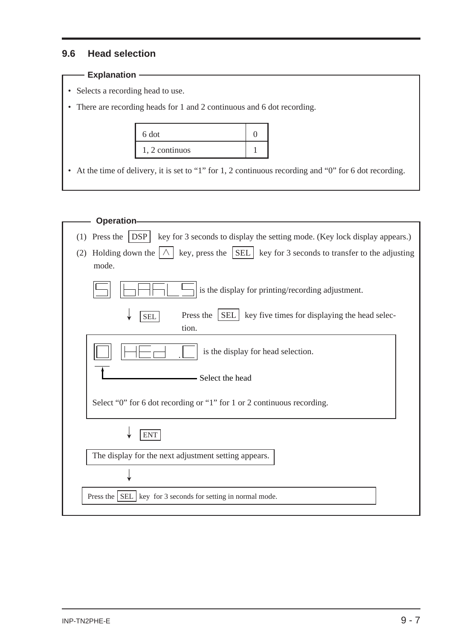### **9.6 Head selection**

## — Explanation ———————————

- Selects a recording head to use.
- There are recording heads for 1 and 2 continuous and 6 dot recording.

| 6 dot          |  |
|----------------|--|
| 1, 2 continuos |  |

• At the time of delivery, it is set to "1" for 1, 2 continuous recording and "0" for 6 dot recording.

| <b>Operation-</b>                                                                                             |  |
|---------------------------------------------------------------------------------------------------------------|--|
| (1) Press the $ $ DSP<br>key for 3 seconds to display the setting mode. (Key lock display appears.)           |  |
| Holding down the $ \wedge $ key, press the SEL key for 3 seconds to transfer to the adjusting<br>(2)<br>mode. |  |
| is the display for printing/recording adjustment.                                                             |  |
| Press the<br><b>SEL</b><br>key five times for displaying the head selec-<br><b>SEL</b><br>tion.               |  |
| is the display for head selection.                                                                            |  |
| Select the head                                                                                               |  |
| Select "0" for 6 dot recording or "1" for 1 or 2 continuous recording.                                        |  |
| <b>ENT</b>                                                                                                    |  |
| The display for the next adjustment setting appears.                                                          |  |
|                                                                                                               |  |
| Press the   SEL   key for 3 seconds for setting in normal mode.                                               |  |
|                                                                                                               |  |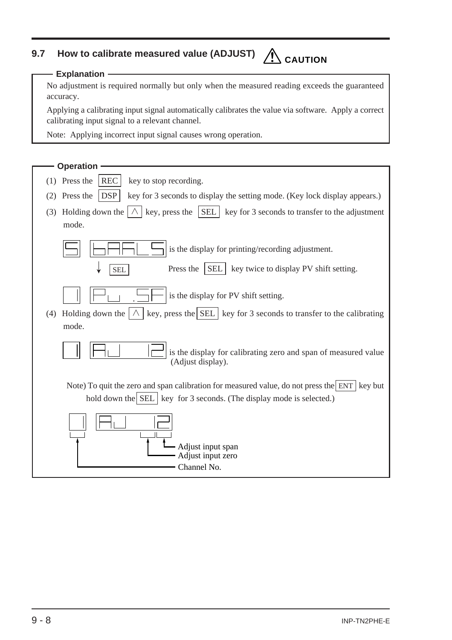# **9.7 How to calibrate measured value (ADJUST) CAUTION**

#### **Explanation**

No adjustment is required normally but only when the measured reading exceeds the guaranteed accuracy.

Applying a calibrating input signal automatically calibrates the value via software. Apply a correct calibrating input signal to a relevant channel.

Note: Applying incorrect input signal causes wrong operation.

| <b>Operation</b>                                                                                                                                                       |
|------------------------------------------------------------------------------------------------------------------------------------------------------------------------|
| <b>REC</b><br>$(1)$ Press the<br>key to stop recording.                                                                                                                |
| Press the<br><b>DSP</b><br>key for 3 seconds to display the setting mode. (Key lock display appears.)<br>(2)                                                           |
| Holding down the $ \wedge $ key, press the SEL key for 3 seconds to transfer to the adjustment<br>(3)<br>mode.                                                         |
| is the display for printing/recording adjustment.                                                                                                                      |
| key twice to display PV shift setting.<br>Press the<br><b>SEL</b><br><b>SEL</b>                                                                                        |
| is the display for PV shift setting.                                                                                                                                   |
| key, press the $\vert$ SEL $\vert$ key for 3 seconds to transfer to the calibrating<br>$\wedge$<br>Holding down the<br>(4)<br>mode.                                    |
| is the display for calibrating zero and span of measured value<br>(Adjust display).                                                                                    |
| Note) To quit the zero and span calibration for measured value, do not press the ENT key but<br>hold down the SEL   key for 3 seconds. (The display mode is selected.) |
| Adjust input span<br>Adjust input zero                                                                                                                                 |
| Channel No.                                                                                                                                                            |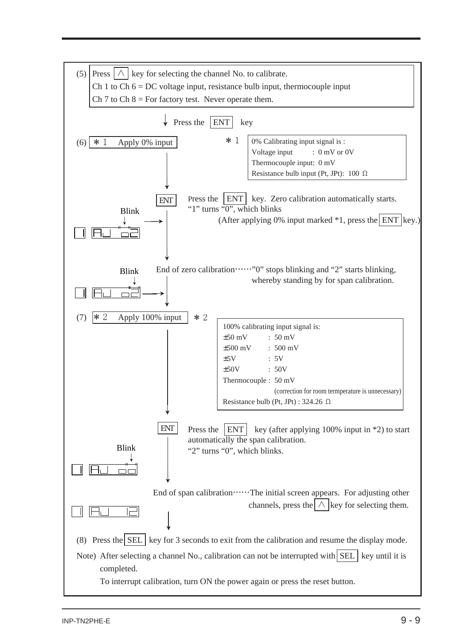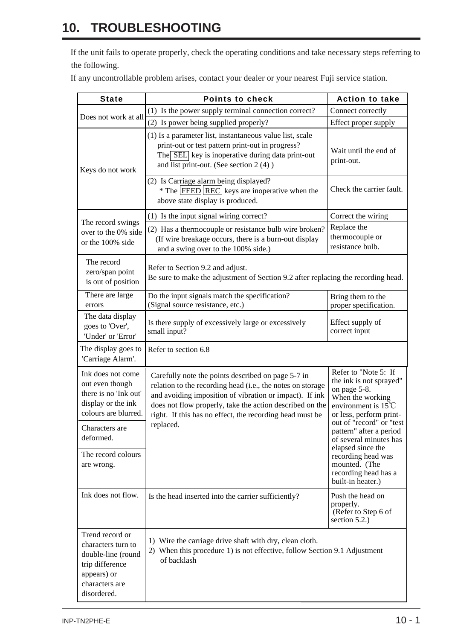# **10. TROUBLESHOOTING**

If the unit fails to operate properly, check the operating conditions and take necessary steps referring to the following.

If any uncontrollable problem arises, contact your dealer or your nearest Fuji service station.

| <b>State</b>                                                                                                                   | <b>Points to check</b>                                                                                                                                                                                                                                                                              | <b>Action to take</b>                                                                                                                           |
|--------------------------------------------------------------------------------------------------------------------------------|-----------------------------------------------------------------------------------------------------------------------------------------------------------------------------------------------------------------------------------------------------------------------------------------------------|-------------------------------------------------------------------------------------------------------------------------------------------------|
| Does not work at all                                                                                                           | (1) Is the power supply terminal connection correct?                                                                                                                                                                                                                                                | Connect correctly                                                                                                                               |
|                                                                                                                                | (2) Is power being supplied properly?                                                                                                                                                                                                                                                               | Effect proper supply                                                                                                                            |
| Keys do not work                                                                                                               | (1) Is a parameter list, instantaneous value list, scale<br>print-out or test pattern print-out in progress?<br>The SEL key is inoperative during data print-out<br>and list print-out. (See section 2 (4))                                                                                         | Wait until the end of<br>print-out.                                                                                                             |
|                                                                                                                                | (2) Is Carriage alarm being displayed?<br>* The  FEED  REC] keys are inoperative when the<br>above state display is produced.                                                                                                                                                                       | Check the carrier fault.                                                                                                                        |
|                                                                                                                                | (1) Is the input signal wiring correct?                                                                                                                                                                                                                                                             | Correct the wiring                                                                                                                              |
| The record swings<br>over to the 0% side<br>or the 100% side                                                                   | (2) Has a thermocouple or resistance bulb wire broken?<br>(If wire breakage occurs, there is a burn-out display<br>and a swing over to the 100% side.)                                                                                                                                              | Replace the<br>thermocouple or<br>resistance bulb.                                                                                              |
| The record<br>zero/span point<br>is out of position                                                                            | Refer to Section 9.2 and adjust.<br>Be sure to make the adjustment of Section 9.2 after replacing the recording head.                                                                                                                                                                               |                                                                                                                                                 |
| There are large<br>errors                                                                                                      | Do the input signals match the specification?<br>(Signal source resistance, etc.)                                                                                                                                                                                                                   | Bring them to the<br>proper specification.                                                                                                      |
| The data display<br>goes to 'Over',<br>'Under' or 'Error'                                                                      | Is there supply of excessively large or excessively<br>small input?                                                                                                                                                                                                                                 | Effect supply of<br>correct input                                                                                                               |
| The display goes to<br>'Carriage Alarm'.                                                                                       | Refer to section 6.8                                                                                                                                                                                                                                                                                |                                                                                                                                                 |
| Ink does not come<br>out even though<br>there is no 'Ink out'<br>display or the ink<br>colours are blurred.                    | Carefully note the points described on page 5-7 in<br>relation to the recording head (i.e., the notes on storage<br>and avoiding imposition of vibration or impact). If ink<br>does not flow properly, take the action described on the<br>right. If this has no effect, the recording head must be | Refer to "Note 5: If<br>the ink is not sprayed"<br>on page 5-8.<br>When the working<br>environment is $15^{\circ}$ C<br>or less, perform print- |
| Characters are<br>deformed.                                                                                                    | replaced.                                                                                                                                                                                                                                                                                           | out of "record" or "test<br>pattern" after a period<br>of several minutes has                                                                   |
| The record colours<br>are wrong.                                                                                               |                                                                                                                                                                                                                                                                                                     | elapsed since the<br>recording head was<br>mounted. (The<br>recording head has a<br>built-in heater.)                                           |
| Ink does not flow.                                                                                                             | Is the head inserted into the carrier sufficiently?                                                                                                                                                                                                                                                 | Push the head on<br>properly.<br>(Refer to Step 6 of<br>section $5.2$ .)                                                                        |
| Trend record or<br>characters turn to<br>double-line (round<br>trip difference<br>appears) or<br>characters are<br>disordered. | 1) Wire the carriage drive shaft with dry, clean cloth.<br>2) When this procedure 1) is not effective, follow Section 9.1 Adjustment<br>of backlash                                                                                                                                                 |                                                                                                                                                 |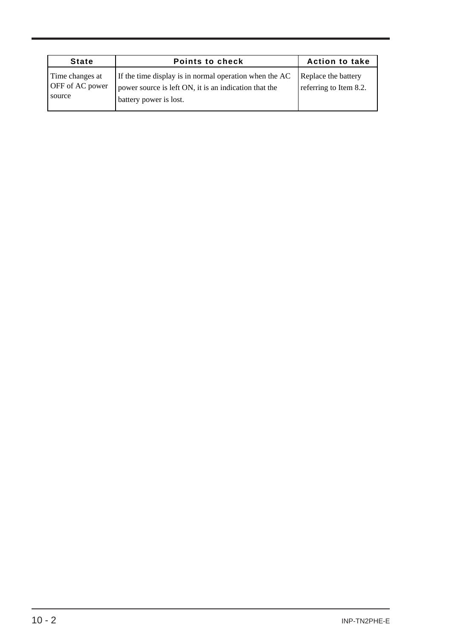| <b>State</b>                                        | <b>Points to check</b>                                                                                                                    | <b>Action to take</b>                         |
|-----------------------------------------------------|-------------------------------------------------------------------------------------------------------------------------------------------|-----------------------------------------------|
| Time changes at<br><b>OFF</b> of AC power<br>source | If the time display is in normal operation when the AC<br>power source is left ON, it is an indication that the<br>battery power is lost. | Replace the battery<br>referring to Item 8.2. |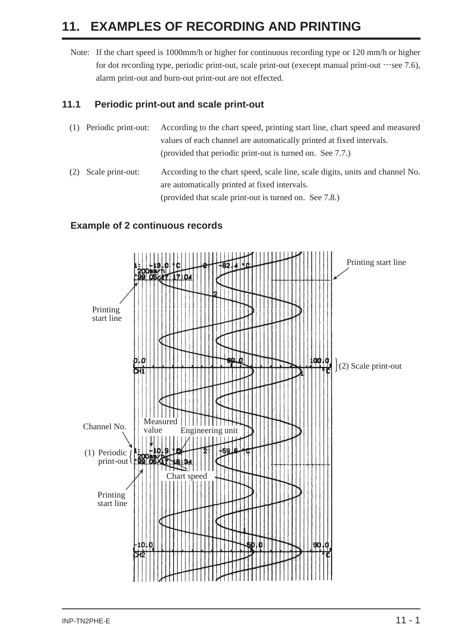# **11. EXAMPLES OF RECORDING AND PRINTING**

Note: If the chart speed is 1000mm/h or higher for continuous recording type or 120 mm/h or higher for dot recording type, periodic print-out, scale print-out (execept manual print-out  $\cdots$ see 7.6), alarm print-out and burn-out print-out are not effected.

#### **11.1 Periodic print-out and scale print-out**

- (1) Periodic print-out: According to the chart speed, printing start line, chart speed and measured values of each channel are automatically printed at fixed intervals. (provided that periodic print-out is turned on. See 7.7.)
- (2) Scale print-out: According to the chart speed, scale line, scale digits, units and channel No. are automatically printed at fixed intervals. (provided that scale print-out is turned on. See 7.8.)

#### **Example of 2 continuous records**

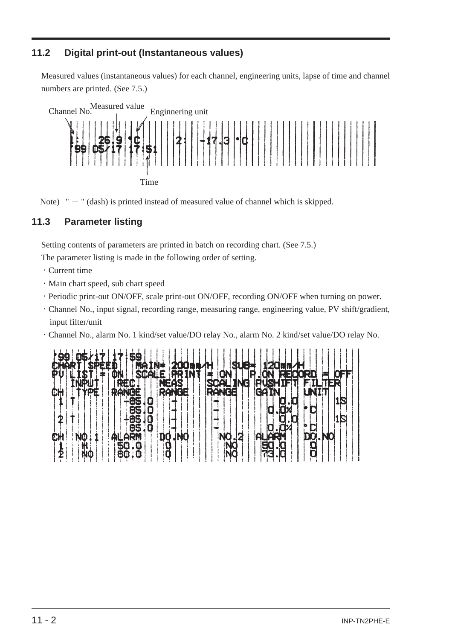## **11.2 Digital print-out (Instantaneous values)**

Measured values (instantaneous values) for each channel, engineering units, lapse of time and channel numbers are printed. (See 7.5.)





Note)  $" - "$  (dash) is printed instead of measured value of channel which is skipped.

## **11.3 Parameter listing**

Setting contents of parameters are printed in batch on recording chart. (See 7.5.)

The parameter listing is made in the following order of setting.

- ・Current time
- ・Main chart speed, sub chart speed
- ・Periodic print-out ON/OFF, scale print-out ON/OFF, recording ON/OFF when turning on power.
- ・Channel No., input signal, recording range, measuring range, engineering value, PV shift/gradient, input filter/unit
- ・Channel No., alarm No. 1 kind/set value/DO relay No., alarm No. 2 kind/set value/DO relay No.

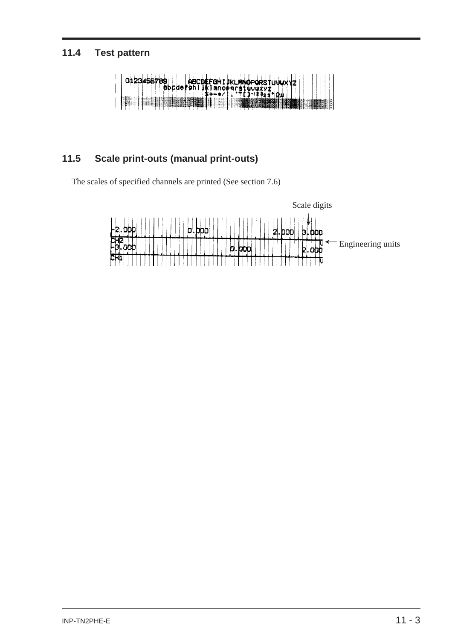## **11.4 Test pattern**



## **11.5 Scale print-outs (manual print-outs)**

The scales of specified channels are printed (See section 7.6)

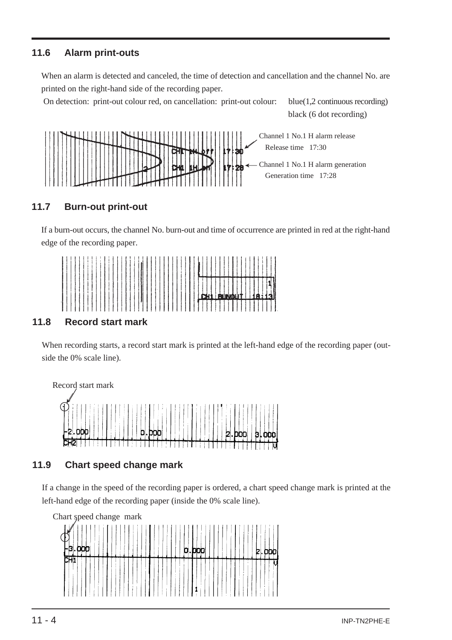## **11.6 Alarm print-outs**

When an alarm is detected and canceled, the time of detection and cancellation and the channel No. are printed on the right-hand side of the recording paper.

On detection: print-out colour red, on cancellation: print-out colour: blue(1,2 continuous recording)

black (6 dot recording)



## **11.7 Burn-out print-out**

If a burn-out occurs, the channel No. burn-out and time of occurrence are printed in red at the right-hand edge of the recording paper.



## **11.8 Record start mark**

When recording starts, a record start mark is printed at the left-hand edge of the recording paper (outside the 0% scale line).



## **11.9 Chart speed change mark**

If a change in the speed of the recording paper is ordered, a chart speed change mark is printed at the left-hand edge of the recording paper (inside the 0% scale line).

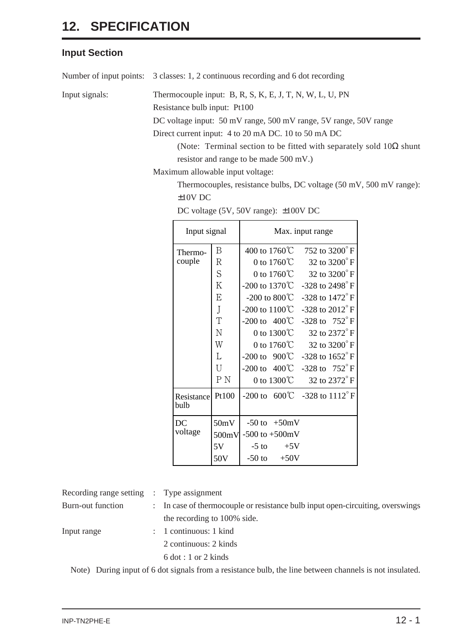## **Input Section**

Number of input points: 3 classes: 1, 2 continuous recording and 6 dot recording

Input signals: Thermocouple input: B, R, S, K, E, J, T, N, W, L, U, PN

Resistance bulb input: Pt100

DC voltage input: 50 mV range, 500 mV range, 5V range, 50V range

Direct current input: 4 to 20 mA DC. 10 to 50 mA DC

(Note: Terminal section to be fitted with separately sold  $10\Omega$  shunt resistor and range to be made 500 mV.)

Maximum allowable input voltage:

Thermocouples, resistance bulbs, DC voltage (50 mV, 500 mV range): ±10V DC

| Input signal              |                                                | Max. input range                                                                                                                                                                                                                                                                                                                                                                                                                                                                                                     |  |  |  |  |  |  |  |  |
|---------------------------|------------------------------------------------|----------------------------------------------------------------------------------------------------------------------------------------------------------------------------------------------------------------------------------------------------------------------------------------------------------------------------------------------------------------------------------------------------------------------------------------------------------------------------------------------------------------------|--|--|--|--|--|--|--|--|
| Thermo-<br>couple         | B<br>R<br>S<br>K<br>E<br>J<br>T<br>N<br>W<br>L | 400 to 1760℃<br>752 to $3200^{\circ}$ F<br>32 to 3200°F<br>0 to 1760 $\degree$ C<br>32 to 3200°F<br>0 to 1760 $\degree$ C<br>-200 to 1370 $\degree$<br>$-328$ to $2498^{\circ}$ F<br>-200 to 800 $\rm ^{\circ}$<br>$-328$ to $1472^{\circ}$ F<br>-200 to $1100^{\circ}$<br>$-328$ to $2012^{\circ}$ F<br>-328 to $752^{\circ}$ F<br>$-200 \text{ to } 400 \degree$<br>32 to 2372°F<br>0 to $1300^{\circ}$<br>32 to 3200°F<br>0 to 1760 $\degree$ C<br>$-200 \text{ to } 900 \text{°C}$<br>$-328$ to $1652^{\circ}$ F |  |  |  |  |  |  |  |  |
|                           | U<br>P <sub>N</sub>                            | $-328$ to $752^{\circ}$ F<br>$-200 \text{ to } 400 \degree$ C<br>32 to 2372°F<br>0 to $1300^{\circ}$ C                                                                                                                                                                                                                                                                                                                                                                                                               |  |  |  |  |  |  |  |  |
| <b>Resistance</b><br>bulb | Pt100                                          | $-200 \text{ to } 600^{\circ}\text{C}$ $-328 \text{ to } 1112^{\circ}\text{F}$                                                                                                                                                                                                                                                                                                                                                                                                                                       |  |  |  |  |  |  |  |  |
| DC<br>voltage             | 50mV<br>500mV<br>5V<br>50V                     | $-50 \text{ to } +50 \text{mV}$<br>$-500$ to $+500$ mV<br>$-5$ to<br>$+5V$<br>$-50$ to<br>$+50V$                                                                                                                                                                                                                                                                                                                                                                                                                     |  |  |  |  |  |  |  |  |

| DC voltage (5V, 50V range): ±100V DC |  |  |
|--------------------------------------|--|--|
|--------------------------------------|--|--|

| Recording range setting : Type assignment |                                                                                |
|-------------------------------------------|--------------------------------------------------------------------------------|
| Burn-out function                         | : In case of thermocouple or resistance bulb input open-circuiting, overswings |
|                                           | the recording to 100% side.                                                    |
| Input range                               | $: 1$ continuous: 1 kind                                                       |
|                                           | 2 continuous: 2 kinds                                                          |
|                                           | $6 \text{ dot} : 1 \text{ or } 2 \text{ kinds}$                                |
|                                           |                                                                                |

Note) During input of 6 dot signals from a resistance bulb, the line between channels is not insulated.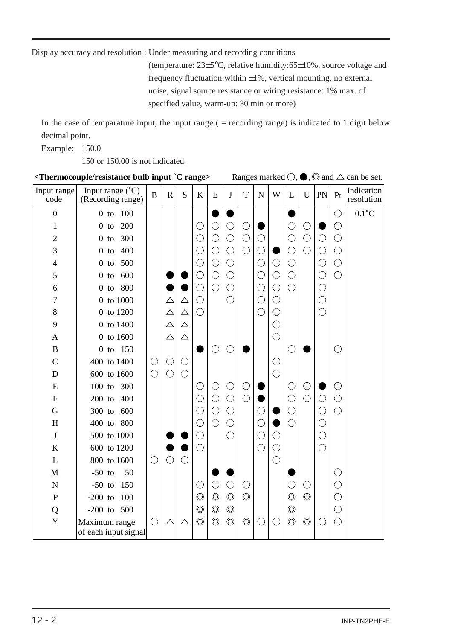Display accuracy and resolution : Under measuring and recording conditions

(temperature: 23±5°C, relative humidity:65±10%, source voltage and frequency fluctuation:within ±1%, vertical mounting, no external noise, signal source resistance or wiring resistance: 1% max. of specified value, warm-up: 30 min or more)

In the case of temparature input, the input range  $($  = recording range) is indicated to 1 digit below decimal point.

Example: 150.0

150 or 150.00 is not indicated.

| <thermocouple 'c="" bulb="" input="" range="" resistance=""><br/>Ranges marked <math>\bigcirc</math>, <math>\bigcirc</math>, <math>\bigcirc</math> and <math>\bigtriangleup</math> can be set.</thermocouple> |                                                |              |             |             |                |                |                |                |            |            |                |                |            |            |                          |
|---------------------------------------------------------------------------------------------------------------------------------------------------------------------------------------------------------------|------------------------------------------------|--------------|-------------|-------------|----------------|----------------|----------------|----------------|------------|------------|----------------|----------------|------------|------------|--------------------------|
| Input range<br>code                                                                                                                                                                                           | Input range $(^{\circ}C)$<br>(Recording range) | $\, {\bf B}$ | $\mathbf R$ | S           | $\bf K$        | ${\bf E}$      | J              | $\mathbf T$    | ${\bf N}$  | W          | L              | $\mathbf U$    | PN         | Pt         | Indication<br>resolution |
| $\boldsymbol{0}$                                                                                                                                                                                              | 100<br>$0$ to                                  |              |             |             |                |                |                |                |            |            |                |                |            | C          | $0.1^{\circ}$ C          |
| 1                                                                                                                                                                                                             | 200<br>$0$ to                                  |              |             |             | ( )            | $\bigcirc$     | $\bigcirc$     | O              |            |            | $\bigcirc$     | $\bigcirc$     |            | O          |                          |
| 2                                                                                                                                                                                                             | 300<br>$0$ to                                  |              |             |             |                | $\bigcirc$     | $\bigcirc$     | $\bigcirc$     | $\bigcirc$ |            | $\bigcirc$     | $\bigcirc$     | $\bigcirc$ | $\bigcirc$ |                          |
| 3                                                                                                                                                                                                             | 400<br>$0$ to                                  |              |             |             | С              | $\bigcirc$     | $\bigcirc$     | $\bigcirc$     | $\bigcirc$ |            | $\bigcirc$     | $\bigcirc$     | $\bigcirc$ | $\bigcirc$ |                          |
| $\overline{4}$                                                                                                                                                                                                | 500<br>$0$ to                                  |              |             |             | С              | $\bigcirc$     | ○              |                | $\bigcirc$ | О          | $\bigcirc$     |                | О          | $\bigcirc$ |                          |
| 5                                                                                                                                                                                                             | 600<br>$0$ to                                  |              |             |             | $\bigcirc$     | $\bigcirc$     | $\bigcirc$     |                | $\bigcirc$ | C          | $\bigcirc$     |                | $\bigcirc$ | $\bigcirc$ |                          |
| 6                                                                                                                                                                                                             | 800<br>$0$ to                                  |              |             |             | C              | $\bigcirc$     | $\bigcirc$     |                | $\bigcirc$ | C          | $\bigcirc$     |                | О          |            |                          |
| 7                                                                                                                                                                                                             | 0 to 1000                                      |              | $\triangle$ | $\triangle$ | $\bigcirc$     |                | O              |                | $\bigcirc$ | O          |                |                | $\bigcirc$ |            |                          |
| $8\,$                                                                                                                                                                                                         | 0 to 1200                                      |              | $\triangle$ | Δ           | $\bigcirc$     |                |                |                | $\bigcirc$ | ೧          |                |                | $\bigcirc$ |            |                          |
| 9                                                                                                                                                                                                             | 0 to 1400                                      |              | $\triangle$ | $\triangle$ |                |                |                |                |            | ○          |                |                |            |            |                          |
| A                                                                                                                                                                                                             | 0 to 1600                                      |              | $\triangle$ | Δ           |                |                |                |                |            | ◯          |                |                |            |            |                          |
| $\mathbf B$                                                                                                                                                                                                   | 0 to 150                                       |              |             |             |                | $\bigcirc$     | ◯              |                |            |            | O              |                |            | C          |                          |
| $\overline{C}$                                                                                                                                                                                                | 400 to 1400                                    | O            | ○           | О           |                |                |                |                |            | C          |                |                |            |            |                          |
| D                                                                                                                                                                                                             | 600 to 1600                                    | $\bigcirc$   | $\bigcirc$  | $\bigcirc$  |                |                |                |                |            | ◯          |                |                |            |            |                          |
| ${\bf E}$                                                                                                                                                                                                     | 100 to 300                                     |              |             |             |                | С              | $\bigcirc$     | O              |            |            | О              | ○              |            | $(\ )$     |                          |
| $\mathbf F$                                                                                                                                                                                                   | $200$ to<br>400                                |              |             |             |                | $\bigcirc$     | $\bigcirc$     | $\bigcirc$     |            |            | $\bigcirc$     | $\bigcirc$     | $\bigcirc$ | $\bigcirc$ |                          |
| G                                                                                                                                                                                                             | 300 to<br>600                                  |              |             |             |                | $\bigcirc$     | ◯              |                | С          |            | О              |                | $\bigcirc$ | $\bigcirc$ |                          |
| H                                                                                                                                                                                                             | 400 to 800                                     |              |             |             | C              | $\bigcirc$     | $\bigcirc$     |                | $\bigcirc$ |            | ⌒              |                | $\bigcirc$ |            |                          |
| $\bf J$                                                                                                                                                                                                       | 500 to 1000                                    |              |             |             | $\bigcirc$     |                | $\bigcirc$     |                | $\bigcirc$ |            |                |                | $\bigcirc$ |            |                          |
| K                                                                                                                                                                                                             | 600 to 1200                                    |              |             |             | $\bigcirc$     |                |                |                | $\bigcirc$ | $\bigcirc$ |                |                | $\bigcirc$ |            |                          |
| $\mathbf L$                                                                                                                                                                                                   | 800 to 1600                                    | $\bigcirc$   |             | $\bigcirc$  |                |                |                |                |            | $\bigcirc$ |                |                |            |            |                          |
| M                                                                                                                                                                                                             | $-50$ to<br>50                                 |              |             |             |                |                |                |                |            |            |                |                |            | $\bigcirc$ |                          |
| $\mathbf N$                                                                                                                                                                                                   | $-50$ to<br>150                                |              |             |             | С              | $\bigcirc$     | $\bigcirc$     | $\bigcirc$     |            |            | $\bigcirc$     | $\bigcirc$     |            | $\bigcirc$ |                          |
| $\mathbf P$                                                                                                                                                                                                   | $-200$ to<br>100                               |              |             |             | $\circledcirc$ | $\circledcirc$ | $\circledcirc$ | $\circledcirc$ |            |            | $\circledcirc$ | $\circledcirc$ |            | C          |                          |
| Q                                                                                                                                                                                                             | $-200$ to $500$                                |              |             |             | $\circledcirc$ | $\circledcirc$ | $\circledcirc$ |                |            |            | $\circledcirc$ |                |            | $\bigcirc$ |                          |
| Y                                                                                                                                                                                                             | Maximum range<br>of each input signal          | $\bigcirc$   | $\triangle$ | $\triangle$ | $\circledcirc$ | $\circledcirc$ | $\circledcirc$ | $\circledcirc$ | $\bigcirc$ |            | $\circledcirc$ | $\circledcirc$ | ◯          | $\bigcirc$ |                          |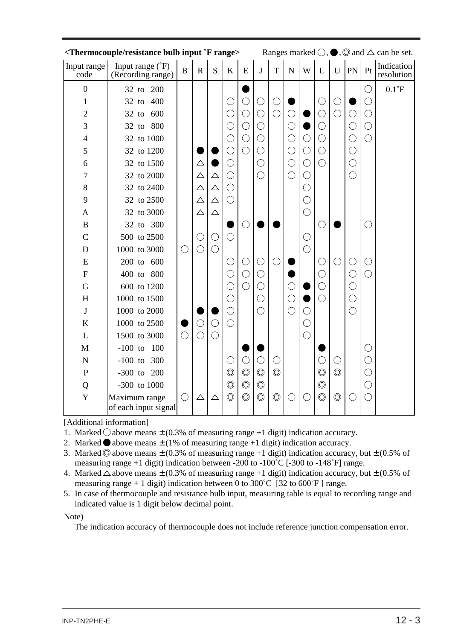| <thermocouple 'f="" bulb="" input="" range="" resistance=""></thermocouple> |                                       |              |             |             | Ranges marked $\bigcirc$ , $\bigcirc$ , $\bigcirc$ and $\bigtriangleup$ can be set. |                              |                                  |                     |            |            |                                             |                |               |            |                          |
|-----------------------------------------------------------------------------|---------------------------------------|--------------|-------------|-------------|-------------------------------------------------------------------------------------|------------------------------|----------------------------------|---------------------|------------|------------|---------------------------------------------|----------------|---------------|------------|--------------------------|
| Input range<br>code                                                         | Input range (°F)<br>(Recording range) | $\, {\bf B}$ | $\mathbf R$ | S           | $\bf K$                                                                             | E                            | $\mathbf{J}$                     | T                   | ${\bf N}$  | W          | $\mathbf{L}$                                | $\mathbf U$    | PN            | Pt         | Indication<br>resolution |
| $\boldsymbol{0}$                                                            | 32 to 200                             |              |             |             |                                                                                     |                              |                                  |                     |            |            |                                             |                |               | $\bigcirc$ | $0.1^{\circ}$ F          |
| 1                                                                           | 400<br>$32$ to                        |              |             |             | $\bigcirc$                                                                          | $\bigcirc$                   | $\bigcirc$                       | $\bigcirc$          |            |            | O                                           | $\bigcirc$     |               | $\bigcirc$ |                          |
| $\overline{2}$                                                              | 600<br>$32$ to                        |              |             |             | $\bigcirc$                                                                          | $\bigcirc$                   | $\bigcirc$                       | $\bigcirc$          | $\bigcirc$ |            | $\overline{\bigcirc}$                       | $\bigcirc$     | С             | $\bigcirc$ |                          |
| 3                                                                           | 32 to 800                             |              |             |             | $\overline{\mathbb{C}}$                                                             | $\bigcirc$                   | $\bigcirc$                       |                     | $\bigcirc$ |            | ◯                                           |                | $\bigcirc$    | $\bigcirc$ |                          |
| $\overline{4}$                                                              | 32 to 1000                            |              |             |             | $\bigcirc$                                                                          | $\bigcirc$                   | $\bigcirc$                       |                     | $\bigcirc$ | $\bigcirc$ | ◯                                           |                | Ć             | $\bigcirc$ |                          |
| 5                                                                           | 32 to 1200                            |              |             |             | $\bigcirc$                                                                          | $\bigcirc$                   | $\bigcirc$                       |                     | $\bigcirc$ | $\bigcirc$ | $\bigcirc$                                  |                | O             |            |                          |
| 6                                                                           | 32 to 1500                            |              | △           |             | $\bigcirc$                                                                          |                              | $\bigcirc$                       |                     | $\bigcirc$ | $\bigcirc$ | ◯                                           |                | C             |            |                          |
| 7                                                                           | 32 to 2000                            |              | $\triangle$ | $\triangle$ | $\bigcirc$                                                                          |                              | $\bigcirc$                       |                     | $\bigcirc$ | $\bigcirc$ |                                             |                | $\bigcirc$    |            |                          |
| 8                                                                           | 32 to 2400                            |              | $\triangle$ | $\triangle$ | $\bigcirc$                                                                          |                              |                                  |                     |            | $\bigcirc$ |                                             |                |               |            |                          |
| 9                                                                           | 32 to 2500                            |              | $\triangle$ | $\triangle$ | $\bigcirc$                                                                          |                              |                                  |                     |            | $\bigcirc$ |                                             |                |               |            |                          |
| $\mathbf{A}$                                                                | 32 to 3000                            |              | △           | $\triangle$ |                                                                                     |                              |                                  |                     |            | $\bigcirc$ |                                             |                |               |            |                          |
| B                                                                           | 32 to 300                             |              |             |             |                                                                                     | $\bigcirc$                   |                                  |                     |            |            | $(\ )$                                      |                |               | O          |                          |
| $\mathcal{C}$                                                               | 500 to 2500                           |              | ( )         | $\bigcirc$  | $\bigcirc$                                                                          |                              |                                  |                     |            | $\bigcirc$ |                                             |                |               |            |                          |
| D                                                                           | 1000 to 3000                          | $\bigcirc$   | ⌒           | $\bigcirc$  |                                                                                     |                              |                                  |                     |            | $\bigcirc$ |                                             |                |               |            |                          |
| E                                                                           | 200 to 600                            |              |             |             | $\bigcirc$                                                                          | O                            | $\bigcirc$                       | ( )                 |            |            | C                                           | $\bigcirc$     | C             | $\bigcirc$ |                          |
| $\overline{F}$                                                              | 400 to 800                            |              |             |             | $\bigcirc$                                                                          | O                            | $\bigcirc$                       |                     |            |            | О,                                          |                | $\mathcal{L}$ | ◯          |                          |
| $\overline{G}$                                                              | 600 to 1200                           |              |             |             | $\bigcirc$                                                                          |                              | $\bigcirc$                       |                     | О          |            | ( )                                         |                | $\mathcal{L}$ |            |                          |
| H                                                                           | 1000 to 1500                          |              |             |             | $\bigcirc$                                                                          |                              | $\bigcirc$                       |                     | $\bigcirc$ |            | $\left(\begin{array}{c} \end{array}\right)$ |                | $\cdot$ )     |            |                          |
| J                                                                           | 1000 to 2000                          |              |             |             | $\bigcirc$                                                                          |                              | $\bigcirc$                       |                     | $\bigcirc$ | $\bigcirc$ |                                             |                | $\bigcirc$    |            |                          |
| $\bf K$                                                                     | 1000 to 2500                          |              | $\bigcirc$  | $\bigcirc$  | $\bigcirc$                                                                          |                              |                                  |                     |            | $\bigcirc$ |                                             |                |               |            |                          |
| L                                                                           | 1500 to 3000                          | $\bigcirc$   | $\bigcirc$  | $\bigcirc$  |                                                                                     |                              |                                  |                     |            | $\bigcirc$ |                                             |                |               |            |                          |
| M                                                                           | $-100$ to $100$                       |              |             |             |                                                                                     |                              |                                  |                     |            |            |                                             |                |               | $\bigcirc$ |                          |
| ${\bf N}$                                                                   | $-100$ to 300                         |              |             |             | $\bigcirc$                                                                          | $\bigcirc$<br>$\circledcirc$ | $\bigcirc$                       | O<br>$\circledcirc$ |            |            | C                                           | O              |               | $\bigcirc$ |                          |
| $\mathbf P$                                                                 | $-300$ to $200$                       |              |             |             | $\circledcirc$                                                                      | $\circledcirc$               | $\circledcirc$                   |                     |            |            | $\circledcirc$                              | $\circledcirc$ |               | $\bigcirc$ |                          |
| Q                                                                           | $-300$ to $1000$                      |              |             |             | $\circledcirc$<br>$\circledcirc$                                                    | $\circledcirc$               | $\circledcirc$<br>$\circledcirc$ | $\circledcirc$      |            |            | $\circledcirc$<br>$\circledcirc$            | $\circledcirc$ |               | $\bigcirc$ |                          |
| Y                                                                           | Maximum range<br>of each input signal | $\bigcirc$   | $\triangle$ | $\triangle$ |                                                                                     |                              |                                  |                     | О          |            |                                             |                | C             | $\bigcirc$ |                          |

[Additional information]

- 1. Marked  $\bigcirc$  above means  $\pm$  (0.3% of measuring range +1 digit) indication accuracy.
- 2. Marked  $\bullet$  above means  $\pm$  (1% of measuring range +1 digit) indication accuracy.
- 3. Marked  $\odot$  above means  $\pm$  (0.3% of measuring range +1 digit) indication accuracy, but  $\pm$  (0.5% of measuring range +1 digit) indication between -200 to -100˚C [-300 to -148˚F] range.
- 4. Marked  $\triangle$  above means  $\pm$  (0.3% of measuring range +1 digit) indication accuracy, but  $\pm$  (0.5% of measuring range + 1 digit) indication between 0 to  $300^{\circ}$ C [32 to  $600^{\circ}$ F] range.
- 5. In case of thermocouple and resistance bulb input, measuring table is equal to recording range and indicated value is 1 digit below decimal point.

Note)

The indication accuracy of thermocouple does not include reference junction compensation error.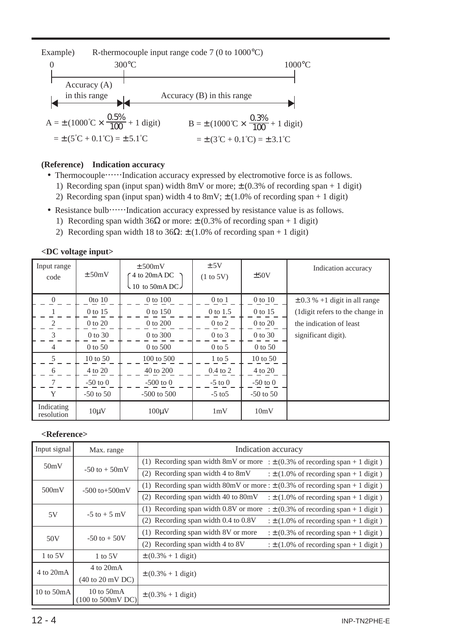

#### **(Reference) Indication accuracy**

- Thermocouple……Indication accuracy expressed by electromotive force is as follows.
	- 1) Recording span (input span) width 8mV or more;  $\pm$  (0.3% of recording span + 1 digit)
	- 2) Recording span (input span) width 4 to 8mV;  $\pm$  (1.0% of recording span + 1 digit)
- Resistance bulb……Indication accuracy expressed by resistance value is as follows.
	- 1) Recording span width  $36\Omega$  or more:  $\pm$  (0.3% of recording span + 1 digit)
	- 2) Recording span width 18 to 36 $\Omega$ :  $\pm$  (1.0% of recording span + 1 digit)

|                          | <du input="" voltage=""></du> |                                                      |                   |               |                                   |
|--------------------------|-------------------------------|------------------------------------------------------|-------------------|---------------|-----------------------------------|
| Input range<br>code      | ± 50mV                        | $\pm$ 500mV<br>4 to 20mA DC<br>$\sim$ 10 to 50mA DC. | ± 5V<br>(1 to 5V) | ±50V          | Indication accuracy               |
| $\Omega$                 | $0$ to $10$                   | 0 to 100                                             | $0$ to $1$        | $0$ to $10$   | $\pm$ 0.3 % +1 digit in all range |
|                          | 0 to 15                       | 0 to 150                                             | 0 to 1.5          | 0 to 15       | (1 digit refers to the change in  |
| 2                        | 0 to 20                       | 0 to 200                                             | $0$ to $2$        | 0 to 20       | the indication of least           |
| 3                        | 0 to 30                       | 0 to 300                                             | $0$ to $3$        | 0 to 30       | significant digit).               |
| 4                        | $0$ to 50                     | $0$ to 500                                           | $0$ to 5          | $0$ to 50     |                                   |
| 5                        | 10 to 50                      | 100 to 500                                           | $1$ to 5          | 10 to 50      |                                   |
| 6                        | 4 to 20                       | 40 to 200                                            | $0.4$ to $2$      | 4 to 20       |                                   |
| 7                        | $-50$ to $0$                  | $-500$ to 0                                          | $-5$ to $0$       | $-50$ to $0$  |                                   |
| Y                        | $-50$ to $50$                 | $-500$ to $500$                                      | $-5$ to $5$       | $-50$ to $50$ |                                   |
| Indicating<br>resolution | $10 \mu V$                    | $100 \mu V$                                          | 1mV               | 10mV          |                                   |
|                          |                               |                                                      |                   |               |                                   |

#### **<DC voltage input>**

#### **<Reference>**

| Input signal | Max. range                                           | Indication accuracy                                                                  |
|--------------|------------------------------------------------------|--------------------------------------------------------------------------------------|
| 50mV         |                                                      | (1) Recording span width 8mV or more : $\pm$ (0.3% of recording span + 1 digit)      |
|              | $-50$ to $+50$ mV                                    | (2) Recording span width 4 to $8mV$<br>: $\pm$ (1.0% of recording span + 1 digit)    |
| 500mV        | $-500$ to $+500$ mV                                  | (1) Recording span width 80mV or more : $\pm$ (0.3% of recording span + 1 digit)     |
|              |                                                      | (2) Recording span width 40 to $80mV$<br>: $\pm$ (1.0% of recording span + 1 digit)  |
| 5V           | $-5$ to $+5$ mV                                      | (1) Recording span width 0.8V or more<br>: $\pm$ (0.3% of recording span + 1 digit)  |
|              |                                                      | $(2)$ Recording span width 0.4 to 0.8V<br>: $\pm$ (1.0% of recording span + 1 digit) |
|              | $-50$ to $+50V$                                      | (1) Recording span width 8V or more<br>: $\pm$ (0.3% of recording span + 1 digit)    |
| 50V          |                                                      | (2) Recording span width 4 to 8V<br>: $\pm$ (1.0% of recording span + 1 digit)       |
| 1 to $5V$    | $1$ to $5V$                                          | $\pm (0.3\% + 1 \text{ digit})$                                                      |
| 4 to 20mA    | $4 \text{ to } 20 \text{mA}$                         |                                                                                      |
|              | $(40 \text{ to } 20 \text{ mV DC})$                  | $\pm (0.3\% + 1 \text{ digit})$                                                      |
| 10 to $50mA$ | 10 to $50mA$<br>$(100 \text{ to } 500 \text{mV DC})$ | $\pm (0.3\% + 1 \text{ digit})$                                                      |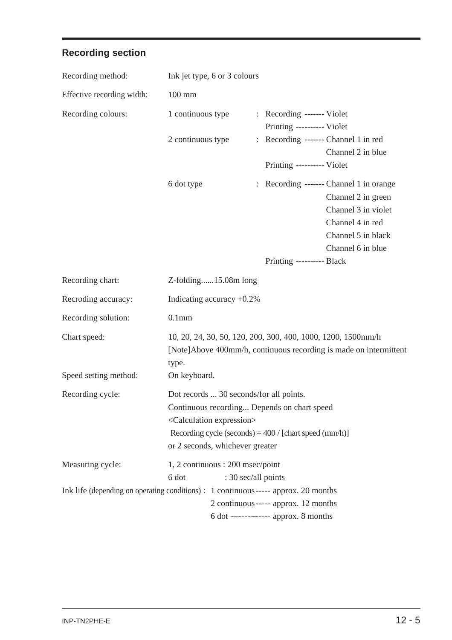# **Recording section**

| Recording method:                                                                   | Ink jet type, 6 or 3 colours                                                                                                                                                                                                       |   |                                                                               |                                                                                                                                                     |
|-------------------------------------------------------------------------------------|------------------------------------------------------------------------------------------------------------------------------------------------------------------------------------------------------------------------------------|---|-------------------------------------------------------------------------------|-----------------------------------------------------------------------------------------------------------------------------------------------------|
| Effective recording width:                                                          | $100 \text{ mm}$                                                                                                                                                                                                                   |   |                                                                               |                                                                                                                                                     |
| Recording colours:                                                                  | 1 continuous type<br>2 continuous type                                                                                                                                                                                             | ÷ | : Recording ------- Violet<br>Printing ---------- Violet                      | Recording ------- Channel 1 in red<br>Channel 2 in blue                                                                                             |
|                                                                                     |                                                                                                                                                                                                                                    |   | Printing ---------- Violet                                                    |                                                                                                                                                     |
|                                                                                     | 6 dot type                                                                                                                                                                                                                         |   | Printing ---------- Black                                                     | : Recording ------- Channel 1 in orange<br>Channel 2 in green<br>Channel 3 in violet<br>Channel 4 in red<br>Channel 5 in black<br>Channel 6 in blue |
| Recording chart:                                                                    | Z-folding15.08m long                                                                                                                                                                                                               |   |                                                                               |                                                                                                                                                     |
|                                                                                     |                                                                                                                                                                                                                                    |   |                                                                               |                                                                                                                                                     |
| Recroding accuracy:                                                                 | Indicating accuracy +0.2%                                                                                                                                                                                                          |   |                                                                               |                                                                                                                                                     |
| Recording solution:                                                                 | 0.1 <sub>mm</sub>                                                                                                                                                                                                                  |   |                                                                               |                                                                                                                                                     |
| Chart speed:                                                                        | 10, 20, 24, 30, 50, 120, 200, 300, 400, 1000, 1200, 1500mm/h<br>type.                                                                                                                                                              |   |                                                                               | [Note]Above 400mm/h, continuous recording is made on intermittent                                                                                   |
| Speed setting method:                                                               | On keyboard.                                                                                                                                                                                                                       |   |                                                                               |                                                                                                                                                     |
| Recording cycle:                                                                    | Dot records  30 seconds/for all points.<br>Continuous recording Depends on chart speed<br><calculation expression=""><br/>Recording cycle (seconds) = 400 / [chart speed (mm/h)]<br/>or 2 seconds, whichever greater</calculation> |   |                                                                               |                                                                                                                                                     |
| Measuring cycle:                                                                    | 1, 2 continuous : 200 msec/point<br>6 dot                                                                                                                                                                                          |   | : 30 sec/all points                                                           |                                                                                                                                                     |
| Ink life (depending on operating conditions) : 1 continuous ----- approx. 20 months |                                                                                                                                                                                                                                    |   | 2 continuous ----- approx. 12 months<br>6 dot -------------- approx. 8 months |                                                                                                                                                     |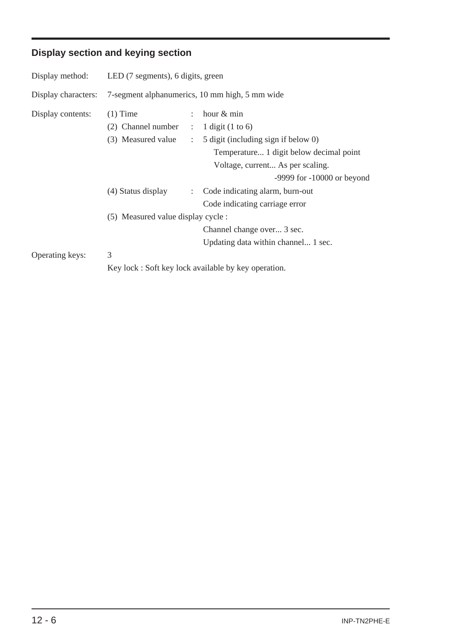# **Display section and keying section**

| Display method:     | LED (7 segments), 6 digits, green              |                                                     |  |  |  |  |  |
|---------------------|------------------------------------------------|-----------------------------------------------------|--|--|--|--|--|
| Display characters: | 7-segment alphanumerics, 10 mm high, 5 mm wide |                                                     |  |  |  |  |  |
| Display contents:   | $(1)$ Time                                     | hour & min                                          |  |  |  |  |  |
|                     | $(2)$ Channel number :                         | 1 digit $(1 \text{ to } 6)$                         |  |  |  |  |  |
|                     | (3) Measured value :                           | 5 digit (including sign if below 0)                 |  |  |  |  |  |
|                     |                                                | Temperature 1 digit below decimal point             |  |  |  |  |  |
|                     |                                                | Voltage, current As per scaling.                    |  |  |  |  |  |
|                     |                                                | $-9999$ for $-10000$ or beyond                      |  |  |  |  |  |
|                     | (4) Status display<br>$\ddot{\phantom{a}}$     | Code indicating alarm, burn-out                     |  |  |  |  |  |
|                     |                                                | Code indicating carriage error                      |  |  |  |  |  |
|                     | (5) Measured value display cycle :             |                                                     |  |  |  |  |  |
|                     |                                                | Channel change over 3 sec.                          |  |  |  |  |  |
|                     |                                                | Updating data within channel 1 sec.                 |  |  |  |  |  |
| Operating keys:     | 3                                              |                                                     |  |  |  |  |  |
|                     |                                                | Key lock: Soft key lock available by key operation. |  |  |  |  |  |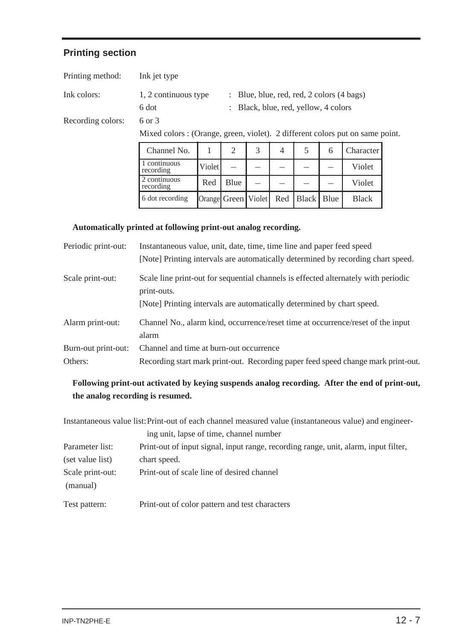#### **Printing section**

| Printing method:  | Ink jet type         |                                                      |
|-------------------|----------------------|------------------------------------------------------|
| Ink colors:       | 1, 2 continuous type | $\therefore$ Blue, blue, red, red, 2 colors (4 bags) |
|                   | 6 dot                | : Black, blue, red, yellow, 4 colors                 |
| Recording colors: | 6 or 3               |                                                      |
|                   |                      |                                                      |

Mixed colors : (Orange, green, violet). 2 different colors put on same point.

| Channel No.               |                     |      |  |                                             | Character <sup>1</sup> |
|---------------------------|---------------------|------|--|---------------------------------------------|------------------------|
| 1 continuous<br>recording | Violet <sup>1</sup> |      |  |                                             | Violet                 |
| 2 continuous<br>recording | Red                 | Blue |  |                                             | Violet                 |
| 6 dot recording           |                     |      |  | Orange  Green   Violet   Red   Black   Blue | <b>Black</b>           |

#### **Automatically printed at following print-out analog recording.**

| Periodic print-out: | Instantaneous value, unit, date, time, time line and paper feed speed<br>[Note] Printing intervals are automatically determined by recording chart speed. |
|---------------------|-----------------------------------------------------------------------------------------------------------------------------------------------------------|
|                     |                                                                                                                                                           |
| Scale print-out:    | Scale line print-out for sequential channels is effected alternately with periodic<br>print-outs.                                                         |
|                     | [Note] Printing intervals are automatically determined by chart speed.                                                                                    |
| Alarm print-out:    | Channel No., alarm kind, occurrence/reset time at occurrence/reset of the input<br>alarm                                                                  |
| Burn-out print-out: | Channel and time at burn-out occurrence                                                                                                                   |
| Others:             | Recording start mark print-out. Recording paper feed speed change mark print-out.                                                                         |

#### **Following print-out activated by keying suspends analog recording. After the end of print-out, the analog recording is resumed.**

Instantaneous value list:Print-out of each channel measured value (instantaneous value) and engineer-

|                              | ing unit, lapse of time, channel number                                             |
|------------------------------|-------------------------------------------------------------------------------------|
| Parameter list:              | Print-out of input signal, input range, recording range, unit, alarm, input filter, |
| (set value list)             | chart speed.                                                                        |
| Scale print-out:<br>(manual) | Print-out of scale line of desired channel                                          |
| Test pattern:                | Print-out of color pattern and test characters                                      |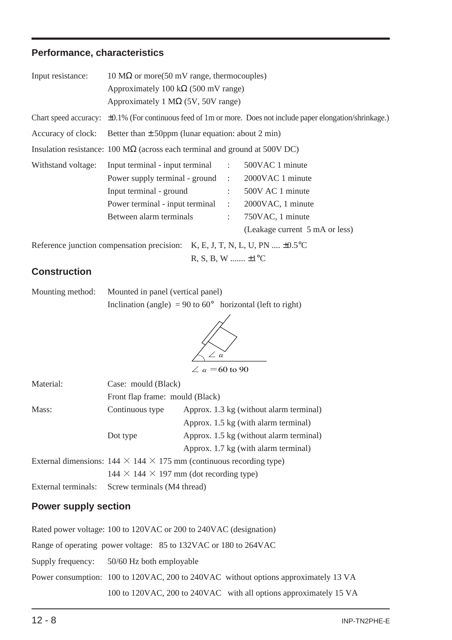#### **Performance, characteristics**

| Input resistance:  | 10 MΩ or more(50 mV range, thermocouples)                                                   |                                                                                                                     |                                |  |  |  |  |  |
|--------------------|---------------------------------------------------------------------------------------------|---------------------------------------------------------------------------------------------------------------------|--------------------------------|--|--|--|--|--|
|                    | Approximately 100 k $\Omega$ (500 mV range)                                                 |                                                                                                                     |                                |  |  |  |  |  |
|                    |                                                                                             | Approximately 1 M $\Omega$ (5V, 50V range)                                                                          |                                |  |  |  |  |  |
|                    |                                                                                             | Chart speed accuracy: $\pm 0.1\%$ (For continuous feed of 1m or more. Does not include paper elongation/shrinkage.) |                                |  |  |  |  |  |
|                    | Accuracy of clock: Better than $\pm$ 50ppm (lunar equation: about 2 min)                    |                                                                                                                     |                                |  |  |  |  |  |
|                    | Insulation resistance: $100 \text{ M}\Omega$ (across each terminal and ground at 500V DC)   |                                                                                                                     |                                |  |  |  |  |  |
| Withstand voltage: | Input terminal - input terminal : 500VAC 1 minute                                           |                                                                                                                     |                                |  |  |  |  |  |
|                    | Power supply terminal - ground : 2000VAC 1 minute                                           |                                                                                                                     |                                |  |  |  |  |  |
|                    | Input terminal - ground                                                                     |                                                                                                                     | $\therefore$ 500V AC 1 minute  |  |  |  |  |  |
|                    | Power terminal - input terminal : 2000VAC, 1 minute                                         |                                                                                                                     |                                |  |  |  |  |  |
|                    | Between alarm terminals                                                                     |                                                                                                                     | $\therefore$ 750VAC, 1 minute  |  |  |  |  |  |
|                    |                                                                                             |                                                                                                                     | (Leakage current 5 mA or less) |  |  |  |  |  |
|                    | Reference junction compensation precision: $K, E, J, T, N, L, U, PN \dots \pm 0.5^{\circ}C$ |                                                                                                                     |                                |  |  |  |  |  |
|                    | $R, S, B, W \dots L1^{\circ}C$                                                              |                                                                                                                     |                                |  |  |  |  |  |

#### **Construction**

| Mounting method: | Mounted in panel (vertical panel)                                   |  |
|------------------|---------------------------------------------------------------------|--|
|                  | Inclination (angle) = 90 to $60^{\circ}$ horizontal (left to right) |  |



| Material:           | Case: mould (Black)                                 |                                                                                 |  |  |
|---------------------|-----------------------------------------------------|---------------------------------------------------------------------------------|--|--|
|                     | Front flap frame: mould (Black)                     |                                                                                 |  |  |
| Mass:               | Continuous type                                     | Approx. 1.3 kg (without alarm terminal)                                         |  |  |
|                     |                                                     | Approx. 1.5 kg (with alarm terminal)                                            |  |  |
|                     | Dot type                                            | Approx. 1.5 kg (without alarm terminal)                                         |  |  |
|                     |                                                     | Approx. 1.7 kg (with alarm terminal)                                            |  |  |
|                     |                                                     | External dimensions: $144 \times 144 \times 175$ mm (continuous recording type) |  |  |
|                     | $144 \times 144 \times 197$ mm (dot recording type) |                                                                                 |  |  |
| External terminals: | Screw terminals (M4 thread)                         |                                                                                 |  |  |

#### **Power supply section**

Rated power voltage: 100 to 120VAC or 200 to 240VAC (designation) Range of operating power voltage: 85 to 132VAC or 180 to 264VAC Supply frequency: 50/60 Hz both employable Power consumption: 100 to 120VAC, 200 to 240VAC without options approximately 13 VA 100 to 120VAC, 200 to 240VAC with all options approximately 15 VA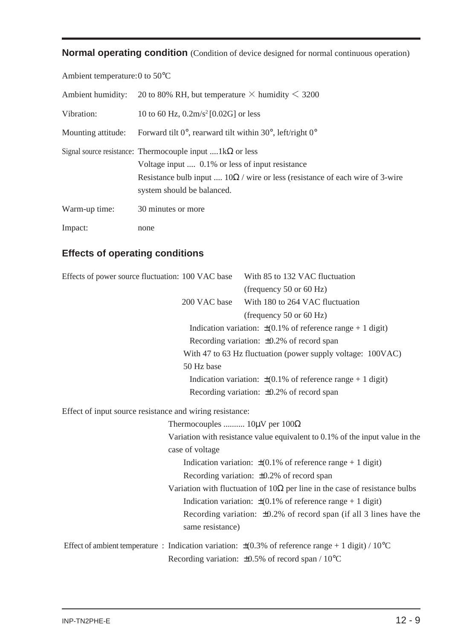**Normal operating condition** (Condition of device designed for normal continuous operation)

Ambient temperature:0 to 50°C

| Ambient humidity:  | 20 to 80% RH, but temperature $\times$ humidity $\leq$ 3200                                                                                                                                                                                  |
|--------------------|----------------------------------------------------------------------------------------------------------------------------------------------------------------------------------------------------------------------------------------------|
| Vibration:         | 10 to 60 Hz, $0.2m/s^2$ [0.02G] or less                                                                                                                                                                                                      |
| Mounting attitude: | Forward tilt $0^{\circ}$ , rearward tilt within $30^{\circ}$ , left/right $0^{\circ}$                                                                                                                                                        |
|                    | Signal source resistance: Thermocouple input $\dots 1k\Omega$ or less<br>Voltage input  0.1% or less of input resistance<br>Resistance bulb input $10\Omega /$ wire or less (resistance of each wire of 3-wire<br>system should be balanced. |
| Warm-up time:      | 30 minutes or more                                                                                                                                                                                                                           |
| Impact:            | none                                                                                                                                                                                                                                         |

### **Effects of operating conditions**

| Effects of power source fluctuation: 100 VAC base        |                                           | With 85 to 132 VAC fluctuation                                                                                                        |
|----------------------------------------------------------|-------------------------------------------|---------------------------------------------------------------------------------------------------------------------------------------|
|                                                          |                                           | (frequency $50$ or $60$ Hz)                                                                                                           |
|                                                          | 200 VAC base                              | With 180 to 264 VAC fluctuation                                                                                                       |
|                                                          |                                           | (frequency $50$ or $60$ Hz)                                                                                                           |
|                                                          |                                           | Indication variation: $\pm (0.1\% \text{ of reference range} + 1 \text{ digit})$                                                      |
|                                                          |                                           | Recording variation: $\pm 0.2\%$ of record span                                                                                       |
|                                                          |                                           | With 47 to 63 Hz fluctuation (power supply voltage: 100VAC)                                                                           |
|                                                          | 50 Hz base                                |                                                                                                                                       |
|                                                          |                                           | Indication variation: $\pm (0.1\% \text{ of reference range} + 1 \text{ digit})$                                                      |
|                                                          |                                           | Recording variation: $\pm 0.2\%$ of record span                                                                                       |
| Effect of input source resistance and wiring resistance: |                                           |                                                                                                                                       |
|                                                          | Thermocouples $10 \mu V$ per $100 \Omega$ |                                                                                                                                       |
|                                                          |                                           | Variation with resistance value equivalent to $0.1\%$ of the input value in the                                                       |
|                                                          | case of voltage                           |                                                                                                                                       |
|                                                          |                                           | Indication variation: $\pm (0.1\% \text{ of reference range} + 1 \text{ digit})$                                                      |
|                                                          |                                           | Recording variation: $\pm 0.2\%$ of record span                                                                                       |
|                                                          |                                           | Variation with fluctuation of $10\Omega$ per line in the case of resistance bulbs                                                     |
|                                                          |                                           | Indication variation: $\pm (0.1\% \text{ of reference range} + 1 \text{ digit})$                                                      |
|                                                          | same resistance)                          | Recording variation: $\pm 0.2\%$ of record span (if all 3 lines have the                                                              |
|                                                          |                                           | Effect of ambient temperature : Indication variation: $\pm (0.3\% \text{ of reference range} + 1 \text{ digit}) / 10^{\circ}\text{C}$ |
|                                                          |                                           | Recording variation: $\pm 0.5\%$ of record span / 10 <sup>o</sup> C                                                                   |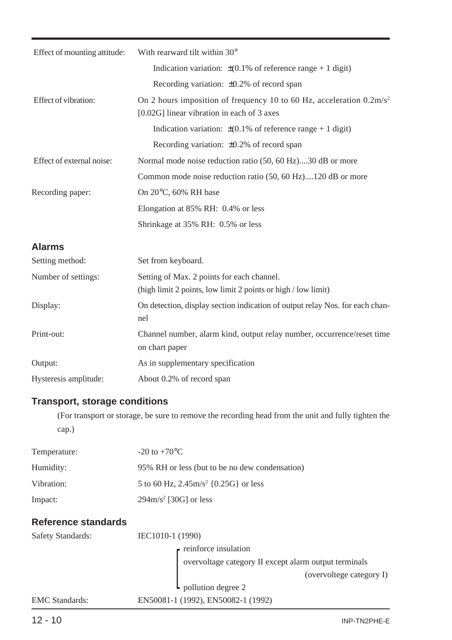| Effect of mounting attitude: | With rearward tilt within 30°                                                                                                 |
|------------------------------|-------------------------------------------------------------------------------------------------------------------------------|
|                              | Indication variation: $\pm (0.1\% \text{ of reference range} + 1 \text{ digit})$                                              |
|                              | Recording variation: $\pm 0.2\%$ of record span                                                                               |
| Effect of vibration:         | On 2 hours imposition of frequency 10 to 60 Hz, acceleration $0.2 \text{m/s}^2$<br>[0.02G] linear vibration in each of 3 axes |
|                              | Indication variation: $\pm (0.1\% \text{ of reference range} + 1 \text{ digit})$                                              |
|                              | Recording variation: $\pm 0.2\%$ of record span                                                                               |
| Effect of external noise:    | Normal mode noise reduction ratio (50, 60 Hz)30 dB or more                                                                    |
|                              | Common mode noise reduction ratio (50, 60 Hz)120 dB or more                                                                   |
| Recording paper:             | On $20^{\circ}$ C, 60% RH base                                                                                                |
|                              | Elongation at 85% RH: 0.4% or less                                                                                            |
|                              | Shrinkage at 35% RH: 0.5% or less                                                                                             |
| <b>Alarms</b>                |                                                                                                                               |
| Setting method:              | Set from keyboard.                                                                                                            |
| Number of settings:          | Setting of Max. 2 points for each channel.<br>(high limit 2 points, low limit 2 points or high / low limit)                   |
| Display:                     | On detection, display section indication of output relay Nos. for each chan-<br>nel                                           |
| Print-out:                   | Channel number, alarm kind, output relay number, occurrence/reset time<br>on chart paper                                      |
| Output:                      | As in supplementary specification                                                                                             |
| Hysteresis amplitude:        | About 0.2% of record span                                                                                                     |

# **Transport, storage conditions**

(For transport or storage, be sure to remove the recording head from the unit and fully tighten the cap.)

| Temperature:               | $-20$ to $+70$ <sup>o</sup> C                         |  |  |
|----------------------------|-------------------------------------------------------|--|--|
| Humidity:                  | 95% RH or less (but to be no dew condensation)        |  |  |
| Vibration:                 | 5 to 60 Hz, $2.45 \text{m/s}^2$ {0.25G} or less       |  |  |
| Impact:                    | $294 \text{m/s}^2$ [30G] or less                      |  |  |
| <b>Reference standards</b> |                                                       |  |  |
| <b>Safety Standards:</b>   | IEC1010-1 (1990)                                      |  |  |
|                            | $\blacksquare$ reinforce insulation                   |  |  |
|                            | overvoltage category II except alarm output terminals |  |  |
|                            | (overvoltege category I)                              |  |  |
|                            | $\mathsf{L}\n$ pollution degree 2                     |  |  |

EMC Standards: EN50081-1 (1992), EN50082-1 (1992)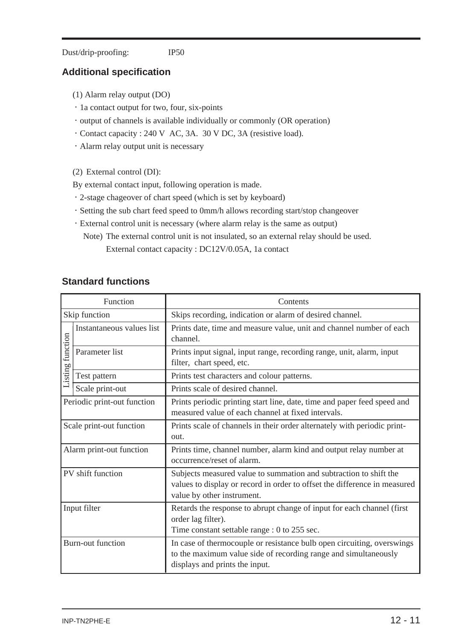Dust/drip-proofing: IP50

#### **Additional specification**

- (1) Alarm relay output (DO)
- ・1a contact output for two, four, six-points
- ・output of channels is available individually or commonly (OR operation)
- ・Contact capacity : 240 V AC, 3A. 30 V DC, 3A (resistive load).
- ・Alarm relay output unit is necessary
- (2) External control (DI):
- By external contact input, following operation is made.
- ・2-stage chageover of chart speed (which is set by keyboard)
- ・Setting the sub chart feed speed to 0mm/h allows recording start/stop changeover
- ・External control unit is necessary (where alarm relay is the same as output) Note) The external control unit is not insulated, so an external relay should be used. External contact capacity : DC12V/0.05A, 1a contact

#### **Standard functions**

| Function                    |                           | Contents                                                                                                                                                                     |  |
|-----------------------------|---------------------------|------------------------------------------------------------------------------------------------------------------------------------------------------------------------------|--|
| Skip function               |                           | Skips recording, indication or alarm of desired channel.                                                                                                                     |  |
| Listing function            | Instantaneous values list | Prints date, time and measure value, unit and channel number of each<br>channel.                                                                                             |  |
|                             | Parameter list            | Prints input signal, input range, recording range, unit, alarm, input<br>filter, chart speed, etc.                                                                           |  |
|                             | Test pattern              | Prints test characters and colour patterns.                                                                                                                                  |  |
|                             | Scale print-out           | Prints scale of desired channel.                                                                                                                                             |  |
| Periodic print-out function |                           | Prints periodic printing start line, date, time and paper feed speed and<br>measured value of each channel at fixed intervals.                                               |  |
| Scale print-out function    |                           | Prints scale of channels in their order alternately with periodic print-<br>out.                                                                                             |  |
| Alarm print-out function    |                           | Prints time, channel number, alarm kind and output relay number at<br>occurrence/reset of alarm.                                                                             |  |
| PV shift function           |                           | Subjects measured value to summation and subtraction to shift the<br>values to display or record in order to offset the difference in measured<br>value by other instrument. |  |
| Input filter                |                           | Retards the response to abrupt change of input for each channel (first<br>order lag filter).<br>Time constant settable range : 0 to 255 sec.                                 |  |
| <b>Burn-out function</b>    |                           | In case of thermocouple or resistance bulb open circuiting, overswings<br>to the maximum value side of recording range and simultaneously<br>displays and prints the input.  |  |